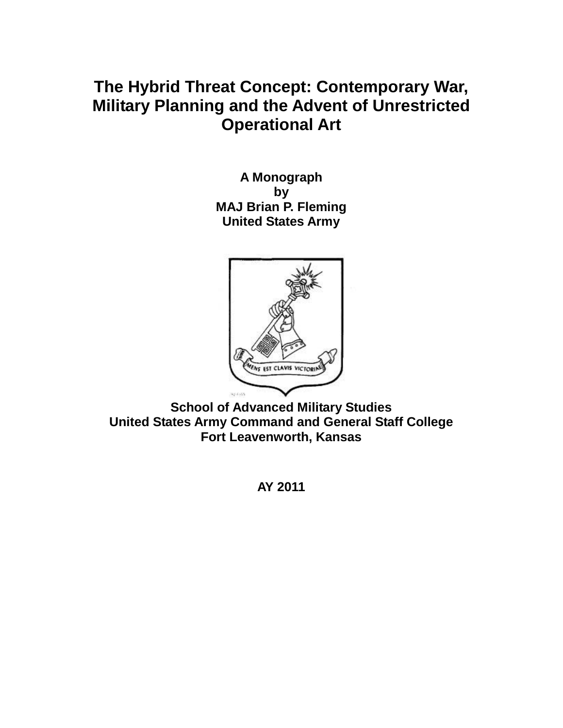# **The Hybrid Threat Concept: Contemporary War, Military Planning and the Advent of Unrestricted Operational Art**

**A Monograph by MAJ Brian P. Fleming United States Army**



**School of Advanced Military Studies United States Army Command and General Staff College Fort Leavenworth, Kansas**

**AY 2011**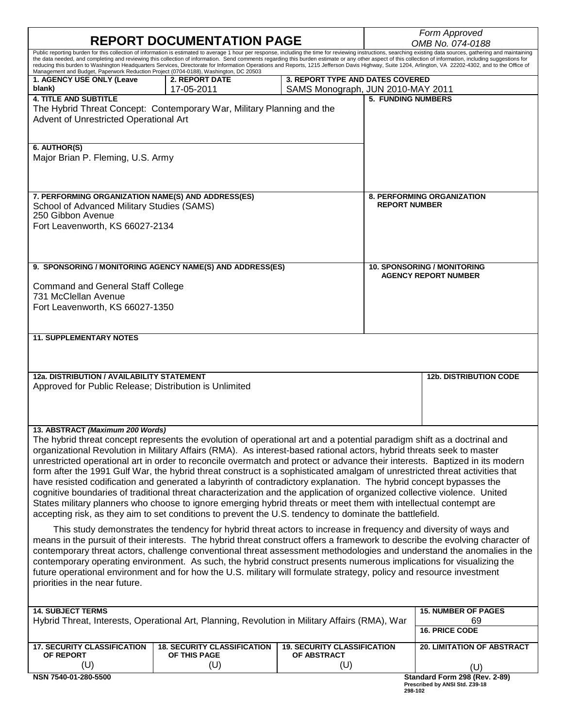| <b>REPORT DOCUMENTATION PAGE</b>                                                                                                                                                                                                                                                                                                                                                                                                                                                                                                                                                                                                                                                                                                                                                                                                                                                                                                                                                                                                     |                                                                                                                                                                                                                                                                                                                                                                                                                                                                                                                                                                                                                             |                                                          | Form Approved<br>OMB No. 074-0188                                     |                                                            |  |
|--------------------------------------------------------------------------------------------------------------------------------------------------------------------------------------------------------------------------------------------------------------------------------------------------------------------------------------------------------------------------------------------------------------------------------------------------------------------------------------------------------------------------------------------------------------------------------------------------------------------------------------------------------------------------------------------------------------------------------------------------------------------------------------------------------------------------------------------------------------------------------------------------------------------------------------------------------------------------------------------------------------------------------------|-----------------------------------------------------------------------------------------------------------------------------------------------------------------------------------------------------------------------------------------------------------------------------------------------------------------------------------------------------------------------------------------------------------------------------------------------------------------------------------------------------------------------------------------------------------------------------------------------------------------------------|----------------------------------------------------------|-----------------------------------------------------------------------|------------------------------------------------------------|--|
| Public reporting burden for this collection of information is estimated to average 1 hour per response, including the time for reviewing instructions, searching existing data sources, gathering and maintaining<br>the data needed, and completing and reviewing this collection of information. Send comments regarding this burden estimate or any other aspect of this collection of information, including suggestions for                                                                                                                                                                                                                                                                                                                                                                                                                                                                                                                                                                                                     |                                                                                                                                                                                                                                                                                                                                                                                                                                                                                                                                                                                                                             |                                                          |                                                                       |                                                            |  |
| Management and Budget, Paperwork Reduction Project (0704-0188), Washington, DC 20503                                                                                                                                                                                                                                                                                                                                                                                                                                                                                                                                                                                                                                                                                                                                                                                                                                                                                                                                                 | reducing this burden to Washington Headquarters Services, Directorate for Information Operations and Reports, 1215 Jefferson Davis Highway, Suite 1204, Arlington, VA 22202-4302, and to the Office of                                                                                                                                                                                                                                                                                                                                                                                                                      |                                                          |                                                                       |                                                            |  |
| 1. AGENCY USE ONLY (Leave<br>blank)                                                                                                                                                                                                                                                                                                                                                                                                                                                                                                                                                                                                                                                                                                                                                                                                                                                                                                                                                                                                  | <b>2. REPORT DATE</b><br>17-05-2011                                                                                                                                                                                                                                                                                                                                                                                                                                                                                                                                                                                         |                                                          | 3. REPORT TYPE AND DATES COVERED<br>SAMS Monograph, JUN 2010-MAY 2011 |                                                            |  |
| <b>4. TITLE AND SUBTITLE</b><br>The Hybrid Threat Concept: Contemporary War, Military Planning and the<br>Advent of Unrestricted Operational Art                                                                                                                                                                                                                                                                                                                                                                                                                                                                                                                                                                                                                                                                                                                                                                                                                                                                                     |                                                                                                                                                                                                                                                                                                                                                                                                                                                                                                                                                                                                                             | <b>5. FUNDING NUMBERS</b>                                |                                                                       |                                                            |  |
| 6. AUTHOR(S)<br>Major Brian P. Fleming, U.S. Army                                                                                                                                                                                                                                                                                                                                                                                                                                                                                                                                                                                                                                                                                                                                                                                                                                                                                                                                                                                    |                                                                                                                                                                                                                                                                                                                                                                                                                                                                                                                                                                                                                             |                                                          |                                                                       |                                                            |  |
| 7. PERFORMING ORGANIZATION NAME(S) AND ADDRESS(ES)<br>School of Advanced Military Studies (SAMS)<br>250 Gibbon Avenue<br>Fort Leavenworth, KS 66027-2134                                                                                                                                                                                                                                                                                                                                                                                                                                                                                                                                                                                                                                                                                                                                                                                                                                                                             |                                                                                                                                                                                                                                                                                                                                                                                                                                                                                                                                                                                                                             |                                                          |                                                                       | 8. PERFORMING ORGANIZATION<br><b>REPORT NUMBER</b>         |  |
| 9. SPONSORING / MONITORING AGENCY NAME(S) AND ADDRESS(ES)                                                                                                                                                                                                                                                                                                                                                                                                                                                                                                                                                                                                                                                                                                                                                                                                                                                                                                                                                                            |                                                                                                                                                                                                                                                                                                                                                                                                                                                                                                                                                                                                                             |                                                          |                                                                       | 10. SPONSORING / MONITORING<br><b>AGENCY REPORT NUMBER</b> |  |
| <b>Command and General Staff College</b><br>731 McClellan Avenue<br>Fort Leavenworth, KS 66027-1350                                                                                                                                                                                                                                                                                                                                                                                                                                                                                                                                                                                                                                                                                                                                                                                                                                                                                                                                  |                                                                                                                                                                                                                                                                                                                                                                                                                                                                                                                                                                                                                             |                                                          |                                                                       |                                                            |  |
| <b>11. SUPPLEMENTARY NOTES</b>                                                                                                                                                                                                                                                                                                                                                                                                                                                                                                                                                                                                                                                                                                                                                                                                                                                                                                                                                                                                       |                                                                                                                                                                                                                                                                                                                                                                                                                                                                                                                                                                                                                             |                                                          |                                                                       |                                                            |  |
|                                                                                                                                                                                                                                                                                                                                                                                                                                                                                                                                                                                                                                                                                                                                                                                                                                                                                                                                                                                                                                      |                                                                                                                                                                                                                                                                                                                                                                                                                                                                                                                                                                                                                             |                                                          |                                                                       |                                                            |  |
| <b>12a. DISTRIBUTION / AVAILABILITY STATEMENT</b><br>Approved for Public Release; Distribution is Unlimited                                                                                                                                                                                                                                                                                                                                                                                                                                                                                                                                                                                                                                                                                                                                                                                                                                                                                                                          |                                                                                                                                                                                                                                                                                                                                                                                                                                                                                                                                                                                                                             |                                                          |                                                                       | <b>12b. DISTRIBUTION CODE</b>                              |  |
| 13. ABSTRACT (Maximum 200 Words)<br>The hybrid threat concept represents the evolution of operational art and a potential paradigm shift as a doctrinal and<br>organizational Revolution in Military Affairs (RMA). As interest-based rational actors, hybrid threats seek to master<br>unrestricted operational art in order to reconcile overmatch and protect or advance their interests. Baptized in its modern<br>form after the 1991 Gulf War, the hybrid threat construct is a sophisticated amalgam of unrestricted threat activities that<br>have resisted codification and generated a labyrinth of contradictory explanation. The hybrid concept bypasses the<br>cognitive boundaries of traditional threat characterization and the application of organized collective violence. United<br>States military planners who choose to ignore emerging hybrid threats or meet them with intellectual contempt are<br>accepting risk, as they aim to set conditions to prevent the U.S. tendency to dominate the battlefield. |                                                                                                                                                                                                                                                                                                                                                                                                                                                                                                                                                                                                                             |                                                          |                                                                       |                                                            |  |
| priorities in the near future.                                                                                                                                                                                                                                                                                                                                                                                                                                                                                                                                                                                                                                                                                                                                                                                                                                                                                                                                                                                                       | This study demonstrates the tendency for hybrid threat actors to increase in frequency and diversity of ways and<br>means in the pursuit of their interests. The hybrid threat construct offers a framework to describe the evolving character of<br>contemporary threat actors, challenge conventional threat assessment methodologies and understand the anomalies in the<br>contemporary operating environment. As such, the hybrid construct presents numerous implications for visualizing the<br>future operational environment and for how the U.S. military will formulate strategy, policy and resource investment |                                                          |                                                                       |                                                            |  |
| <b>14. SUBJECT TERMS</b>                                                                                                                                                                                                                                                                                                                                                                                                                                                                                                                                                                                                                                                                                                                                                                                                                                                                                                                                                                                                             |                                                                                                                                                                                                                                                                                                                                                                                                                                                                                                                                                                                                                             |                                                          |                                                                       | <b>15. NUMBER OF PAGES</b>                                 |  |
| Hybrid Threat, Interests, Operational Art, Planning, Revolution in Military Affairs (RMA), War                                                                                                                                                                                                                                                                                                                                                                                                                                                                                                                                                                                                                                                                                                                                                                                                                                                                                                                                       |                                                                                                                                                                                                                                                                                                                                                                                                                                                                                                                                                                                                                             |                                                          |                                                                       | 69<br><b>16. PRICE CODE</b>                                |  |
| <b>17. SECURITY CLASSIFICATION</b><br>OF REPORT<br>(U)                                                                                                                                                                                                                                                                                                                                                                                                                                                                                                                                                                                                                                                                                                                                                                                                                                                                                                                                                                               | <b>18. SECURITY CLASSIFICATION</b><br>OF THIS PAGE<br>(U)                                                                                                                                                                                                                                                                                                                                                                                                                                                                                                                                                                   | <b>19. SECURITY CLASSIFICATION</b><br>OF ABSTRACT<br>(U) |                                                                       | 20. LIMITATION OF ABSTRACT<br>(U)                          |  |
| Standard Form 298 (Rev. 2-89)<br>NSN 7540-01-280-5500<br>Prescribed by ANSI Std. Z39-18<br>298-102                                                                                                                                                                                                                                                                                                                                                                                                                                                                                                                                                                                                                                                                                                                                                                                                                                                                                                                                   |                                                                                                                                                                                                                                                                                                                                                                                                                                                                                                                                                                                                                             |                                                          |                                                                       |                                                            |  |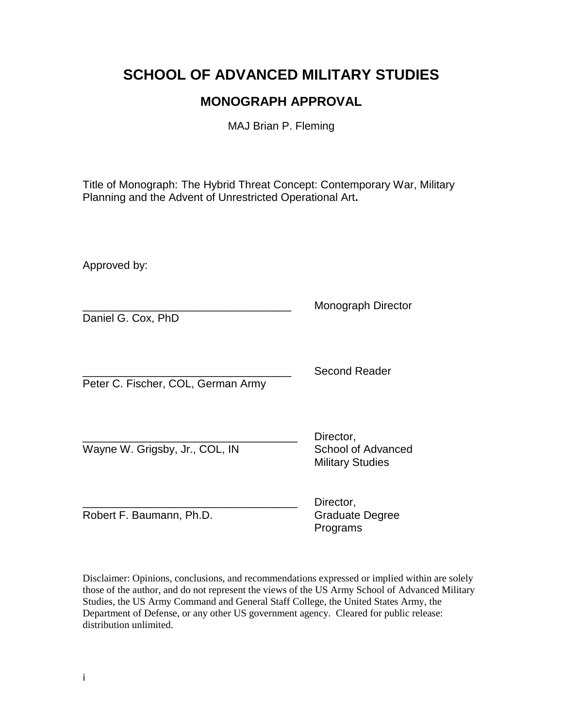## **SCHOOL OF ADVANCED MILITARY STUDIES**

### **MONOGRAPH APPROVAL**

MAJ Brian P. Fleming

Title of Monograph: The Hybrid Threat Concept: Contemporary War, Military Planning and the Advent of Unrestricted Operational Art**.**

Approved by:

\_\_\_\_\_\_\_\_\_\_\_\_\_\_\_\_\_\_\_\_\_\_\_\_\_\_\_\_\_\_\_\_\_\_ Monograph Director Daniel G. Cox, PhD Second Reader Peter C. Fischer, COL, German Army Director. Wayne W. Grigsby, Jr., COL, IN School of Advanced Military Studies

Robert F. Baumann, Ph.D. Graduate Degree

Director. Programs

Disclaimer: Opinions, conclusions, and recommendations expressed or implied within are solely those of the author, and do not represent the views of the US Army School of Advanced Military Studies, the US Army Command and General Staff College, the United States Army, the Department of Defense, or any other US government agency. Cleared for public release: distribution unlimited.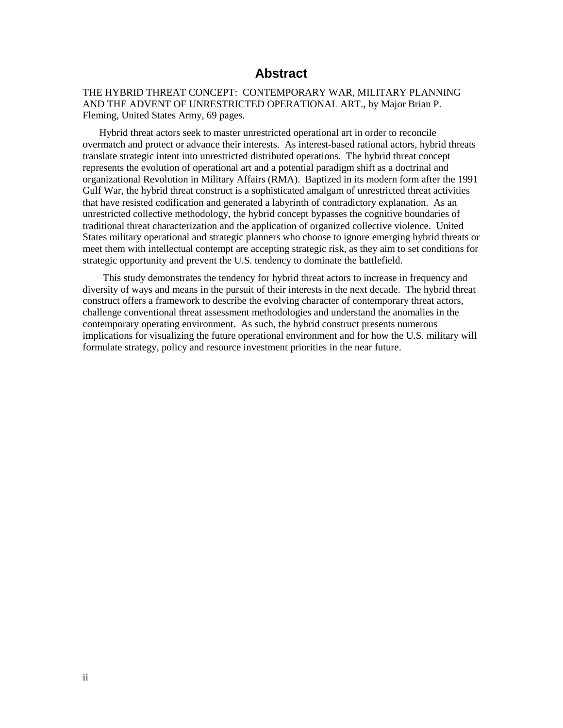### **Abstract**

THE HYBRID THREAT CONCEPT: CONTEMPORARY WAR, MILITARY PLANNING AND THE ADVENT OF UNRESTRICTED OPERATIONAL ART., by Major Brian P. Fleming, United States Army, 69 pages.

 Hybrid threat actors seek to master unrestricted operational art in order to reconcile overmatch and protect or advance their interests. As interest-based rational actors, hybrid threats translate strategic intent into unrestricted distributed operations. The hybrid threat concept represents the evolution of operational art and a potential paradigm shift as a doctrinal and organizational Revolution in Military Affairs (RMA). Baptized in its modern form after the 1991 Gulf War, the hybrid threat construct is a sophisticated amalgam of unrestricted threat activities that have resisted codification and generated a labyrinth of contradictory explanation. As an unrestricted collective methodology, the hybrid concept bypasses the cognitive boundaries of traditional threat characterization and the application of organized collective violence. United States military operational and strategic planners who choose to ignore emerging hybrid threats or meet them with intellectual contempt are accepting strategic risk, as they aim to set conditions for strategic opportunity and prevent the U.S. tendency to dominate the battlefield.

 This study demonstrates the tendency for hybrid threat actors to increase in frequency and diversity of ways and means in the pursuit of their interests in the next decade. The hybrid threat construct offers a framework to describe the evolving character of contemporary threat actors, challenge conventional threat assessment methodologies and understand the anomalies in the contemporary operating environment. As such, the hybrid construct presents numerous implications for visualizing the future operational environment and for how the U.S. military will formulate strategy, policy and resource investment priorities in the near future.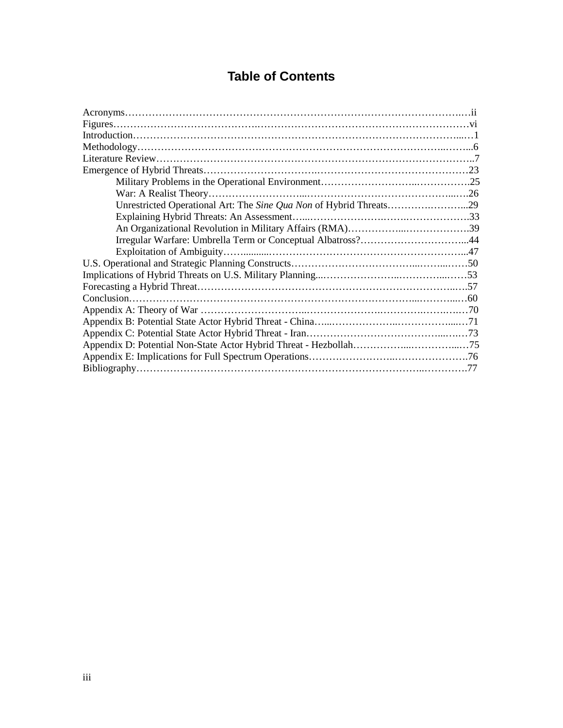### **Table of Contents**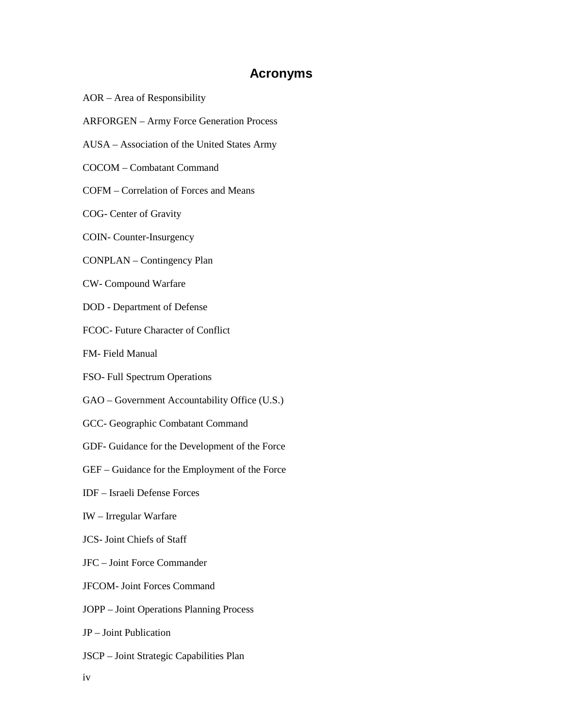### **Acronyms**

- AOR Area of Responsibility
- ARFORGEN Army Force Generation Process
- AUSA Association of the United States Army
- COCOM Combatant Command
- COFM Correlation of Forces and Means
- COG- Center of Gravity
- COIN- Counter-Insurgency
- CONPLAN Contingency Plan
- CW- Compound Warfare
- DOD Department of Defense
- FCOC- Future Character of Conflict
- FM- Field Manual
- FSO- Full Spectrum Operations
- GAO Government Accountability Office (U.S.)
- GCC- Geographic Combatant Command
- GDF- Guidance for the Development of the Force
- GEF Guidance for the Employment of the Force
- IDF Israeli Defense Forces
- IW Irregular Warfare
- JCS- Joint Chiefs of Staff
- JFC Joint Force Commander
- JFCOM- Joint Forces Command
- JOPP Joint Operations Planning Process
- JP Joint Publication
- JSCP Joint Strategic Capabilities Plan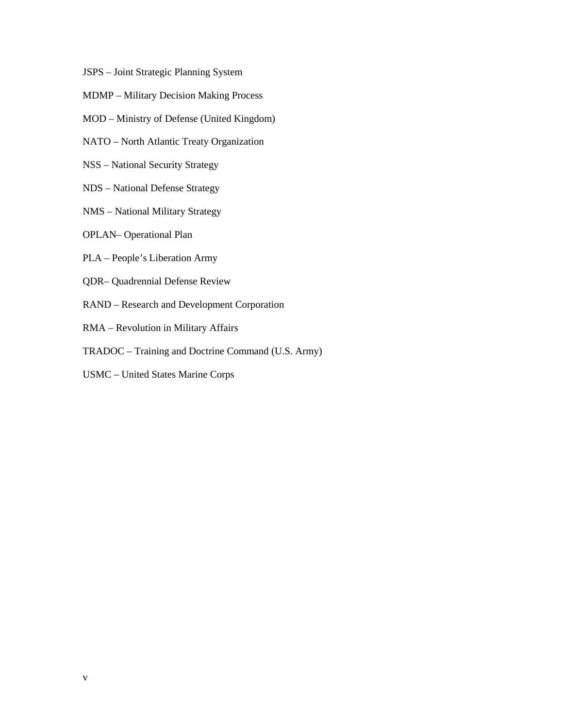- JSPS Joint Strategic Planning System
- MDMP Military Decision Making Process
- MOD Ministry of Defense (United Kingdom)
- NATO North Atlantic Treaty Organization
- NSS National Security Strategy
- NDS National Defense Strategy
- NMS National Military Strategy
- OPLAN– Operational Plan
- PLA People's Liberation Army
- QDR– Quadrennial Defense Review
- RAND Research and Development Corporation
- RMA Revolution in Military Affairs
- TRADOC Training and Doctrine Command (U.S. Army)
- USMC United States Marine Corps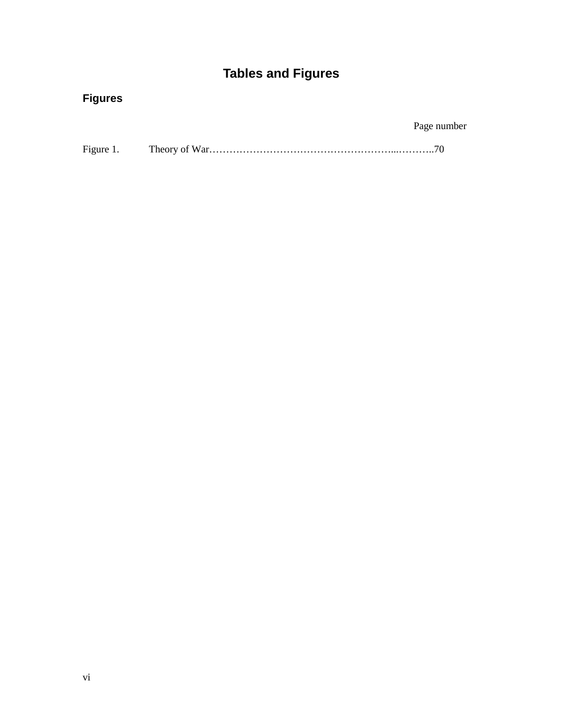# **Tables and Figures**

## **Figures**

Page number

| Figure 1. |  |
|-----------|--|
|-----------|--|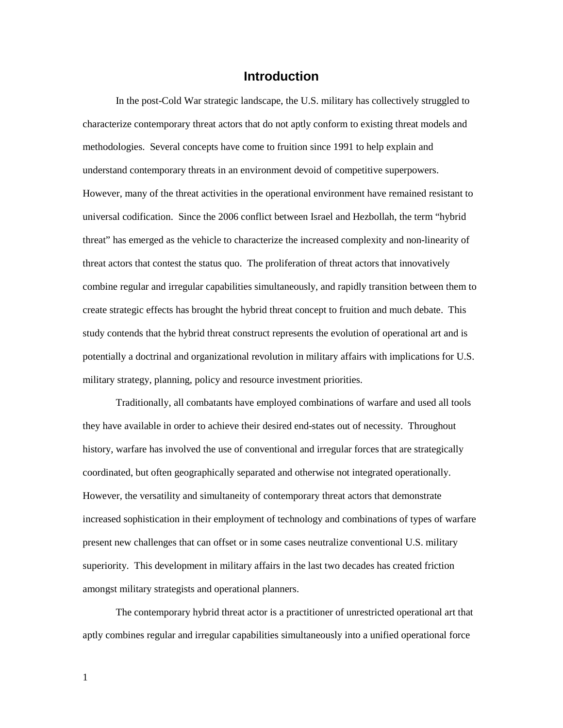#### **Introduction**

In the post-Cold War strategic landscape, the U.S. military has collectively struggled to characterize contemporary threat actors that do not aptly conform to existing threat models and methodologies. Several concepts have come to fruition since 1991 to help explain and understand contemporary threats in an environment devoid of competitive superpowers. However, many of the threat activities in the operational environment have remained resistant to universal codification. Since the 2006 conflict between Israel and Hezbollah, the term "hybrid threat" has emerged as the vehicle to characterize the increased complexity and non-linearity of threat actors that contest the status quo. The proliferation of threat actors that innovatively combine regular and irregular capabilities simultaneously, and rapidly transition between them to create strategic effects has brought the hybrid threat concept to fruition and much debate. This study contends that the hybrid threat construct represents the evolution of operational art and is potentially a doctrinal and organizational revolution in military affairs with implications for U.S. military strategy, planning, policy and resource investment priorities.

Traditionally, all combatants have employed combinations of warfare and used all tools they have available in order to achieve their desired end-states out of necessity. Throughout history, warfare has involved the use of conventional and irregular forces that are strategically coordinated, but often geographically separated and otherwise not integrated operationally. However, the versatility and simultaneity of contemporary threat actors that demonstrate increased sophistication in their employment of technology and combinations of types of warfare present new challenges that can offset or in some cases neutralize conventional U.S. military superiority. This development in military affairs in the last two decades has created friction amongst military strategists and operational planners.

The contemporary hybrid threat actor is a practitioner of unrestricted operational art that aptly combines regular and irregular capabilities simultaneously into a unified operational force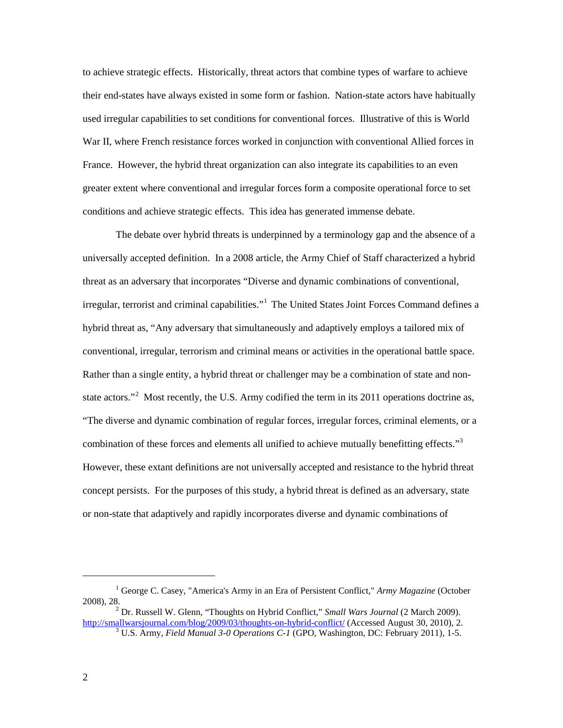to achieve strategic effects. Historically, threat actors that combine types of warfare to achieve their end-states have always existed in some form or fashion. Nation-state actors have habitually used irregular capabilities to set conditions for conventional forces. Illustrative of this is World War II, where French resistance forces worked in conjunction with conventional Allied forces in France. However, the hybrid threat organization can also integrate its capabilities to an even greater extent where conventional and irregular forces form a composite operational force to set conditions and achieve strategic effects. This idea has generated immense debate.

The debate over hybrid threats is underpinned by a terminology gap and the absence of a universally accepted definition. In a 2008 article, the Army Chief of Staff characterized a hybrid threat as an adversary that incorporates "Diverse and dynamic combinations of conventional, irregular, terrorist and criminal capabilities."<sup>[1](#page-9-0)</sup> The United States Joint Forces Command defines a hybrid threat as, "Any adversary that simultaneously and adaptively employs a tailored mix of conventional, irregular, terrorism and criminal means or activities in the operational battle space. Rather than a single entity, a hybrid threat or challenger may be a combination of state and non-state actors."<sup>[2](#page-9-1)</sup> Most recently, the U.S. Army codified the term in its 2011 operations doctrine as, "The diverse and dynamic combination of regular forces, irregular forces, criminal elements, or a combination of these forces and elements all unified to achieve mutually benefitting effects."<sup>[3](#page-9-2)</sup> However, these extant definitions are not universally accepted and resistance to the hybrid threat concept persists. For the purposes of this study, a hybrid threat is defined as an adversary, state or non-state that adaptively and rapidly incorporates diverse and dynamic combinations of

<span id="page-9-0"></span><sup>1</sup> George C. Casey, "America's Army in an Era of Persistent Conflict," *Army Magazine* (October 2008), 28.

<span id="page-9-2"></span><span id="page-9-1"></span><sup>2</sup> Dr. Russell W. Glenn, "Thoughts on Hybrid Conflict," *Small Wars Journal* (2 March 2009). <http://smallwarsjournal.com/blog/2009/03/thoughts-on-hybrid-conflict/> (Accessed August 30, 2010), 2. <sup>3</sup> U.S. Army, *Field Manual 3-0 Operations C-1* (GPO, Washington, DC: February 2011), 1-5.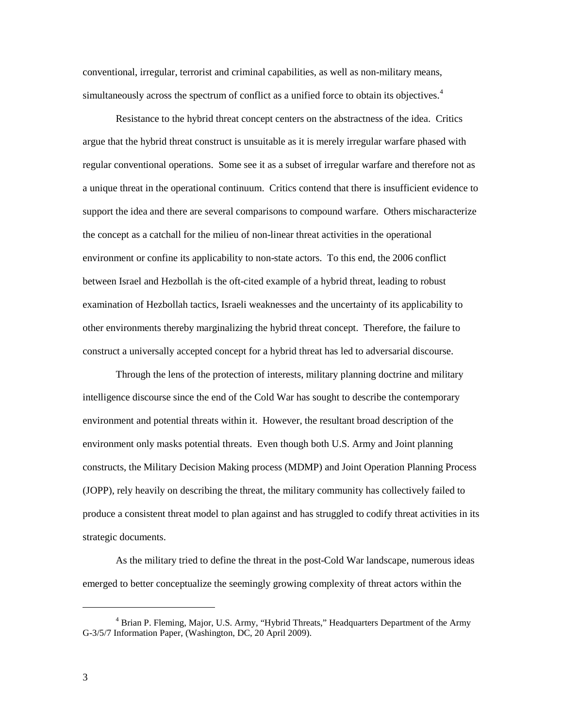conventional, irregular, terrorist and criminal capabilities, as well as non-military means, simultaneously across the spectrum of conflict as a unified force to obtain its objectives.<sup>[4](#page-10-0)</sup>

Resistance to the hybrid threat concept centers on the abstractness of the idea. Critics argue that the hybrid threat construct is unsuitable as it is merely irregular warfare phased with regular conventional operations. Some see it as a subset of irregular warfare and therefore not as a unique threat in the operational continuum. Critics contend that there is insufficient evidence to support the idea and there are several comparisons to compound warfare. Others mischaracterize the concept as a catchall for the milieu of non-linear threat activities in the operational environment or confine its applicability to non-state actors. To this end, the 2006 conflict between Israel and Hezbollah is the oft-cited example of a hybrid threat, leading to robust examination of Hezbollah tactics, Israeli weaknesses and the uncertainty of its applicability to other environments thereby marginalizing the hybrid threat concept. Therefore, the failure to construct a universally accepted concept for a hybrid threat has led to adversarial discourse.

Through the lens of the protection of interests, military planning doctrine and military intelligence discourse since the end of the Cold War has sought to describe the contemporary environment and potential threats within it. However, the resultant broad description of the environment only masks potential threats. Even though both U.S. Army and Joint planning constructs, the Military Decision Making process (MDMP) and Joint Operation Planning Process (JOPP), rely heavily on describing the threat, the military community has collectively failed to produce a consistent threat model to plan against and has struggled to codify threat activities in its strategic documents.

As the military tried to define the threat in the post-Cold War landscape, numerous ideas emerged to better conceptualize the seemingly growing complexity of threat actors within the

<span id="page-10-0"></span><sup>4</sup> Brian P. Fleming, Major, U.S. Army, "Hybrid Threats," Headquarters Department of the Army G-3/5/7 Information Paper, (Washington, DC, 20 April 2009).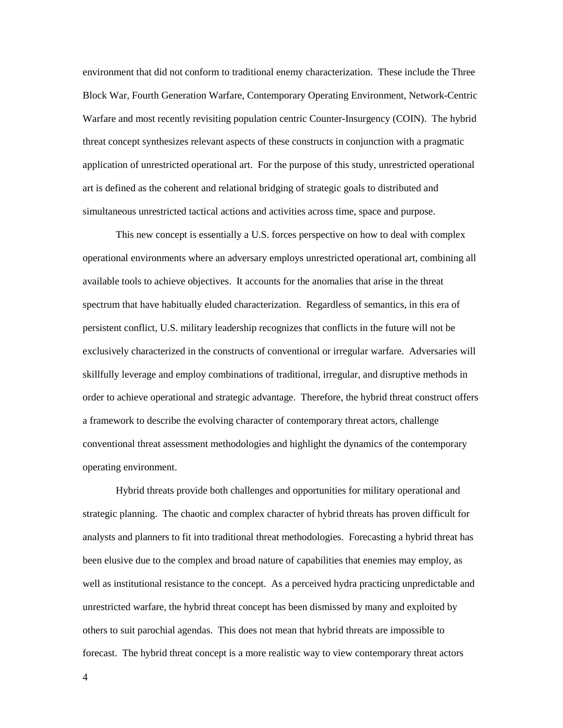environment that did not conform to traditional enemy characterization. These include the Three Block War, Fourth Generation Warfare, Contemporary Operating Environment, Network-Centric Warfare and most recently revisiting population centric Counter-Insurgency (COIN). The hybrid threat concept synthesizes relevant aspects of these constructs in conjunction with a pragmatic application of unrestricted operational art. For the purpose of this study, unrestricted operational art is defined as the coherent and relational bridging of strategic goals to distributed and simultaneous unrestricted tactical actions and activities across time, space and purpose.

This new concept is essentially a U.S. forces perspective on how to deal with complex operational environments where an adversary employs unrestricted operational art, combining all available tools to achieve objectives. It accounts for the anomalies that arise in the threat spectrum that have habitually eluded characterization. Regardless of semantics, in this era of persistent conflict, U.S. military leadership recognizes that conflicts in the future will not be exclusively characterized in the constructs of conventional or irregular warfare. Adversaries will skillfully leverage and employ combinations of traditional, irregular, and disruptive methods in order to achieve operational and strategic advantage. Therefore, the hybrid threat construct offers a framework to describe the evolving character of contemporary threat actors, challenge conventional threat assessment methodologies and highlight the dynamics of the contemporary operating environment.

Hybrid threats provide both challenges and opportunities for military operational and strategic planning. The chaotic and complex character of hybrid threats has proven difficult for analysts and planners to fit into traditional threat methodologies. Forecasting a hybrid threat has been elusive due to the complex and broad nature of capabilities that enemies may employ, as well as institutional resistance to the concept. As a perceived hydra practicing unpredictable and unrestricted warfare, the hybrid threat concept has been dismissed by many and exploited by others to suit parochial agendas. This does not mean that hybrid threats are impossible to forecast. The hybrid threat concept is a more realistic way to view contemporary threat actors

4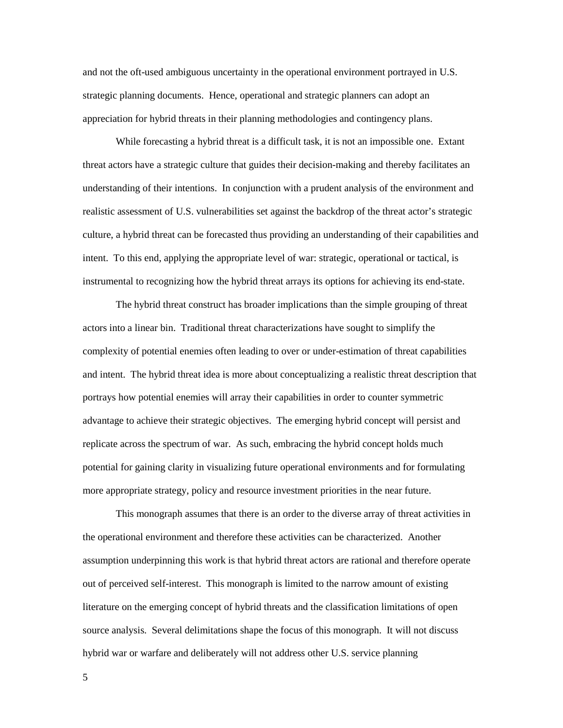and not the oft-used ambiguous uncertainty in the operational environment portrayed in U.S. strategic planning documents. Hence, operational and strategic planners can adopt an appreciation for hybrid threats in their planning methodologies and contingency plans.

While forecasting a hybrid threat is a difficult task, it is not an impossible one. Extant threat actors have a strategic culture that guides their decision-making and thereby facilitates an understanding of their intentions. In conjunction with a prudent analysis of the environment and realistic assessment of U.S. vulnerabilities set against the backdrop of the threat actor's strategic culture, a hybrid threat can be forecasted thus providing an understanding of their capabilities and intent. To this end, applying the appropriate level of war: strategic, operational or tactical, is instrumental to recognizing how the hybrid threat arrays its options for achieving its end-state.

The hybrid threat construct has broader implications than the simple grouping of threat actors into a linear bin. Traditional threat characterizations have sought to simplify the complexity of potential enemies often leading to over or under-estimation of threat capabilities and intent. The hybrid threat idea is more about conceptualizing a realistic threat description that portrays how potential enemies will array their capabilities in order to counter symmetric advantage to achieve their strategic objectives. The emerging hybrid concept will persist and replicate across the spectrum of war. As such, embracing the hybrid concept holds much potential for gaining clarity in visualizing future operational environments and for formulating more appropriate strategy, policy and resource investment priorities in the near future.

This monograph assumes that there is an order to the diverse array of threat activities in the operational environment and therefore these activities can be characterized. Another assumption underpinning this work is that hybrid threat actors are rational and therefore operate out of perceived self-interest. This monograph is limited to the narrow amount of existing literature on the emerging concept of hybrid threats and the classification limitations of open source analysis. Several delimitations shape the focus of this monograph. It will not discuss hybrid war or warfare and deliberately will not address other U.S. service planning

5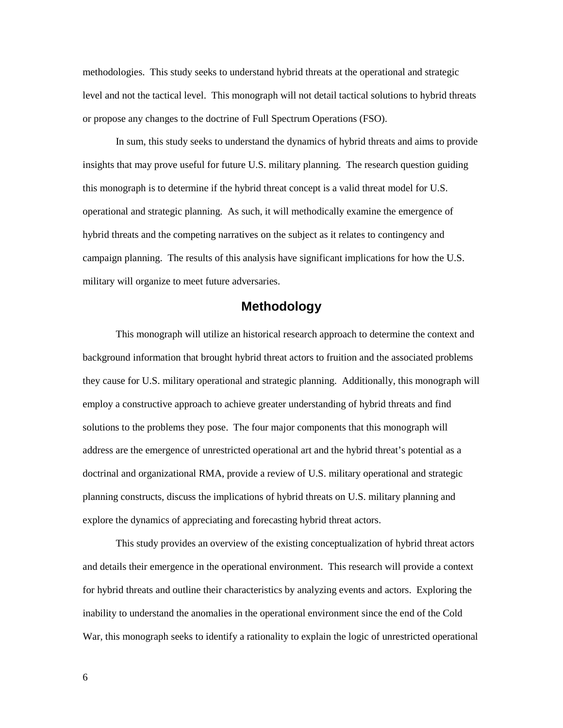methodologies. This study seeks to understand hybrid threats at the operational and strategic level and not the tactical level. This monograph will not detail tactical solutions to hybrid threats or propose any changes to the doctrine of Full Spectrum Operations (FSO).

In sum, this study seeks to understand the dynamics of hybrid threats and aims to provide insights that may prove useful for future U.S. military planning. The research question guiding this monograph is to determine if the hybrid threat concept is a valid threat model for U.S. operational and strategic planning. As such, it will methodically examine the emergence of hybrid threats and the competing narratives on the subject as it relates to contingency and campaign planning. The results of this analysis have significant implications for how the U.S. military will organize to meet future adversaries.

#### **Methodology**

This monograph will utilize an historical research approach to determine the context and background information that brought hybrid threat actors to fruition and the associated problems they cause for U.S. military operational and strategic planning. Additionally, this monograph will employ a constructive approach to achieve greater understanding of hybrid threats and find solutions to the problems they pose. The four major components that this monograph will address are the emergence of unrestricted operational art and the hybrid threat's potential as a doctrinal and organizational RMA, provide a review of U.S. military operational and strategic planning constructs, discuss the implications of hybrid threats on U.S. military planning and explore the dynamics of appreciating and forecasting hybrid threat actors.

This study provides an overview of the existing conceptualization of hybrid threat actors and details their emergence in the operational environment. This research will provide a context for hybrid threats and outline their characteristics by analyzing events and actors. Exploring the inability to understand the anomalies in the operational environment since the end of the Cold War, this monograph seeks to identify a rationality to explain the logic of unrestricted operational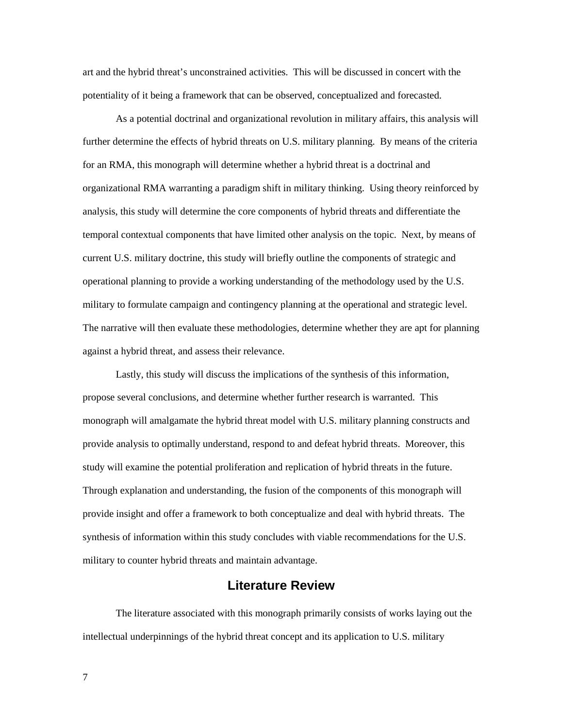art and the hybrid threat's unconstrained activities. This will be discussed in concert with the potentiality of it being a framework that can be observed, conceptualized and forecasted.

As a potential doctrinal and organizational revolution in military affairs, this analysis will further determine the effects of hybrid threats on U.S. military planning. By means of the criteria for an RMA, this monograph will determine whether a hybrid threat is a doctrinal and organizational RMA warranting a paradigm shift in military thinking. Using theory reinforced by analysis, this study will determine the core components of hybrid threats and differentiate the temporal contextual components that have limited other analysis on the topic. Next, by means of current U.S. military doctrine, this study will briefly outline the components of strategic and operational planning to provide a working understanding of the methodology used by the U.S. military to formulate campaign and contingency planning at the operational and strategic level. The narrative will then evaluate these methodologies, determine whether they are apt for planning against a hybrid threat, and assess their relevance.

Lastly, this study will discuss the implications of the synthesis of this information, propose several conclusions, and determine whether further research is warranted. This monograph will amalgamate the hybrid threat model with U.S. military planning constructs and provide analysis to optimally understand, respond to and defeat hybrid threats. Moreover, this study will examine the potential proliferation and replication of hybrid threats in the future. Through explanation and understanding, the fusion of the components of this monograph will provide insight and offer a framework to both conceptualize and deal with hybrid threats. The synthesis of information within this study concludes with viable recommendations for the U.S. military to counter hybrid threats and maintain advantage.

### **Literature Review**

The literature associated with this monograph primarily consists of works laying out the intellectual underpinnings of the hybrid threat concept and its application to U.S. military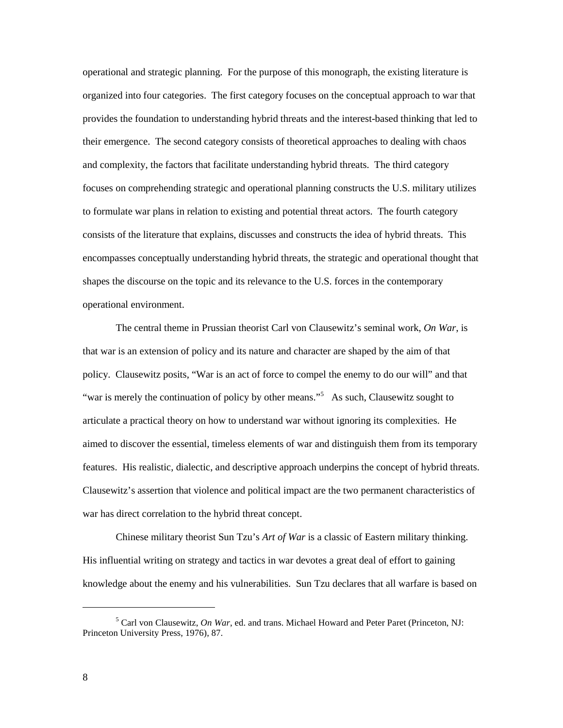operational and strategic planning. For the purpose of this monograph, the existing literature is organized into four categories. The first category focuses on the conceptual approach to war that provides the foundation to understanding hybrid threats and the interest-based thinking that led to their emergence. The second category consists of theoretical approaches to dealing with chaos and complexity, the factors that facilitate understanding hybrid threats. The third category focuses on comprehending strategic and operational planning constructs the U.S. military utilizes to formulate war plans in relation to existing and potential threat actors. The fourth category consists of the literature that explains, discusses and constructs the idea of hybrid threats. This encompasses conceptually understanding hybrid threats, the strategic and operational thought that shapes the discourse on the topic and its relevance to the U.S. forces in the contemporary operational environment.

The central theme in Prussian theorist Carl von Clausewitz's seminal work, *On War*, is that war is an extension of policy and its nature and character are shaped by the aim of that policy. Clausewitz posits, "War is an act of force to compel the enemy to do our will" and that "war is merely the continuation of policy by other means."<sup>[5](#page-15-0)</sup> As such, Clausewitz sought to articulate a practical theory on how to understand war without ignoring its complexities.He aimed to discover the essential, timeless elements of war and distinguish them from its temporary features. His realistic, dialectic, and descriptive approach underpins the concept of hybrid threats. Clausewitz's assertion that violence and political impact are the two permanent characteristics of war has direct correlation to the hybrid threat concept.

Chinese military theorist Sun Tzu's *Art of War* is a classic of Eastern military thinking. His influential writing on strategy and tactics in war devotes a great deal of effort to gaining knowledge about the enemy and his vulnerabilities. Sun Tzu declares that all warfare is based on

<span id="page-15-0"></span><sup>5</sup> Carl von Clausewitz, *On War*, ed. and trans. Michael Howard and Peter Paret (Princeton, NJ: Princeton University Press, 1976), 87.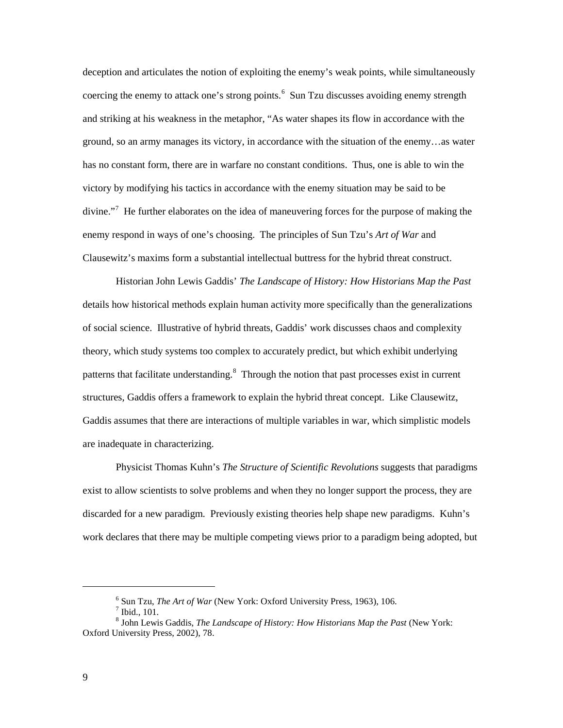deception and articulates the notion of exploiting the enemy's weak points, while simultaneously coercing the enemy to attack one's strong points. $6$  Sun Tzu discusses avoiding enemy strength and striking at his weakness in the metaphor, "As water shapes its flow in accordance with the ground, so an army manages its victory, in accordance with the situation of the enemy…as water has no constant form, there are in warfare no constant conditions. Thus, one is able to win the victory by modifying his tactics in accordance with the enemy situation may be said to be divine."<sup>[7](#page-16-1)</sup> He further elaborates on the idea of maneuvering forces for the purpose of making the enemy respond in ways of one's choosing. The principles of Sun Tzu's *Art of War* and Clausewitz's maxims form a substantial intellectual buttress for the hybrid threat construct.

Historian John Lewis Gaddis' *The Landscape of History: How Historians Map the Past* details how historical methods explain human activity more specifically than the generalizations of social science. Illustrative of hybrid threats, Gaddis' work discusses chaos and complexity theory, which study systems too complex to accurately predict, but which exhibit underlying patterns that facilitate understanding.<sup>[8](#page-16-2)</sup> Through the notion that past processes exist in current structures, Gaddis offers a framework to explain the hybrid threat concept. Like Clausewitz, Gaddis assumes that there are interactions of multiple variables in war, which simplistic models are inadequate in characterizing.

Physicist Thomas Kuhn's *The Structure of Scientific Revolutions* suggests that paradigms exist to allow scientists to solve problems and when they no longer support the process, they are discarded for a new paradigm. Previously existing theories help shape new paradigms. Kuhn's work declares that there may be multiple competing views prior to a paradigm being adopted, but

<sup>&</sup>lt;sup>6</sup> Sun Tzu, *The Art of War* (New York: Oxford University Press, 1963), 106.<br><sup>7</sup> Ibid., 101.

<span id="page-16-2"></span><span id="page-16-1"></span><span id="page-16-0"></span><sup>8</sup> John Lewis Gaddis, *The Landscape of History: How Historians Map the Past* (New York: Oxford University Press, 2002), 78.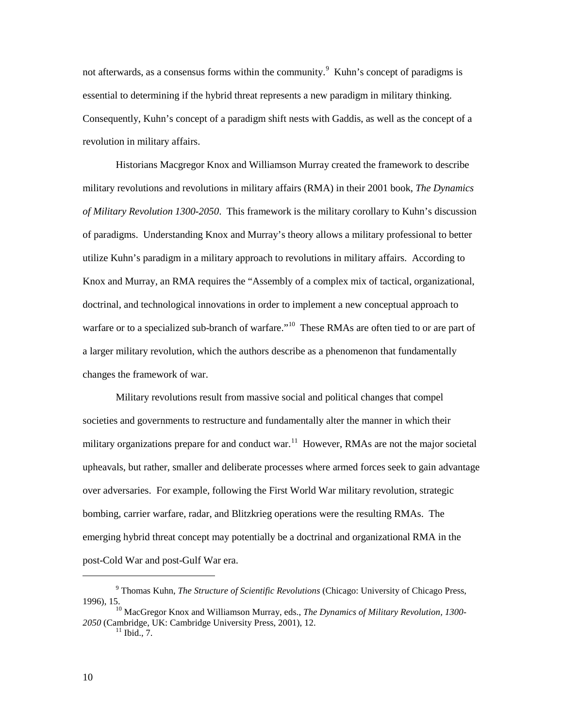not afterwards, as a consensus forms within the community.<sup>[9](#page-17-0)</sup> Kuhn's concept of paradigms is essential to determining if the hybrid threat represents a new paradigm in military thinking. Consequently, Kuhn's concept of a paradigm shift nests with Gaddis, as well as the concept of a revolution in military affairs.

Historians Macgregor Knox and Williamson Murray created the framework to describe military revolutions and revolutions in military affairs (RMA) in their 2001 book, *The Dynamics of Military Revolution 1300-2050*. This framework is the military corollary to Kuhn's discussion of paradigms. Understanding Knox and Murray's theory allows a military professional to better utilize Kuhn's paradigm in a military approach to revolutions in military affairs. According to Knox and Murray, an RMA requires the "Assembly of a complex mix of tactical, organizational, doctrinal, and technological innovations in order to implement a new conceptual approach to warfare or to a specialized sub-branch of warfare."<sup>[10](#page-17-1)</sup> These RMAs are often tied to or are part of a larger military revolution, which the authors describe as a phenomenon that fundamentally changes the framework of war.

Military revolutions result from massive social and political changes that compel societies and governments to restructure and fundamentally alter the manner in which their military organizations prepare for and conduct war.<sup>[11](#page-17-2)</sup> However, RMAs are not the major societal upheavals, but rather, smaller and deliberate processes where armed forces seek to gain advantage over adversaries. For example, following the First World War military revolution, strategic bombing, carrier warfare, radar, and Blitzkrieg operations were the resulting RMAs. The emerging hybrid threat concept may potentially be a doctrinal and organizational RMA in the post-Cold War and post-Gulf War era.

<span id="page-17-0"></span><sup>9</sup> Thomas Kuhn, *The Structure of Scientific Revolutions* (Chicago: University of Chicago Press, 1996), 15.

<span id="page-17-2"></span><span id="page-17-1"></span><sup>10</sup> MacGregor Knox and Williamson Murray, eds., *The Dynamics of Military Revolution, 1300-* 2050 (Cambridge, UK: Cambridge University Press, 2001), 12.<br><sup>11</sup> Ibid., 7.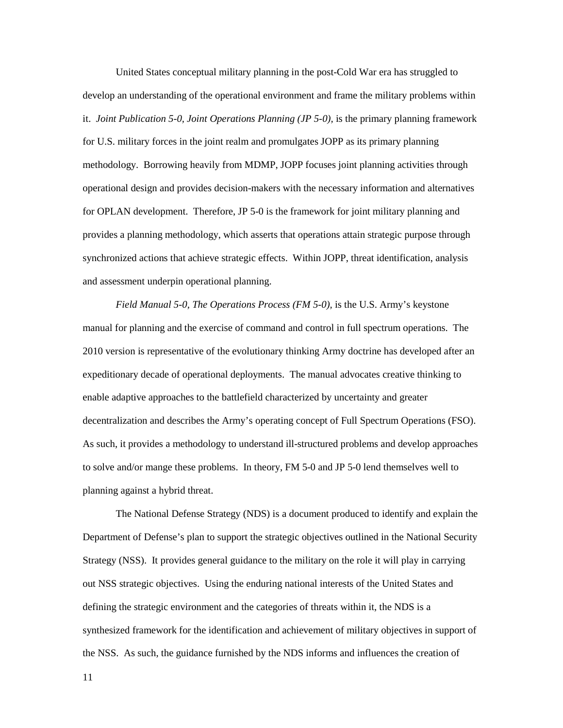United States conceptual military planning in the post-Cold War era has struggled to develop an understanding of the operational environment and frame the military problems within it. *Joint Publication 5-0, Joint Operations Planning (JP 5-0),* is the primary planning framework for U.S. military forces in the joint realm and promulgates JOPP as its primary planning methodology. Borrowing heavily from MDMP, JOPP focuses joint planning activities through operational design and provides decision-makers with the necessary information and alternatives for OPLAN development. Therefore, JP 5-0 is the framework for joint military planning and provides a planning methodology, which asserts that operations attain strategic purpose through synchronized actions that achieve strategic effects. Within JOPP, threat identification, analysis and assessment underpin operational planning.

*Field Manual 5-0, The Operations Process (FM 5-0),* is the U.S. Army's keystone manual for planning and the exercise of command and control in full spectrum operations. The 2010 version is representative of the evolutionary thinking Army doctrine has developed after an expeditionary decade of operational deployments. The manual advocates creative thinking to enable adaptive approaches to the battlefield characterized by uncertainty and greater decentralization and describes the Army's operating concept of Full Spectrum Operations (FSO). As such, it provides a methodology to understand ill-structured problems and develop approaches to solve and/or mange these problems. In theory, FM 5-0 and JP 5-0 lend themselves well to planning against a hybrid threat.

The National Defense Strategy (NDS) is a document produced to identify and explain the Department of Defense's plan to support the strategic objectives outlined in the National Security Strategy (NSS). It provides general guidance to the military on the role it will play in carrying out NSS strategic objectives. Using the enduring national interests of the United States and defining the strategic environment and the categories of threats within it, the NDS is a synthesized framework for the identification and achievement of military objectives in support of the NSS. As such, the guidance furnished by the NDS informs and influences the creation of

11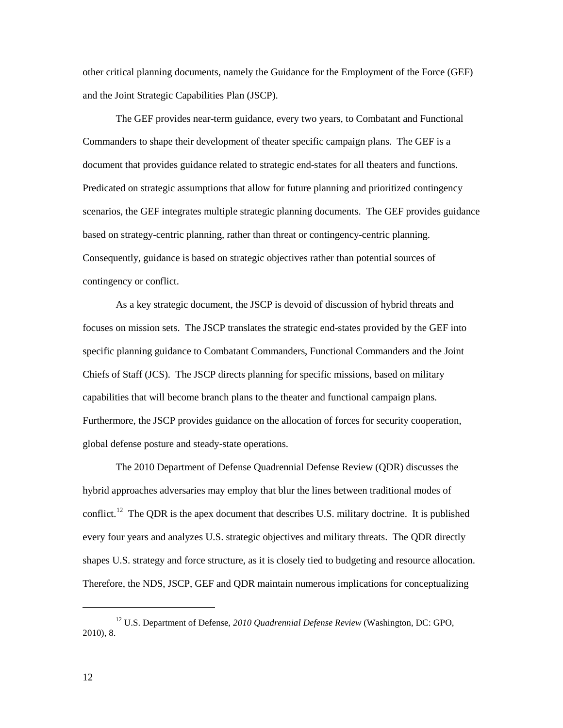other critical planning documents, namely the Guidance for the Employment of the Force (GEF) and the Joint Strategic Capabilities Plan (JSCP).

The GEF provides near-term guidance, every two years, to Combatant and Functional Commanders to shape their development of theater specific campaign plans. The GEF is a document that provides guidance related to strategic end-states for all theaters and functions. Predicated on strategic assumptions that allow for future planning and prioritized contingency scenarios, the GEF integrates multiple strategic planning documents. The GEF provides guidance based on strategy-centric planning, rather than threat or contingency-centric planning. Consequently, guidance is based on strategic objectives rather than potential sources of contingency or conflict.

As a key strategic document, the JSCP is devoid of discussion of hybrid threats and focuses on mission sets. The JSCP translates the strategic end-states provided by the GEF into specific planning guidance to Combatant Commanders, Functional Commanders and the Joint Chiefs of Staff (JCS). The JSCP directs planning for specific missions, based on military capabilities that will become branch plans to the theater and functional campaign plans. Furthermore, the JSCP provides guidance on the allocation of forces for security cooperation, global defense posture and steady-state operations.

The 2010 Department of Defense Quadrennial Defense Review (QDR) discusses the hybrid approaches adversaries may employ that blur the lines between traditional modes of conflict.<sup>[12](#page-19-0)</sup> The QDR is the apex document that describes U.S. military doctrine. It is published every four years and analyzes U.S. strategic objectives and military threats. The QDR directly shapes U.S. strategy and force structure, as it is closely tied to budgeting and resource allocation. Therefore, the NDS, JSCP, GEF and QDR maintain numerous implications for conceptualizing

<span id="page-19-0"></span><sup>12</sup> U.S. Department of Defense, *2010 Quadrennial Defense Review* (Washington, DC: GPO, 2010), 8.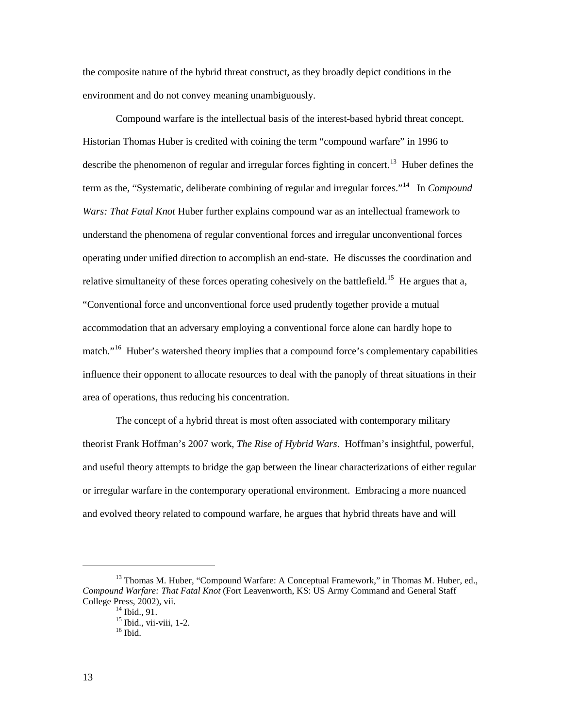the composite nature of the hybrid threat construct, as they broadly depict conditions in the environment and do not convey meaning unambiguously.

Compound warfare is the intellectual basis of the interest-based hybrid threat concept. Historian Thomas Huber is credited with coining the term "compound warfare" in 1996 to describe the phenomenon of regular and irregular forces fighting in concert.<sup>[13](#page-20-0)</sup> Huber defines the term as the, "Systematic, deliberate combining of regular and irregular forces."[14](#page-20-1) In *Compound Wars: That Fatal Knot* Huber further explains compound war as an intellectual framework to understand the phenomena of regular conventional forces and irregular unconventional forces operating under unified direction to accomplish an end-state. He discusses the coordination and relative simultaneity of these forces operating cohesively on the battlefield.<sup>15</sup> He argues that a, "Conventional force and unconventional force used prudently together provide a mutual accommodation that an adversary employing a conventional force alone can hardly hope to match."<sup>[16](#page-20-3)</sup> Huber's watershed theory implies that a compound force's complementary capabilities influence their opponent to allocate resources to deal with the panoply of threat situations in their area of operations, thus reducing his concentration.

The concept of a hybrid threat is most often associated with contemporary military theorist Frank Hoffman's 2007 work, *The Rise of Hybrid Wars*. Hoffman's insightful, powerful, and useful theory attempts to bridge the gap between the linear characterizations of either regular or irregular warfare in the contemporary operational environment. Embracing a more nuanced and evolved theory related to compound warfare, he argues that hybrid threats have and will

<span id="page-20-3"></span><span id="page-20-2"></span><span id="page-20-1"></span><span id="page-20-0"></span><sup>&</sup>lt;sup>13</sup> Thomas M. Huber, "Compound Warfare: A Conceptual Framework," in Thomas M. Huber, ed., *Compound Warfare: That Fatal Knot* (Fort Leavenworth, KS: US Army Command and General Staff College Press, 2002), vii.<br>
<sup>14</sup> Ibid., 91.<br>
<sup>15</sup> Ibid., vii-viii, 1-2.<br>
<sup>16</sup> Ibid.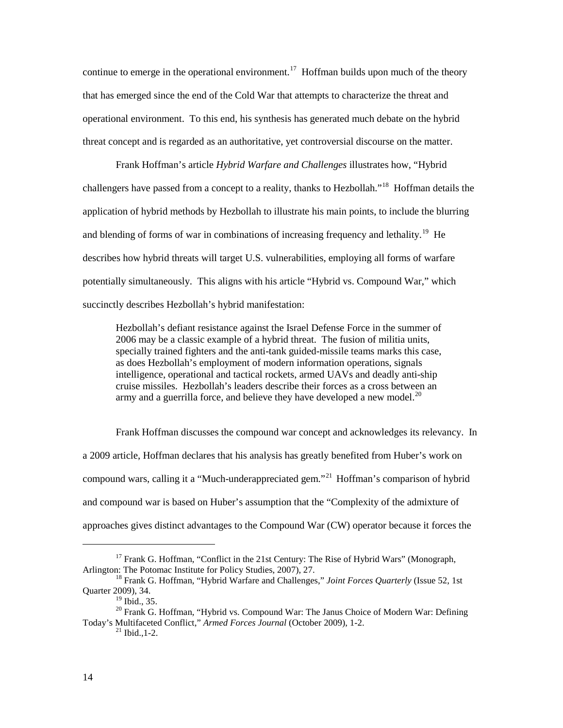continue to emerge in the operational environment.<sup>[17](#page-21-0)</sup> Hoffman builds upon much of the theory that has emerged since the end of the Cold War that attempts to characterize the threat and operational environment. To this end, his synthesis has generated much debate on the hybrid threat concept and is regarded as an authoritative, yet controversial discourse on the matter.

Frank Hoffman's article *Hybrid Warfare and Challenges* illustrates how, "Hybrid challengers have passed from a concept to a reality, thanks to Hezbollah."<sup>18</sup> Hoffman details the application of hybrid methods by Hezbollah to illustrate his main points, to include the blurring and blending of forms of war in combinations of increasing frequency and lethality.<sup>[19](#page-21-2)</sup> He describes how hybrid threats will target U.S. vulnerabilities, employing all forms of warfare potentially simultaneously. This aligns with his article "Hybrid vs. Compound War," which succinctly describes Hezbollah's hybrid manifestation:

Hezbollah's defiant resistance against the Israel Defense Force in the summer of 2006 may be a classic example of a hybrid threat. The fusion of militia units, specially trained fighters and the anti-tank guided-missile teams marks this case, as does Hezbollah's employment of modern information operations, signals intelligence, operational and tactical rockets, armed UAVs and deadly anti-ship cruise missiles. Hezbollah's leaders describe their forces as a cross between an army and a guerrilla force, and believe they have developed a new model. $^{20}$ 

Frank Hoffman discusses the compound war concept and acknowledges its relevancy. In a 2009 article, Hoffman declares that his analysis has greatly benefited from Huber's work on compound wars, calling it a "Much-underappreciated gem."<sup>[21](#page-21-4)</sup> Hoffman's comparison of hybrid and compound war is based on Huber's assumption that the "Complexity of the admixture of approaches gives distinct advantages to the Compound War (CW) operator because it forces the

<span id="page-21-0"></span> $17$  Frank G. Hoffman, "Conflict in the 21st Century: The Rise of Hybrid Wars" (Monograph, Arlington: The Potomac Institute for Policy Studies, 2007), 27.

<span id="page-21-1"></span><sup>&</sup>lt;sup>18</sup> Frank G. Hoffman, "Hybrid Warfare and Challenges," *Joint Forces Quarterly* (Issue 52, 1st Quarter 2009), 34.<br><sup>19</sup> Ibid., 35.

<span id="page-21-4"></span><span id="page-21-3"></span><span id="page-21-2"></span><sup>&</sup>lt;sup>20</sup> Frank G. Hoffman, "Hybrid vs. Compound War: The Janus Choice of Modern War: Defining Today's Multifaceted Conflict," *Armed Forces Journal* (October 2009), 1-2. <sup>21</sup> Ibid.,1-2.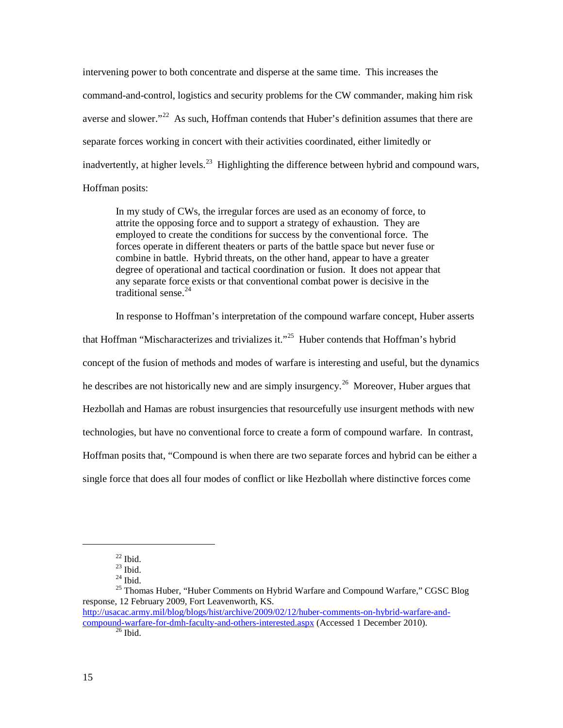intervening power to both concentrate and disperse at the same time. This increases the command-and-control, logistics and security problems for the CW commander, making him risk averse and slower."<sup>22</sup> As such, Hoffman contends that Huber's definition assumes that there are separate forces working in concert with their activities coordinated, either limitedly or inadvertently, at higher levels.<sup>[23](#page-22-1)</sup> Highlighting the difference between hybrid and compound wars, Hoffman posits:

In my study of CWs, the irregular forces are used as an economy of force, to attrite the opposing force and to support a strategy of exhaustion. They are employed to create the conditions for success by the conventional force. The forces operate in different theaters or parts of the battle space but never fuse or combine in battle. Hybrid threats, on the other hand, appear to have a greater degree of operational and tactical coordination or fusion. It does not appear that any separate force exists or that conventional combat power is decisive in the traditional sense. [24](#page-22-2) 

In response to Hoffman's interpretation of the compound warfare concept, Huber asserts

that Hoffman "Mischaracterizes and trivializes it."<sup>25</sup> Huber contends that Hoffman's hybrid concept of the fusion of methods and modes of warfare is interesting and useful, but the dynamics he describes are not historically new and are simply insurgency.<sup>[26](#page-22-4)</sup> Moreover, Huber argues that Hezbollah and Hamas are robust insurgencies that resourcefully use insurgent methods with new technologies, but have no conventional force to create a form of compound warfare. In contrast, Hoffman posits that, "Compound is when there are two separate forces and hybrid can be either a single force that does all four modes of conflict or like Hezbollah where distinctive forces come

 $\frac{^{22}}{^{23}}$  Ibid.

<span id="page-22-3"></span><span id="page-22-2"></span><span id="page-22-1"></span><span id="page-22-0"></span><sup>&</sup>lt;sup>24</sup> Ibid.<br><sup>25</sup> Thomas Huber, "Huber Comments on Hybrid Warfare and Compound Warfare," CGSC Blog response, 12 February 2009, Fort Leavenworth, KS. [http://usacac.army.mil/blog/blogs/hist/archive/2009/02/12/huber-comments-on-hybrid-warfare-and-](http://usacac.army.mil/blog/blogs/hist/archive/2009/02/12/huber-comments-on-hybrid-warfare-and-compound-warfare-for-dmh-faculty-and-others-interested.aspx)

<span id="page-22-4"></span>[compound-warfare-for-dmh-faculty-and-others-interested.aspx](http://usacac.army.mil/blog/blogs/hist/archive/2009/02/12/huber-comments-on-hybrid-warfare-and-compound-warfare-for-dmh-faculty-and-others-interested.aspx) (Accessed 1 December 2010).<br><sup>26</sup> Ibid.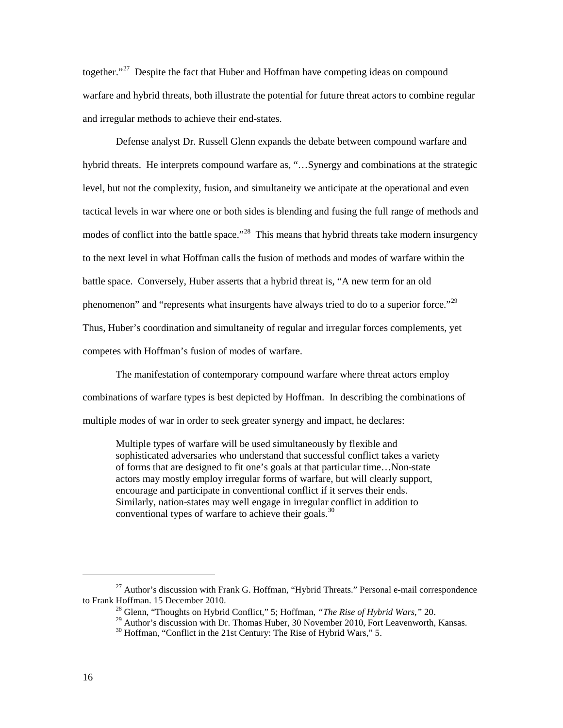together."<sup>[27](#page-23-0)</sup> Despite the fact that Huber and Hoffman have competing ideas on compound warfare and hybrid threats, both illustrate the potential for future threat actors to combine regular and irregular methods to achieve their end-states.

Defense analyst Dr. Russell Glenn expands the debate between compound warfare and hybrid threats. He interprets compound warfare as, "...Synergy and combinations at the strategic level, but not the complexity, fusion, and simultaneity we anticipate at the operational and even tactical levels in war where one or both sides is blending and fusing the full range of methods and modes of conflict into the battle space."<sup>28</sup> This means that hybrid threats take modern insurgency to the next level in what Hoffman calls the fusion of methods and modes of warfare within the battle space. Conversely, Huber asserts that a hybrid threat is, "A new term for an old phenomenon" and "represents what insurgents have always tried to do to a superior force."<sup>[29](#page-23-2)</sup> Thus, Huber's coordination and simultaneity of regular and irregular forces complements, yet competes with Hoffman's fusion of modes of warfare.

The manifestation of contemporary compound warfare where threat actors employ combinations of warfare types is best depicted by Hoffman. In describing the combinations of multiple modes of war in order to seek greater synergy and impact, he declares:

Multiple types of warfare will be used simultaneously by flexible and sophisticated adversaries who understand that successful conflict takes a variety of forms that are designed to fit one's goals at that particular time…Non-state actors may mostly employ irregular forms of warfare, but will clearly support, encourage and participate in conventional conflict if it serves their ends. Similarly, nation-states may well engage in irregular conflict in addition to conventional types of warfare to achieve their goals. $30$ 

<span id="page-23-3"></span><span id="page-23-2"></span><span id="page-23-1"></span><span id="page-23-0"></span><sup>&</sup>lt;sup>27</sup> Author's discussion with Frank G. Hoffman, "Hybrid Threats." Personal e-mail correspondence to Frank Hoffman. 15 December 2010.

<sup>&</sup>lt;sup>28</sup> Glenn, "Thoughts on Hybrid Conflict," 5; Hoffman, "*The Rise of Hybrid Wars*," 20.<br><sup>29</sup> Author's discussion with Dr. Thomas Huber, 30 November 2010, Fort Leavenworth, Kansas.<br><sup>30</sup> Hoffman, "Conflict in the 21st Centu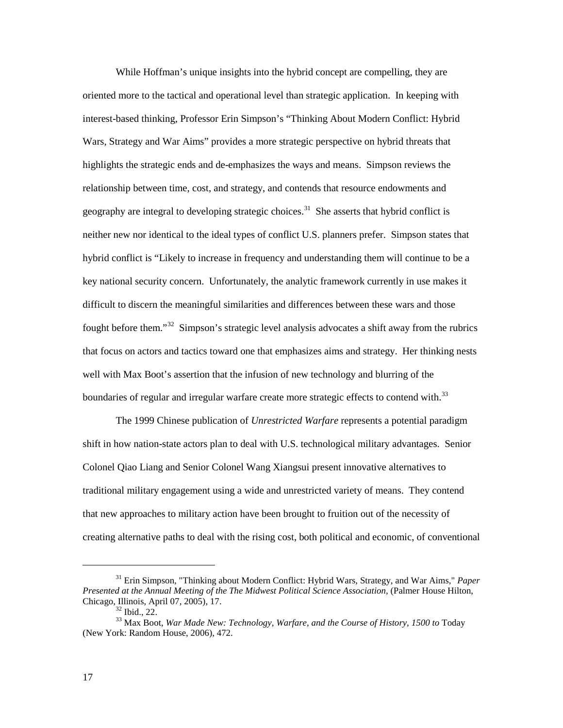While Hoffman's unique insights into the hybrid concept are compelling, they are oriented more to the tactical and operational level than strategic application. In keeping with interest-based thinking, Professor Erin Simpson's "Thinking About Modern Conflict: Hybrid Wars, Strategy and War Aims" provides a more strategic perspective on hybrid threats that highlights the strategic ends and de-emphasizes the ways and means. Simpson reviews the relationship between time, cost, and strategy, and contends that resource endowments and geography are integral to developing strategic choices.<sup>31</sup> She asserts that hybrid conflict is neither new nor identical to the ideal types of conflict U.S. planners prefer. Simpson states that hybrid conflict is "Likely to increase in frequency and understanding them will continue to be a key national security concern. Unfortunately, the analytic framework currently in use makes it difficult to discern the meaningful similarities and differences between these wars and those fought before them."[32](#page-24-1) Simpson's strategic level analysis advocates a shift away from the rubrics that focus on actors and tactics toward one that emphasizes aims and strategy. Her thinking nests well with Max Boot's assertion that the infusion of new technology and blurring of the boundaries of regular and irregular warfare create more strategic effects to contend with.<sup>[33](#page-24-2)</sup>

The 1999 Chinese publication of *Unrestricted Warfare* represents a potential paradigm shift in how nation-state actors plan to deal with U.S. technological military advantages. Senior Colonel Qiao Liang and Senior Colonel Wang Xiangsui present innovative alternatives to traditional military engagement using a wide and unrestricted variety of means. They contend that new approaches to military action have been brought to fruition out of the necessity of creating alternative paths to deal with the rising cost, both political and economic, of conventional

<span id="page-24-0"></span><sup>31</sup> Erin Simpson, "Thinking about Modern Conflict: Hybrid Wars, Strategy, and War Aims," *Paper Presented at the Annual Meeting of the The Midwest Political Science Association,* (Palmer House Hilton, Chicago, Illinois, April 07, 2005), 17.<br><sup>32</sup> Ibid., 22.

<span id="page-24-2"></span><span id="page-24-1"></span><sup>&</sup>lt;sup>33</sup> Max Boot, War Made New: Technology, Warfare, and the Course of History, 1500 to Today (New York: Random House, 2006), 472.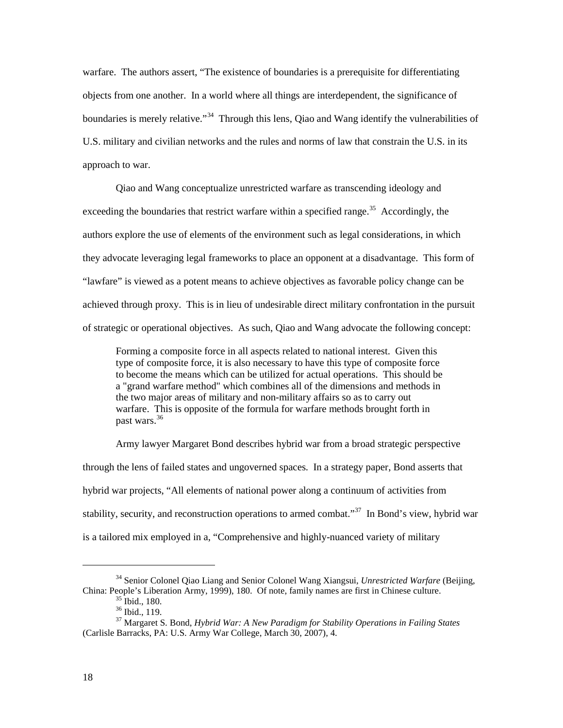warfare. The authors assert, "The existence of boundaries is a prerequisite for differentiating objects from one another. In a world where all things are interdependent, the significance of boundaries is merely relative."<sup>[34](#page-25-0)</sup> Through this lens, Qiao and Wang identify the vulnerabilities of U.S. military and civilian networks and the rules and norms of law that constrain the U.S. in its approach to war.

Qiao and Wang conceptualize unrestricted warfare as transcending ideology and exceeding the boundaries that restrict warfare within a specified range.<sup>[35](#page-25-1)</sup> Accordingly, the authors explore the use of elements of the environment such as legal considerations, in which they advocate leveraging legal frameworks to place an opponent at a disadvantage. This form of "lawfare" is viewed as a potent means to achieve objectives as favorable policy change can be achieved through proxy. This is in lieu of undesirable direct military confrontation in the pursuit of strategic or operational objectives. As such, Qiao and Wang advocate the following concept:

Forming a composite force in all aspects related to national interest. Given this type of composite force, it is also necessary to have this type of composite force to become the means which can be utilized for actual operations. This should be a "grand warfare method" which combines all of the dimensions and methods in the two major areas of military and non-military affairs so as to carry out warfare. This is opposite of the formula for warfare methods brought forth in past wars. [36](#page-25-2)

Army lawyer Margaret Bond describes hybrid war from a broad strategic perspective through the lens of failed states and ungoverned spaces. In a strategy paper, Bond asserts that hybrid war projects, "All elements of national power along a continuum of activities from stability, security, and reconstruction operations to armed combat."<sup>[37](#page-25-3)</sup> In Bond's view, hybrid war is a tailored mix employed in a, "Comprehensive and highly-nuanced variety of military

<span id="page-25-0"></span><sup>34</sup> Senior Colonel Qiao Liang and Senior Colonel Wang Xiangsui, *Unrestricted Warfare* (Beijing, China: People's Liberation Army, 1999), 180. Of note, family names are first in Chinese culture.

<span id="page-25-3"></span><span id="page-25-2"></span><span id="page-25-1"></span><sup>35</sup> Ibid., 180. 36 Ibid., 119. 37 Margaret S. Bond, *Hybrid War: A New Paradigm for Stability Operations in Failing States*  (Carlisle Barracks, PA: U.S. Army War College, March 30, 2007), 4.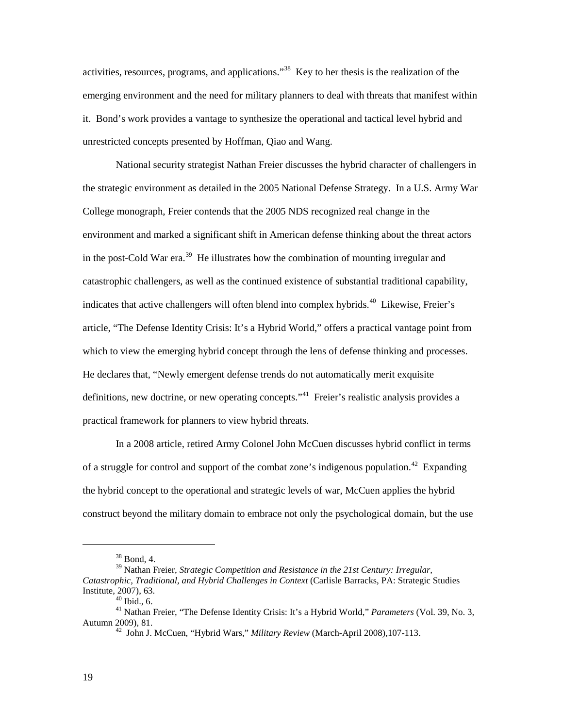activities, resources, programs, and applications."<sup>[38](#page-26-0)</sup> Key to her thesis is the realization of the emerging environment and the need for military planners to deal with threats that manifest within it. Bond's work provides a vantage to synthesize the operational and tactical level hybrid and unrestricted concepts presented by Hoffman, Qiao and Wang.

National security strategist Nathan Freier discusses the hybrid character of challengers in the strategic environment as detailed in the 2005 National Defense Strategy. In a U.S. Army War College monograph, Freier contends that the 2005 NDS recognized real change in the environment and marked a significant shift in American defense thinking about the threat actors in the post-Cold War era.<sup>39</sup> He illustrates how the combination of mounting irregular and catastrophic challengers, as well as the continued existence of substantial traditional capability, indicates that active challengers will often blend into complex hybrids.<sup>[40](#page-26-2)</sup> Likewise, Freier's article, "The Defense Identity Crisis: It's a Hybrid World," offers a practical vantage point from which to view the emerging hybrid concept through the lens of defense thinking and processes. He declares that, "Newly emergent defense trends do not automatically merit exquisite definitions, new doctrine, or new operating concepts."<sup>[41](#page-26-3)</sup> Freier's realistic analysis provides a practical framework for planners to view hybrid threats.

In a 2008 article, retired Army Colonel John McCuen discusses hybrid conflict in terms of a struggle for control and support of the combat zone's indigenous population.<sup>[42](#page-26-4)</sup> Expanding the hybrid concept to the operational and strategic levels of war, McCuen applies the hybrid construct beyond the military domain to embrace not only the psychological domain, but the use

 $38$  Bond, 4.

<span id="page-26-1"></span><span id="page-26-0"></span><sup>39</sup> Nathan Freier, *Strategic Competition and Resistance in the 21st Century: Irregular, Catastrophic, Traditional, and Hybrid Challenges in Context* (Carlisle Barracks, PA: Strategic Studies Institute, 2007), 63. <sup>40</sup> Ibid., 6. 41 Nathan Freier, "The Defense Identity Crisis: It's a Hybrid World," *Parameters* (Vol. 39, No. 3,

<span id="page-26-4"></span><span id="page-26-3"></span><span id="page-26-2"></span>Autumn 2009), 81. 42 John J. McCuen, "Hybrid Wars," *Military Review* (March-April 2008),107-113.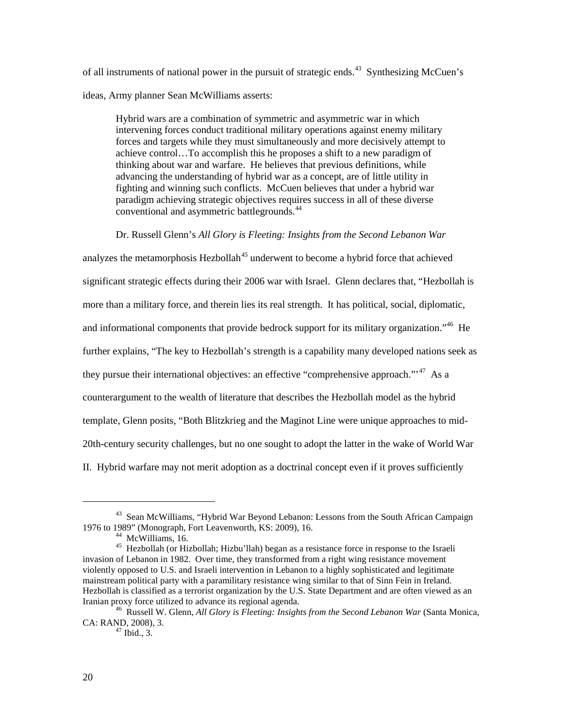of all instruments of national power in the pursuit of strategic ends.<sup>[43](#page-27-0)</sup> Synthesizing McCuen's ideas, Army planner Sean McWilliams asserts:

Hybrid wars are a combination of symmetric and asymmetric war in which intervening forces conduct traditional military operations against enemy military forces and targets while they must simultaneously and more decisively attempt to achieve control…To accomplish this he proposes a shift to a new paradigm of thinking about war and warfare. He believes that previous definitions, while advancing the understanding of hybrid war as a concept, are of little utility in fighting and winning such conflicts. McCuen believes that under a hybrid war paradigm achieving strategic objectives requires success in all of these diverse conventional and asymmetric battlegrounds. [44](#page-27-1)

Dr. Russell Glenn's *All Glory is Fleeting: Insights from the Second Lebanon War*

analyzes the metamorphosis Hezbollah $45$  underwent to become a hybrid force that achieved significant strategic effects during their 2006 war with Israel. Glenn declares that, "Hezbollah is more than a military force, and therein lies its real strength. It has political, social, diplomatic, and informational components that provide bedrock support for its military organization."<sup>[46](#page-27-3)</sup> He further explains, "The key to Hezbollah's strength is a capability many developed nations seek as they pursue their international objectives: an effective "comprehensive approach."<sup>[47](#page-27-4)</sup> As a counterargument to the wealth of literature that describes the Hezbollah model as the hybrid template, Glenn posits, "Both Blitzkrieg and the Maginot Line were unique approaches to mid-20th-century security challenges, but no one sought to adopt the latter in the wake of World War II. Hybrid warfare may not merit adoption as a doctrinal concept even if it proves sufficiently

<span id="page-27-0"></span><sup>43</sup> Sean McWilliams, "Hybrid War Beyond Lebanon: Lessons from the South African Campaign 1976 to 1989" (Monograph, Fort Leavenworth, KS: 2009), 16.

<span id="page-27-2"></span><span id="page-27-1"></span><sup>&</sup>lt;sup>45</sup> Hezbollah (or Hizbollah; Hizbu'llah) began as a resistance force in response to the Israeli invasion of Lebanon in 1982. Over time, they transformed from a right wing resistance movement violently opposed to U.S. and Israeli intervention in Lebanon to a highly sophisticated and legitimate mainstream political party with a paramilitary resistance wing similar to that of Sinn Fein in Ireland. Hezbollah is classified as a terrorist organization by the U.S. State Department and are often viewed as an Iranian proxy force utilized to advance its regional agenda.<br><sup>46</sup> Russell W. Glenn, *All Glory is Fleeting: Insights from the Second Lebanon War* (Santa Monica,

<span id="page-27-4"></span><span id="page-27-3"></span>CA: RAND, 2008), 3.<br> $^{47}$  Ibid., 3.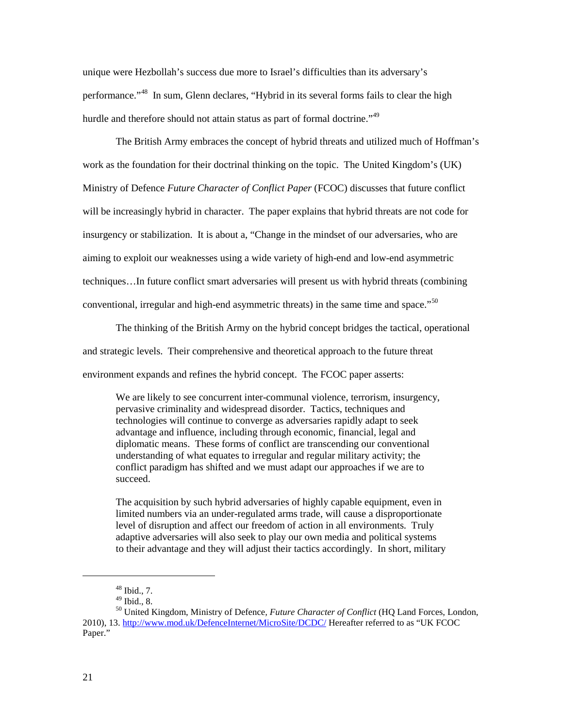unique were Hezbollah's success due more to Israel's difficulties than its adversary's performance."[48](#page-28-0) In sum, Glenn declares, "Hybrid in its several forms fails to clear the high hurdle and therefore should not attain status as part of formal doctrine."<sup>[49](#page-28-1)</sup>

The British Army embraces the concept of hybrid threats and utilized much of Hoffman's work as the foundation for their doctrinal thinking on the topic. The United Kingdom's (UK) Ministry of Defence *Future Character of Conflict Paper* (FCOC) discusses that future conflict will be increasingly hybrid in character. The paper explains that hybrid threats are not code for insurgency or stabilization. It is about a, "Change in the mindset of our adversaries, who are aiming to exploit our weaknesses using a wide variety of high-end and low-end asymmetric techniques…In future conflict smart adversaries will present us with hybrid threats (combining conventional, irregular and high-end asymmetric threats) in the same time and space."<sup>[50](#page-28-2)</sup>

The thinking of the British Army on the hybrid concept bridges the tactical, operational and strategic levels. Their comprehensive and theoretical approach to the future threat environment expands and refines the hybrid concept. The FCOC paper asserts:

We are likely to see concurrent inter-communal violence, terrorism, insurgency, pervasive criminality and widespread disorder. Tactics, techniques and technologies will continue to converge as adversaries rapidly adapt to seek advantage and influence, including through economic, financial, legal and diplomatic means. These forms of conflict are transcending our conventional understanding of what equates to irregular and regular military activity; the conflict paradigm has shifted and we must adapt our approaches if we are to succeed.

The acquisition by such hybrid adversaries of highly capable equipment, even in limited numbers via an under-regulated arms trade, will cause a disproportionate level of disruption and affect our freedom of action in all environments. Truly adaptive adversaries will also seek to play our own media and political systems to their advantage and they will adjust their tactics accordingly. In short, military

 $^{48}$  Ibid., 7.<br> $^{49}$  Ibid., 8.

<span id="page-28-2"></span><span id="page-28-1"></span><span id="page-28-0"></span><sup>&</sup>lt;sup>50</sup> United Kingdom, Ministry of Defence, Future Character of Conflict (HQ Land Forces, London, 2010), 13. [http://www.mod.uk/DefenceInternet/MicroSite/DCDC/](blockedhttp://www.mod.uk/DefenceInternet/MicroSite/DCDC/) Hereafter referred to as "UK FCOC Paper."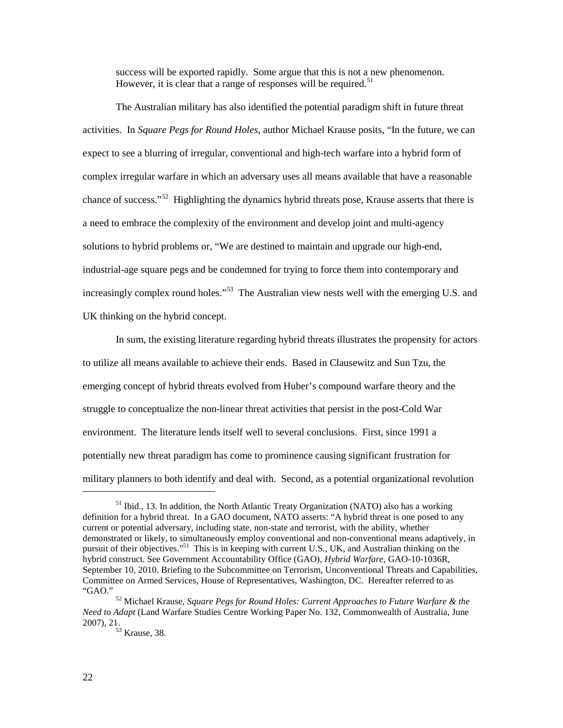success will be exported rapidly. Some argue that this is not a new phenomenon. However, it is clear that a range of responses will be required.<sup>[51](#page-29-0)</sup>

The Australian military has also identified the potential paradigm shift in future threat activities. In *Square Pegs for Round Holes*, author Michael Krause posits, "In the future, we can expect to see a blurring of irregular, conventional and high-tech warfare into a hybrid form of complex irregular warfare in which an adversary uses all means available that have a reasonable chance of success."[52](#page-29-1) Highlighting the dynamics hybrid threats pose, Krause asserts that there is a need to embrace the complexity of the environment and develop joint and multi-agency solutions to hybrid problems or, "We are destined to maintain and upgrade our high-end, industrial-age square pegs and be condemned for trying to force them into contemporary and increasingly complex round holes."<sup>[53](#page-29-2)</sup> The Australian view nests well with the emerging U.S. and UK thinking on the hybrid concept.

In sum, the existing literature regarding hybrid threats illustrates the propensity for actors to utilize all means available to achieve their ends. Based in Clausewitz and Sun Tzu, the emerging concept of hybrid threats evolved from Huber's compound warfare theory and the struggle to conceptualize the non-linear threat activities that persist in the post-Cold War environment. The literature lends itself well to several conclusions. First, since 1991 a potentially new threat paradigm has come to prominence causing significant frustration for military planners to both identify and deal with. Second, as a potential organizational revolution

<span id="page-29-0"></span> $<sup>51</sup>$  Ibid., 13. In addition, the North Atlantic Treaty Organization (NATO) also has a working</sup> definition for a hybrid threat. In a GAO document, NATO asserts: "A hybrid threat is one posed to any current or potential adversary, including state, non-state and terrorist, with the ability, whether demonstrated or likely, to simultaneously employ conventional and non-conventional means adaptively, in pursuit of their objectives."<sup>51</sup> This is in keeping with current U.S., UK, and Australian thinking on the hybrid construct. See Government Accountability Office (GAO), *Hybrid Warfare*, GAO-10-1036R, September 10, 2010. Briefing to the Subcommittee on Terrorism, Unconventional Threats and Capabilities, Committee on Armed Services, House of Representatives, Washington, DC. Hereafter referred to as

<span id="page-29-2"></span><span id="page-29-1"></span><sup>&</sup>lt;sup>52</sup> Michael Krause, *Square Pegs for Round Holes: Current Approaches to Future Warfare & the Need to Adapt* (Land Warfare Studies Centre Working Paper No. 132, Commonwealth of Australia, June

 $53$  Krause, 38.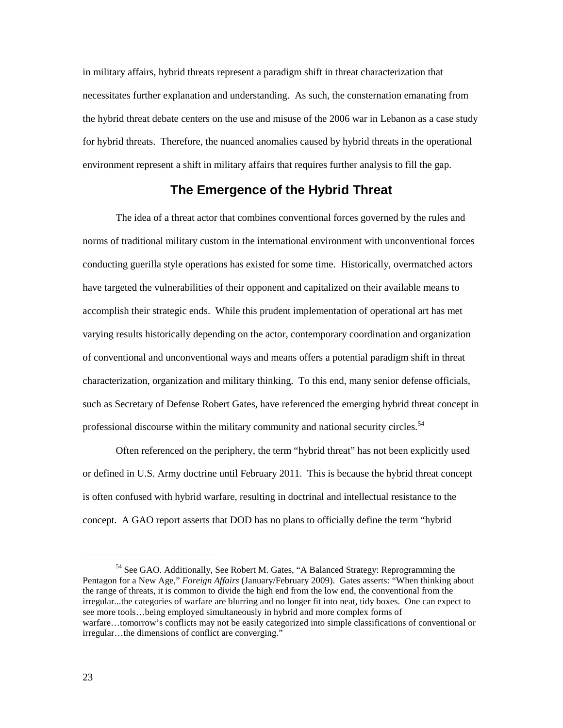in military affairs, hybrid threats represent a paradigm shift in threat characterization that necessitates further explanation and understanding. As such, the consternation emanating from the hybrid threat debate centers on the use and misuse of the 2006 war in Lebanon as a case study for hybrid threats. Therefore, the nuanced anomalies caused by hybrid threats in the operational environment represent a shift in military affairs that requires further analysis to fill the gap.

### **The Emergence of the Hybrid Threat**

The idea of a threat actor that combines conventional forces governed by the rules and norms of traditional military custom in the international environment with unconventional forces conducting guerilla style operations has existed for some time. Historically, overmatched actors have targeted the vulnerabilities of their opponent and capitalized on their available means to accomplish their strategic ends. While this prudent implementation of operational art has met varying results historically depending on the actor, contemporary coordination and organization of conventional and unconventional ways and means offers a potential paradigm shift in threat characterization, organization and military thinking. To this end, many senior defense officials, such as Secretary of Defense Robert Gates, have referenced the emerging hybrid threat concept in professional discourse within the military community and national security circles.<sup>[54](#page-30-0)</sup>

Often referenced on the periphery, the term "hybrid threat" has not been explicitly used or defined in U.S. Army doctrine until February 2011. This is because the hybrid threat concept is often confused with hybrid warfare, resulting in doctrinal and intellectual resistance to the concept. A GAO report asserts that DOD has no plans to officially define the term "hybrid

<span id="page-30-0"></span><sup>&</sup>lt;sup>54</sup> See GAO. Additionally, See Robert M. Gates, "A Balanced Strategy: Reprogramming the Pentagon for a New Age," *Foreign Affairs* (January/February 2009). Gates asserts: "When thinking about the range of threats, it is common to divide the high end from the low end, the conventional from the irregular...the categories of warfare are blurring and no longer fit into neat, tidy boxes. One can expect to see more tools…being employed simultaneously in hybrid and more complex forms of warfare…tomorrow's conflicts may not be easily categorized into simple classifications of conventional or irregular…the dimensions of conflict are converging."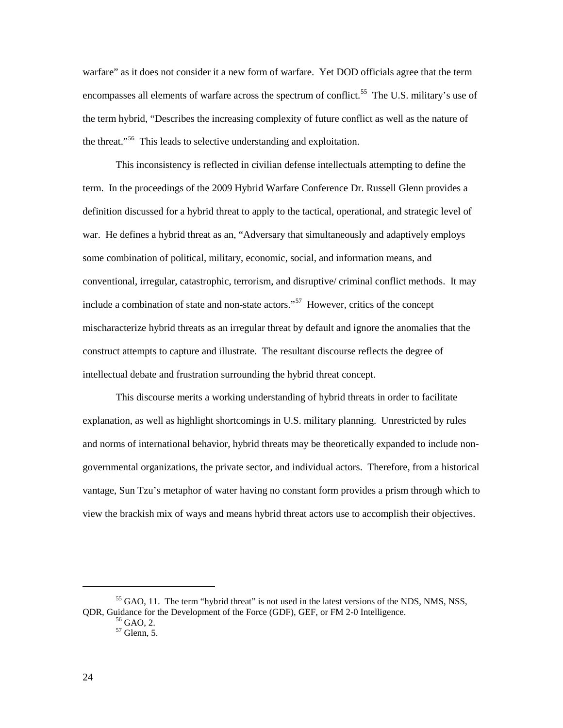warfare" as it does not consider it a new form of warfare. Yet DOD officials agree that the term encompasses all elements of warfare across the spectrum of conflict.<sup>[55](#page-31-0)</sup> The U.S. military's use of the term hybrid, "Describes the increasing complexity of future conflict as well as the nature of the threat."<sup>[56](#page-31-1)</sup> This leads to selective understanding and exploitation.

This inconsistency is reflected in civilian defense intellectuals attempting to define the term. In the proceedings of the 2009 Hybrid Warfare Conference Dr. Russell Glenn provides a definition discussed for a hybrid threat to apply to the tactical, operational, and strategic level of war. He defines a hybrid threat as an, "Adversary that simultaneously and adaptively employs some combination of political, military, economic, social, and information means, and conventional, irregular, catastrophic, terrorism, and disruptive/ criminal conflict methods. It may include a combination of state and non-state actors." [57](#page-31-2) However, critics of the concept mischaracterize hybrid threats as an irregular threat by default and ignore the anomalies that the construct attempts to capture and illustrate. The resultant discourse reflects the degree of intellectual debate and frustration surrounding the hybrid threat concept.

This discourse merits a working understanding of hybrid threats in order to facilitate explanation, as well as highlight shortcomings in U.S. military planning. Unrestricted by rules and norms of international behavior, hybrid threats may be theoretically expanded to include nongovernmental organizations, the private sector, and individual actors. Therefore, from a historical vantage, Sun Tzu's metaphor of water having no constant form provides a prism through which to view the brackish mix of ways and means hybrid threat actors use to accomplish their objectives.

<span id="page-31-2"></span><span id="page-31-1"></span><span id="page-31-0"></span> $<sup>55</sup>$  GAO, 11. The term "hybrid threat" is not used in the latest versions of the NDS, NMS, NSS,</sup> QDR, Guidance for the Development of the Force (GDF), GEF, or FM 2-0 Intelligence.<br><sup>56</sup> GAO, 2. <sup>57</sup> Glenn, 5.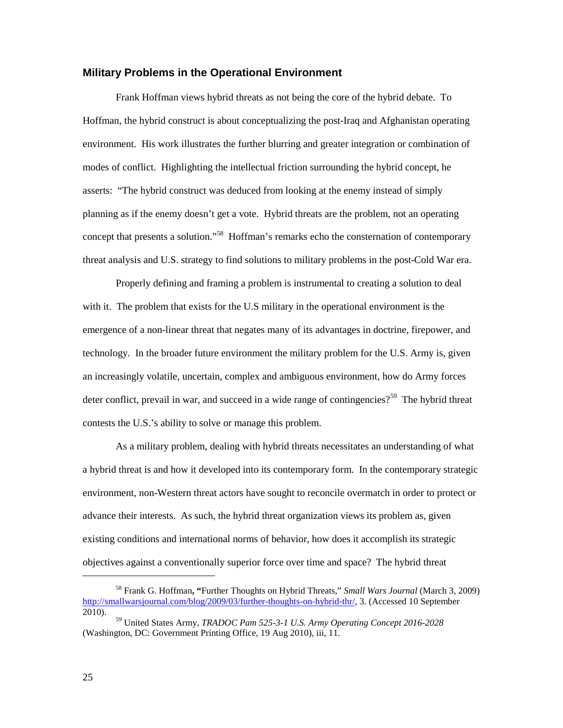#### **Military Problems in the Operational Environment**

Frank Hoffman views hybrid threats as not being the core of the hybrid debate. To Hoffman, the hybrid construct is about conceptualizing the post-Iraq and Afghanistan operating environment. His work illustrates the further blurring and greater integration or combination of modes of conflict. Highlighting the intellectual friction surrounding the hybrid concept, he asserts: "The hybrid construct was deduced from looking at the enemy instead of simply planning as if the enemy doesn't get a vote. Hybrid threats are the problem, not an operating concept that presents a solution."<sup>[58](#page-32-0)</sup> Hoffman's remarks echo the consternation of contemporary threat analysis and U.S. strategy to find solutions to military problems in the post-Cold War era.

Properly defining and framing a problem is instrumental to creating a solution to deal with it. The problem that exists for the U.S military in the operational environment is the emergence of a non-linear threat that negates many of its advantages in doctrine, firepower, and technology. In the broader future environment the military problem for the U.S. Army is, given an increasingly volatile, uncertain, complex and ambiguous environment, how do Army forces deter conflict, prevail in war, and succeed in a wide range of contingencies?<sup>[59](#page-32-1)</sup> The hybrid threat contests the U.S.'s ability to solve or manage this problem.

As a military problem, dealing with hybrid threats necessitates an understanding of what a hybrid threat is and how it developed into its contemporary form. In the contemporary strategic environment, non-Western threat actors have sought to reconcile overmatch in order to protect or advance their interests. As such, the hybrid threat organization views its problem as, given existing conditions and international norms of behavior, how does it accomplish its strategic objectives against a conventionally superior force over time and space? The hybrid threat

<span id="page-32-0"></span><sup>58</sup> Frank G. Hoffman**, "**Further Thoughts on Hybrid Threats," *Small Wars Journal* (March 3, 2009) [http://smallwarsjournal.com/blog/2009/03/further-thoughts-on-hybrid-thr/,](http://smallwarsjournal.com/blog/2009/03/further-thoughts-on-hybrid-thr/) 3. (Accessed 10 September 2010).

<span id="page-32-1"></span><sup>59</sup> United States Army*, TRADOC Pam 525-3-1 U.S. Army Operating Concept 2016-2028* (Washington, DC: Government Printing Office, 19 Aug 2010), iii, 11.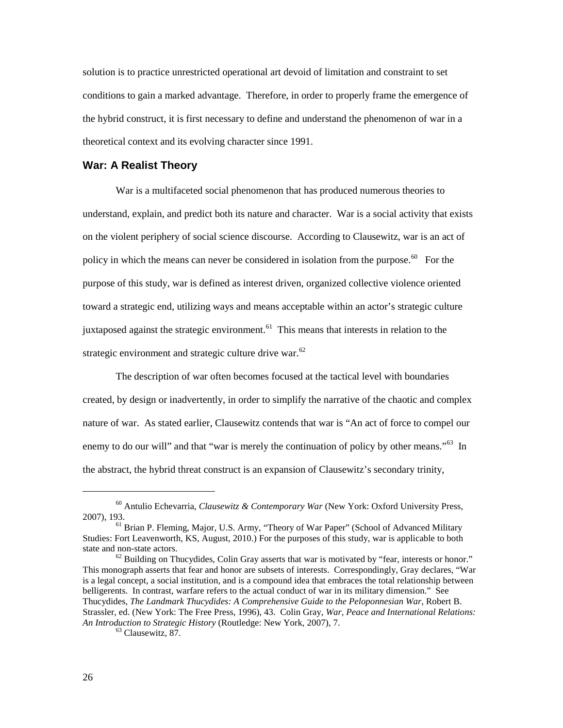solution is to practice unrestricted operational art devoid of limitation and constraint to set conditions to gain a marked advantage. Therefore, in order to properly frame the emergence of the hybrid construct, it is first necessary to define and understand the phenomenon of war in a theoretical context and its evolving character since 1991.

#### **War: A Realist Theory**

War is a multifaceted social phenomenon that has produced numerous theories to understand, explain, and predict both its nature and character. War is a social activity that exists on the violent periphery of social science discourse. According to Clausewitz, war is an act of policy in which the means can never be considered in isolation from the purpose.<sup>[60](#page-33-0)</sup> For the purpose of this study, war is defined as interest driven, organized collective violence oriented toward a strategic end, utilizing ways and means acceptable within an actor's strategic culture juxtaposed against the strategic environment.<sup>[61](#page-33-1)</sup> This means that interests in relation to the strategic environment and strategic culture drive war.<sup>[62](#page-33-2)</sup>

The description of war often becomes focused at the tactical level with boundaries created, by design or inadvertently, in order to simplify the narrative of the chaotic and complex nature of war. As stated earlier, Clausewitz contends that war is "An act of force to compel our enemy to do our will" and that "war is merely the continuation of policy by other means."<sup>[63](#page-33-3)</sup> In the abstract, the hybrid threat construct is an expansion of Clausewitz's secondary trinity,

<span id="page-33-3"></span><span id="page-33-2"></span>This monograph asserts that fear and honor are subsets of interests. Correspondingly, Gray declares, "War is a legal concept, a social institution, and is a compound idea that embraces the total relationship between belligerents. In contrast, warfare refers to the actual conduct of war in its military dimension." See Thucydides, *The Landmark Thucydides: A Comprehensive Guide to the Peloponnesian War*, Robert B. Strassler, ed. (New York: The Free Press, 1996), 43. Colin Gray, *War, Peace and International Relations: An Introduction to Strategic History* (Routledge: New York, 2007), 7. 63 Clausewitz, 87.

<span id="page-33-0"></span><sup>60</sup> Antulio Echevarria, *Clausewitz & Contemporary War* (New York: Oxford University Press, 2007), 193.

<span id="page-33-1"></span><sup>&</sup>lt;sup>61</sup> Brian P. Fleming, Major, U.S. Army, "Theory of War Paper" (School of Advanced Military Studies: Fort Leavenworth, KS, August, 2010.) For the purposes of this study, war is applicable to both state and non-state actors.<br><sup>62</sup> Building on Thucydides, Colin Gray asserts that war is motivated by "fear, interests or honor."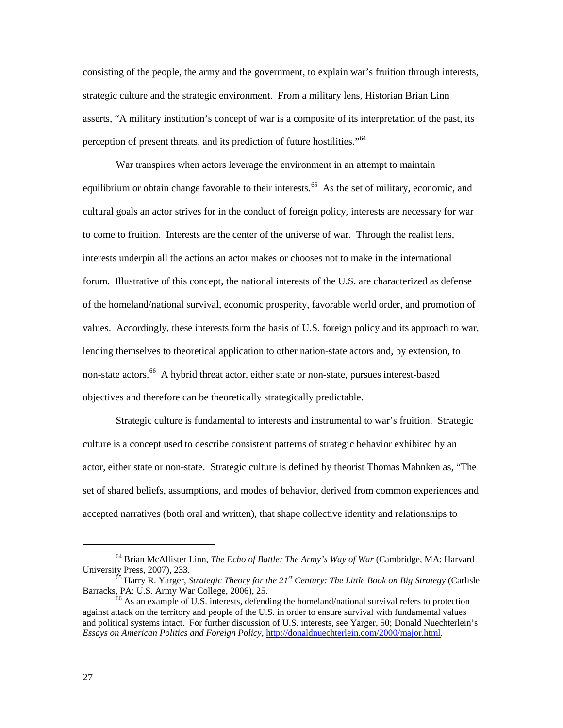consisting of the people, the army and the government, to explain war's fruition through interests, strategic culture and the strategic environment. From a military lens, Historian Brian Linn asserts, "A military institution's concept of war is a composite of its interpretation of the past, its perception of present threats, and its prediction of future hostilities."<sup>[64](#page-34-0)</sup>

War transpires when actors leverage the environment in an attempt to maintain equilibrium or obtain change favorable to their interests.<sup>[65](#page-34-1)</sup> As the set of military, economic, and cultural goals an actor strives for in the conduct of foreign policy, interests are necessary for war to come to fruition. Interests are the center of the universe of war. Through the realist lens, interests underpin all the actions an actor makes or chooses not to make in the international forum. Illustrative of this concept, the national interests of the U.S. are characterized as defense of the homeland/national survival, economic prosperity, favorable world order, and promotion of values. Accordingly, these interests form the basis of U.S. foreign policy and its approach to war, lending themselves to theoretical application to other nation-state actors and, by extension, to non-state actors. [66](#page-34-2) A hybrid threat actor, either state or non-state, pursues interest-based objectives and therefore can be theoretically strategically predictable.

Strategic culture is fundamental to interests and instrumental to war's fruition. Strategic culture is a concept used to describe consistent patterns of strategic behavior exhibited by an actor, either state or non-state. Strategic culture is defined by theorist Thomas Mahnken as, "The set of shared beliefs, assumptions, and modes of behavior, derived from common experiences and accepted narratives (both oral and written), that shape collective identity and relationships to

<span id="page-34-0"></span><sup>&</sup>lt;sup>64</sup> Brian McAllister Linn, *The Echo of Battle: The Army's Way of War* (Cambridge, MA: Harvard University Press, 2007), 233.

<span id="page-34-1"></span><sup>&</sup>lt;sup>65</sup> Harry R. Yarger, *Strategic Theory for the 21<sup><i>st*</sup> Century: The Little Book on Big Strategy (Carlisle Barracks, PA: U.S. Army War College, 2006), 25.

<span id="page-34-2"></span> $66$  As an example of U.S. interests, defending the homeland/national survival refers to protection against attack on the territory and people of the U.S. in order to ensure survival with fundamental values and political systems intact. For further discussion of U.S. interests, see Yarger, 50; Donald Nuechterlein's *Essays on American Politics and Foreign Policy,* [http://donaldnuechterlein.com/2000/major.html.](http://donaldnuechterlein.com/2000/major.html)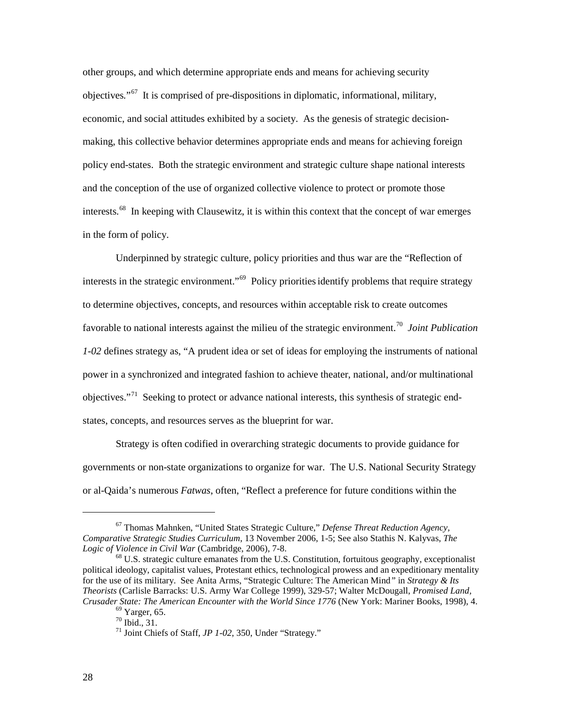other groups, and which determine appropriate ends and means for achieving security objectives*.*"[67](#page-35-0) It is comprised of pre-dispositions in diplomatic, informational, military, economic, and social attitudes exhibited by a society. As the genesis of strategic decisionmaking, this collective behavior determines appropriate ends and means for achieving foreign policy end-states. Both the strategic environment and strategic culture shape national interests and the conception of the use of organized collective violence to protect or promote those interests.<sup>[68](#page-35-1)</sup> In keeping with Clausewitz, it is within this context that the concept of war emerges in the form of policy.

Underpinned by strategic culture, policy priorities and thus war are the "Reflection of interests in the strategic environment."<sup>69</sup> Policy priorities identify problems that require strategy to determine objectives, concepts, and resources within acceptable risk to create outcomes favorable to national interests against the milieu of the strategic environment.[70](#page-35-3) *Joint Publication 1-02* defines strategy as, "A prudent idea or set of ideas for employing the instruments of national power in a synchronized and integrated fashion to achieve theater, national, and/or multinational objectives."<sup>[71](#page-35-4)</sup> Seeking to protect or advance national interests, this synthesis of strategic endstates, concepts, and resources serves as the blueprint for war.

Strategy is often codified in overarching strategic documents to provide guidance for governments or non-state organizations to organize for war. The U.S. National Security Strategy or al-Qaida's numerous *Fatwas*, often, "Reflect a preference for future conditions within the

<span id="page-35-0"></span><sup>67</sup> Thomas Mahnken, "United States Strategic Culture," *Defense Threat Reduction Agency, Comparative Strategic Studies Curriculum*, 13 November 2006, 1-5; See also Stathis N. Kalyvas, *The* 

<span id="page-35-4"></span><span id="page-35-3"></span><span id="page-35-2"></span><span id="page-35-1"></span><sup>&</sup>lt;sup>68</sup> U.S. strategic culture emanates from the U.S. Constitution, fortuitous geography, exceptionalist political ideology, capitalist values, Protestant ethics, technological prowess and an expeditionary mentality for the use of its military. See Anita Arms, "Strategic Culture: The American Mind*"* in *Strategy & Its Theorists* (Carlisle Barracks: U.S. Army War College 1999), 329-57; Walter McDougall, *Promised Land, Crusader State: The American Encounter with the World Since 1776* (New York: Mariner Books, 1998), 4.<br><sup>69</sup> Yarger, 65. <sup>70</sup> Ibid., 31. <sup>71</sup> Joint Chiefs of Staff, *JP 1-02*, 350, Under "Strategy."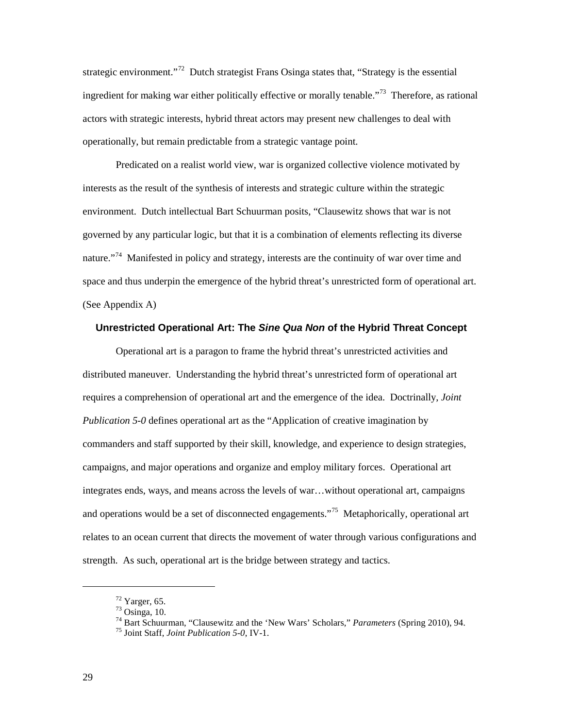strategic environment."<sup>72</sup> Dutch strategist Frans Osinga states that, "Strategy is the essential ingredient for making war either politically effective or morally tenable."<sup>[73](#page-36-1)</sup> Therefore, as rational actors with strategic interests, hybrid threat actors may present new challenges to deal with operationally, but remain predictable from a strategic vantage point.

Predicated on a realist world view, war is organized collective violence motivated by interests as the result of the synthesis of interests and strategic culture within the strategic environment. Dutch intellectual Bart Schuurman posits, "Clausewitz shows that war is not governed by any particular logic, but that it is a combination of elements reflecting its diverse nature."<sup>[74](#page-36-2)</sup> Manifested in policy and strategy, interests are the continuity of war over time and space and thus underpin the emergence of the hybrid threat's unrestricted form of operational art. (See Appendix A)

#### **Unrestricted Operational Art: The** *Sine Qua Non* **of the Hybrid Threat Concept**

Operational art is a paragon to frame the hybrid threat's unrestricted activities and distributed maneuver. Understanding the hybrid threat's unrestricted form of operational art requires a comprehension of operational art and the emergence of the idea. Doctrinally, *Joint Publication 5-0* defines operational art as the "Application of creative imagination by commanders and staff supported by their skill, knowledge, and experience to design strategies, campaigns, and major operations and organize and employ military forces. Operational art integrates ends, ways, and means across the levels of war…without operational art, campaigns and operations would be a set of disconnected engagements."<sup>[75](#page-36-3)</sup> Metaphorically, operational art relates to an ocean current that directs the movement of water through various configurations and strength. As such, operational art is the bridge between strategy and tactics.

<span id="page-36-0"></span> $^{72}$  Yarger, 65.<br> $^{73}$  Osinga, 10.

<span id="page-36-1"></span><sup>&</sup>lt;sup>74</sup> Bart Schuurman, "Clausewitz and the 'New Wars' Scholars," *Parameters* (Spring 2010), 94.<br><sup>75</sup> Joint Staff, *Joint Publication 5-0*, IV-1.

<span id="page-36-3"></span><span id="page-36-2"></span>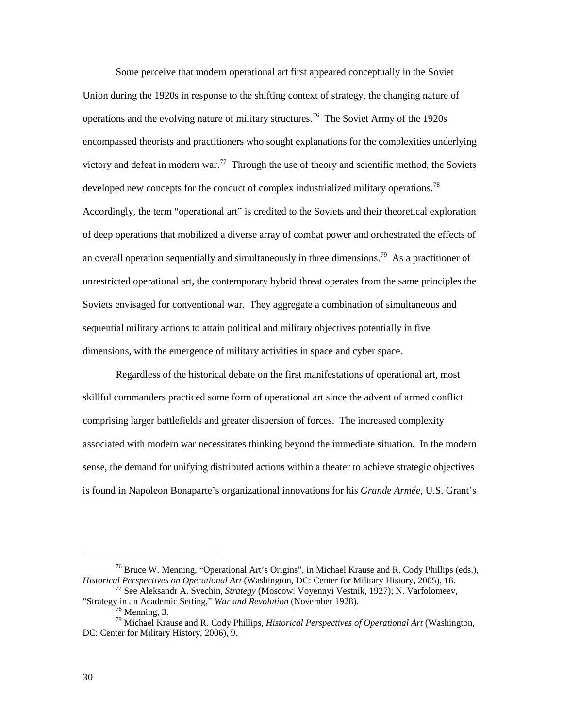Some perceive that modern operational art first appeared conceptually in the Soviet Union during the 1920s in response to the shifting context of strategy, the changing nature of operations and the evolving nature of military structures.<sup>[76](#page-37-0)</sup> The Soviet Army of the 1920s encompassed theorists and practitioners who sought explanations for the complexities underlying victory and defeat in modern war.<sup>[77](#page-37-1)</sup> Through the use of theory and scientific method, the Soviets developed new concepts for the conduct of complex industrialized military operations.<sup>[78](#page-37-2)</sup> Accordingly, the term "operational art" is credited to the Soviets and their theoretical exploration of deep operations that mobilized a diverse array of combat power and orchestrated the effects of an overall operation sequentially and simultaneously in three dimensions.<sup>[79](#page-37-3)</sup> As a practitioner of unrestricted operational art, the contemporary hybrid threat operates from the same principles the Soviets envisaged for conventional war. They aggregate a combination of simultaneous and sequential military actions to attain political and military objectives potentially in five dimensions, with the emergence of military activities in space and cyber space.

Regardless of the historical debate on the first manifestations of operational art, most skillful commanders practiced some form of operational art since the advent of armed conflict comprising larger battlefields and greater dispersion of forces. The increased complexity associated with modern war necessitates thinking beyond the immediate situation. In the modern sense, the demand for unifying distributed actions within a theater to achieve strategic objectives is found in Napoleon Bonaparte's organizational innovations for his *Grande Armée*, U.S. Grant's

<span id="page-37-0"></span><sup>&</sup>lt;sup>76</sup> Bruce W. Menning, "Operational Art's Origins", in Michael Krause and R. Cody Phillips (eds.), *Historical Perspectives on Operational Art* (Washington, DC: Center for Military History, 2005), 18.

<span id="page-37-1"></span><sup>&</sup>lt;sup>77</sup> See Aleksandr A. Svechin, *Strategy* (Moscow: Voyennyi Vestnik, 1927); N. Varfolomeev, "Strategy in an Academic Setting," *War and Revolution* (November 1928). <sup>78</sup> Menning, 3. <sup>79</sup> Michael Krause and R. Cody Phillips, *Historical Perspectives of Operational Art* (Washington,

<span id="page-37-3"></span><span id="page-37-2"></span>DC: Center for Military History, 2006), 9.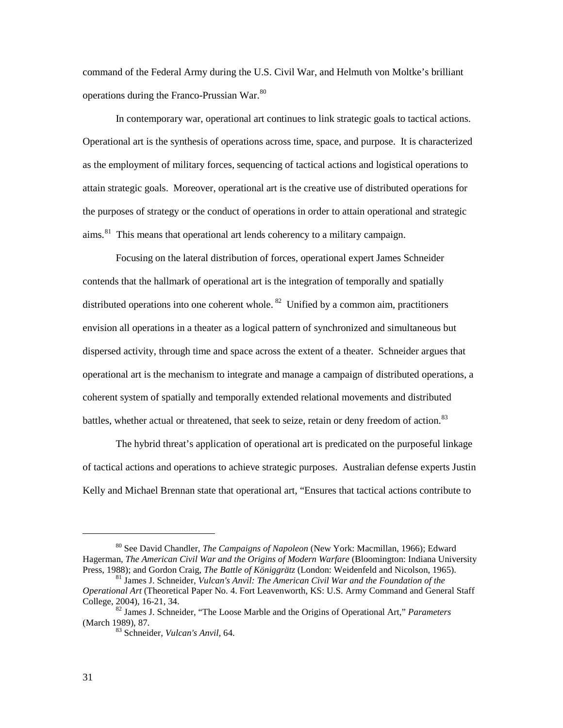command of the Federal Army during the U.S. Civil War, and Helmuth von Moltke's brilliant operations during the Franco-Prussian War.<sup>[80](#page-38-0)</sup>

In contemporary war, operational art continues to link strategic goals to tactical actions. Operational art is the synthesis of operations across time, space, and purpose. It is characterized as the employment of military forces, sequencing of tactical actions and logistical operations to attain strategic goals. Moreover, operational art is the creative use of distributed operations for the purposes of strategy or the conduct of operations in order to attain operational and strategic aims.<sup>[81](#page-38-1)</sup> This means that operational art lends coherency to a military campaign.

Focusing on the lateral distribution of forces, operational expert James Schneider contends that the hallmark of operational art is the integration of temporally and spatially distributed operations into one coherent whole. <sup>[82](#page-38-2)</sup> Unified by a common aim, practitioners envision all operations in a theater as a logical pattern of synchronized and simultaneous but dispersed activity, through time and space across the extent of a theater. Schneider argues that operational art is the mechanism to integrate and manage a campaign of distributed operations, a coherent system of spatially and temporally extended relational movements and distributed battles, whether actual or threatened, that seek to seize, retain or deny freedom of action.<sup>[83](#page-38-3)</sup>

The hybrid threat's application of operational art is predicated on the purposeful linkage of tactical actions and operations to achieve strategic purposes. Australian defense experts Justin Kelly and Michael Brennan state that operational art, "Ensures that tactical actions contribute to

<span id="page-38-0"></span><sup>80</sup> See David Chandler, *The Campaigns of Napoleon* (New York: Macmillan, 1966); Edward Hagerman, *The American Civil War and the Origins of Modern Warfare* (Bloomington: Indiana University Press, 1988); and Gordon Craig, *The Battle of Königgrätz* (London: Weidenfeld and Nicolson, 1965). <sup>81</sup> James J. Schneider, *Vulcan's Anvil: The American Civil War and the Foundation of the* 

<span id="page-38-1"></span>*Operational Art* (Theoretical Paper No. 4. Fort Leavenworth, KS: U.S. Army Command and General Staff

<span id="page-38-3"></span><span id="page-38-2"></span><sup>&</sup>lt;sup>82</sup> James J. Schneider, "The Loose Marble and the Origins of Operational Art," *Parameters* (March 1989), 87.

<sup>&</sup>lt;sup>83</sup> Schneider, *Vulcan's Anvil*, 64.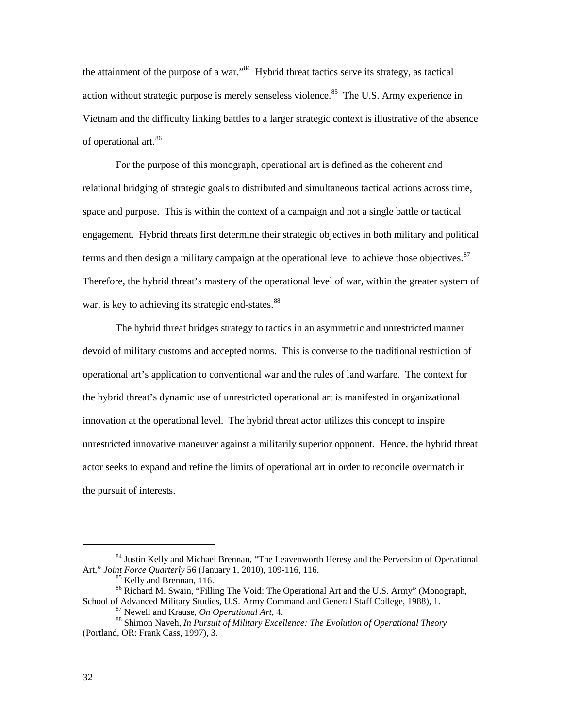the attainment of the purpose of a war.<sup>[84](#page-39-0)</sup> Hybrid threat tactics serve its strategy, as tactical action without strategic purpose is merely senseless violence.<sup>85</sup> The U.S. Army experience in Vietnam and the difficulty linking battles to a larger strategic context is illustrative of the absence of operational art.<sup>[86](#page-39-2)</sup>

For the purpose of this monograph, operational art is defined as the coherent and relational bridging of strategic goals to distributed and simultaneous tactical actions across time, space and purpose. This is within the context of a campaign and not a single battle or tactical engagement. Hybrid threats first determine their strategic objectives in both military and political terms and then design a military campaign at the operational level to achieve those objectives.<sup>[87](#page-39-3)</sup> Therefore, the hybrid threat's mastery of the operational level of war, within the greater system of war, is key to achieving its strategic end-states.<sup>[88](#page-39-4)</sup>

The hybrid threat bridges strategy to tactics in an asymmetric and unrestricted manner devoid of military customs and accepted norms. This is converse to the traditional restriction of operational art's application to conventional war and the rules of land warfare. The context for the hybrid threat's dynamic use of unrestricted operational art is manifested in organizational innovation at the operational level. The hybrid threat actor utilizes this concept to inspire unrestricted innovative maneuver against a militarily superior opponent. Hence, the hybrid threat actor seeks to expand and refine the limits of operational art in order to reconcile overmatch in the pursuit of interests.

<span id="page-39-0"></span><sup>&</sup>lt;sup>84</sup> Justin Kelly and Michael Brennan, "The Leavenworth Heresy and the Perversion of Operational Art," *Joint Force Quarterly* 56 (January 1, 2010), 109-116, 116.

<span id="page-39-2"></span><span id="page-39-1"></span><sup>&</sup>lt;sup>85</sup> Kelly and Brennan, 116.<br><sup>86</sup> Richard M. Swain, "Filling The Void: The Operational Art and the U.S. Army" (Monograph, School of Advanced Military Studies, U.S. Army Command and General Staff College, 1988), 1.

<span id="page-39-4"></span><span id="page-39-3"></span><sup>&</sup>lt;sup>87</sup> Newell and Krause, *On Operational Art*, 4.<br><sup>88</sup> Shimon Naveh, *In Pursuit of Military Excellence: The Evolution of Operational Theory* (Portland, OR: Frank Cass, 1997), 3.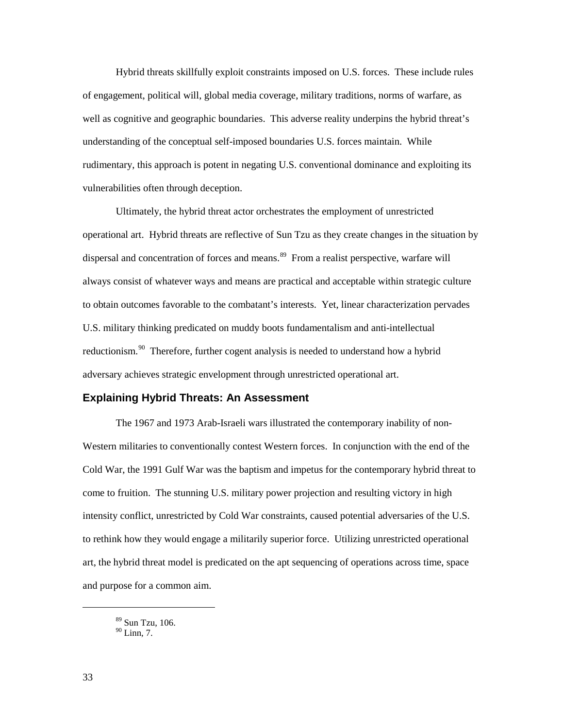Hybrid threats skillfully exploit constraints imposed on U.S. forces. These include rules of engagement, political will, global media coverage, military traditions, norms of warfare, as well as cognitive and geographic boundaries. This adverse reality underpins the hybrid threat's understanding of the conceptual self-imposed boundaries U.S. forces maintain. While rudimentary, this approach is potent in negating U.S. conventional dominance and exploiting its vulnerabilities often through deception.

Ultimately, the hybrid threat actor orchestrates the employment of unrestricted operational art. Hybrid threats are reflective of Sun Tzu as they create changes in the situation by dispersal and concentration of forces and means.<sup>89</sup> From a realist perspective, warfare will always consist of whatever ways and means are practical and acceptable within strategic culture to obtain outcomes favorable to the combatant's interests. Yet, linear characterization pervades U.S. military thinking predicated on muddy boots fundamentalism and anti-intellectual reductionism.<sup>[90](#page-40-1)</sup> Therefore, further cogent analysis is needed to understand how a hybrid adversary achieves strategic envelopment through unrestricted operational art.

### **Explaining Hybrid Threats: An Assessment**

The 1967 and 1973 Arab-Israeli wars illustrated the contemporary inability of non-Western militaries to conventionally contest Western forces. In conjunction with the end of the Cold War, the 1991 Gulf War was the baptism and impetus for the contemporary hybrid threat to come to fruition. The stunning U.S. military power projection and resulting victory in high intensity conflict, unrestricted by Cold War constraints, caused potential adversaries of the U.S. to rethink how they would engage a militarily superior force. Utilizing unrestricted operational art, the hybrid threat model is predicated on the apt sequencing of operations across time, space and purpose for a common aim.

<sup>89</sup> Sun Tzu, 106.

<span id="page-40-1"></span><span id="page-40-0"></span> $90$  Linn, 7.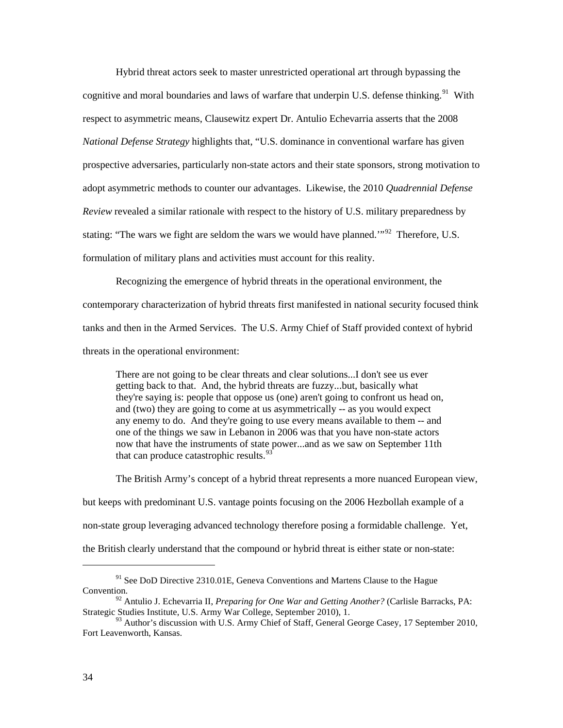Hybrid threat actors seek to master unrestricted operational art through bypassing the cognitive and moral boundaries and laws of warfare that underpin U.S. defense thinking.<sup>[91](#page-41-0)</sup> With respect to asymmetric means, Clausewitz expert Dr. Antulio Echevarria asserts that the 2008 *National Defense Strategy* highlights that, "U.S. dominance in conventional warfare has given prospective adversaries, particularly non-state actors and their state sponsors, strong motivation to adopt asymmetric methods to counter our advantages. Likewise, the 2010 *Quadrennial Defense Review* revealed a similar rationale with respect to the history of U.S. military preparedness by stating: "The wars we fight are seldom the wars we would have planned."<sup>[92](#page-41-1)</sup> Therefore, U.S. formulation of military plans and activities must account for this reality.

Recognizing the emergence of hybrid threats in the operational environment, the contemporary characterization of hybrid threats first manifested in national security focused think tanks and then in the Armed Services. The U.S. Army Chief of Staff provided context of hybrid threats in the operational environment:

There are not going to be clear threats and clear solutions...I don't see us ever getting back to that. And, the hybrid threats are fuzzy...but, basically what they're saying is: people that oppose us (one) aren't going to confront us head on, and (two) they are going to come at us asymmetrically -- as you would expect any enemy to do. And they're going to use every means available to them -- and one of the things we saw in Lebanon in 2006 was that you have non-state actors now that have the instruments of state power...and as we saw on September 11th that can produce catastrophic results. $93$ 

The British Army's concept of a hybrid threat represents a more nuanced European view,

but keeps with predominant U.S. vantage points focusing on the 2006 Hezbollah example of a

non-state group leveraging advanced technology therefore posing a formidable challenge. Yet,

the British clearly understand that the compound or hybrid threat is either state or non-state:

<span id="page-41-0"></span> $91$  See DoD Directive 2310.01E, Geneva Conventions and Martens Clause to the Hague Convention.

<span id="page-41-1"></span><sup>92</sup> Antulio J. Echevarria II, *Preparing for One War and Getting Another?* (Carlisle Barracks, PA: Strategic Studies Institute, U.S. Army War College, September 2010), 1.

<span id="page-41-2"></span><sup>93</sup> Author's discussion with U.S. Army Chief of Staff, General George Casey, 17 September 2010, Fort Leavenworth, Kansas.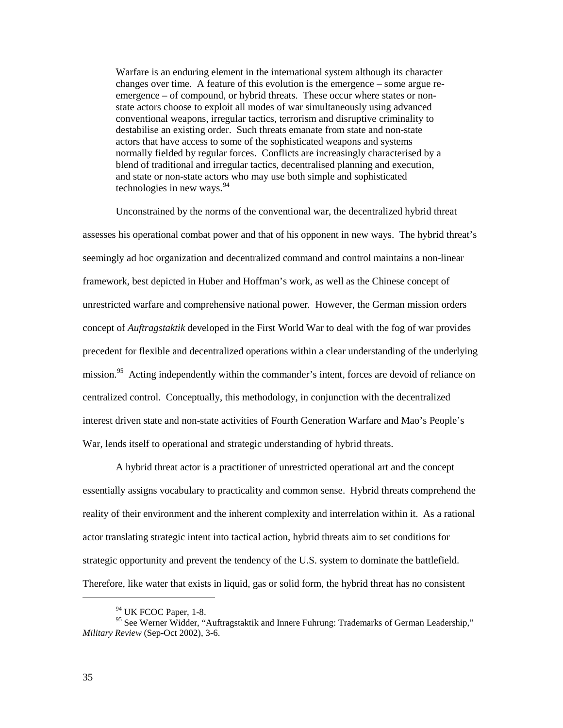Warfare is an enduring element in the international system although its character changes over time. A feature of this evolution is the emergence – some argue reemergence – of compound, or hybrid threats. These occur where states or nonstate actors choose to exploit all modes of war simultaneously using advanced conventional weapons, irregular tactics, terrorism and disruptive criminality to destabilise an existing order. Such threats emanate from state and non-state actors that have access to some of the sophisticated weapons and systems normally fielded by regular forces. Conflicts are increasingly characterised by a blend of traditional and irregular tactics, decentralised planning and execution, and state or non-state actors who may use both simple and sophisticated technologies in new ways. $94$ 

Unconstrained by the norms of the conventional war, the decentralized hybrid threat assesses his operational combat power and that of his opponent in new ways. The hybrid threat's seemingly ad hoc organization and decentralized command and control maintains a non-linear framework, best depicted in Huber and Hoffman's work, as well as the Chinese concept of unrestricted warfare and comprehensive national power*.* However, the German mission orders concept of *Auftragstaktik* developed in the First World War to deal with the fog of war provides precedent for flexible and decentralized operations within a clear understanding of the underlying mission.<sup>[95](#page-42-1)</sup> Acting independently within the commander's intent, forces are devoid of reliance on centralized control. Conceptually, this methodology, in conjunction with the decentralized interest driven state and non-state activities of Fourth Generation Warfare and Mao's People's War, lends itself to operational and strategic understanding of hybrid threats.

A hybrid threat actor is a practitioner of unrestricted operational art and the concept essentially assigns vocabulary to practicality and common sense. Hybrid threats comprehend the reality of their environment and the inherent complexity and interrelation within it. As a rational actor translating strategic intent into tactical action, hybrid threats aim to set conditions for strategic opportunity and prevent the tendency of the U.S. system to dominate the battlefield. Therefore, like water that exists in liquid, gas or solid form, the hybrid threat has no consistent

 $94$  UK FCOC Paper, 1-8.

<span id="page-42-1"></span><span id="page-42-0"></span><sup>&</sup>lt;sup>95</sup> See Werner Widder, "Auftragstaktik and Innere Fuhrung: Trademarks of German Leadership," *Military Review* (Sep-Oct 2002), 3-6.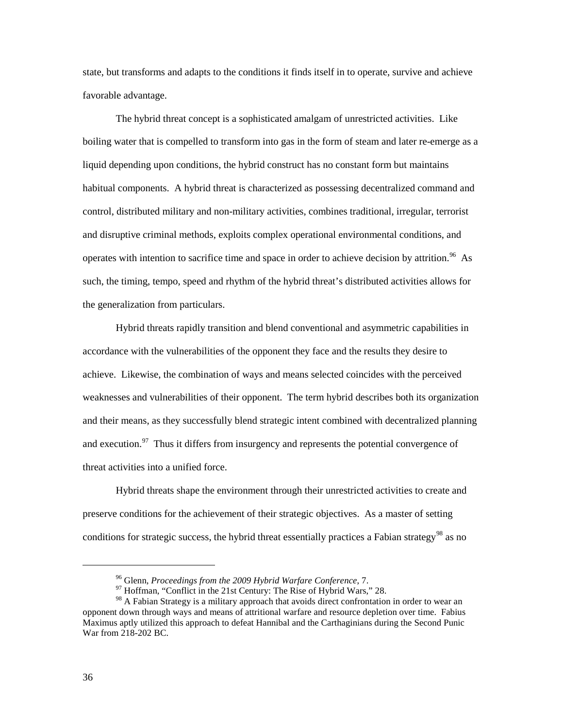state, but transforms and adapts to the conditions it finds itself in to operate, survive and achieve favorable advantage.

The hybrid threat concept is a sophisticated amalgam of unrestricted activities. Like boiling water that is compelled to transform into gas in the form of steam and later re-emerge as a liquid depending upon conditions, the hybrid construct has no constant form but maintains habitual components. A hybrid threat is characterized as possessing decentralized command and control, distributed military and non-military activities, combines traditional, irregular, terrorist and disruptive criminal methods, exploits complex operational environmental conditions, and operates with intention to sacrifice time and space in order to achieve decision by attrition.<sup>[96](#page-43-0)</sup> As such, the timing, tempo, speed and rhythm of the hybrid threat's distributed activities allows for the generalization from particulars.

Hybrid threats rapidly transition and blend conventional and asymmetric capabilities in accordance with the vulnerabilities of the opponent they face and the results they desire to achieve. Likewise, the combination of ways and means selected coincides with the perceived weaknesses and vulnerabilities of their opponent. The term hybrid describes both its organization and their means, as they successfully blend strategic intent combined with decentralized planning and execution.<sup>[97](#page-43-1)</sup> Thus it differs from insurgency and represents the potential convergence of threat activities into a unified force.

 Hybrid threats shape the environment through their unrestricted activities to create and preserve conditions for the achievement of their strategic objectives. As a master of setting conditions for strategic success, the hybrid threat essentially practices a Fabian strategy<sup>[98](#page-43-2)</sup> as no

<sup>96</sup> Glenn, *Proceedings from the 2009 Hybrid Warfare Conference*, 7.

<sup>&</sup>lt;sup>97</sup> Hoffman, "Conflict in the 21st Century: The Rise of Hybrid Wars," 28.

<span id="page-43-2"></span><span id="page-43-1"></span><span id="page-43-0"></span><sup>&</sup>lt;sup>98</sup> A Fabian Strategy is a military approach that avoids direct confrontation in order to wear an opponent down through ways and means of attritional warfare and resource depletion over time. Fabius Maximus aptly utilized this approach to defeat Hannibal and the Carthaginians during the Second Punic War from 218-202 BC.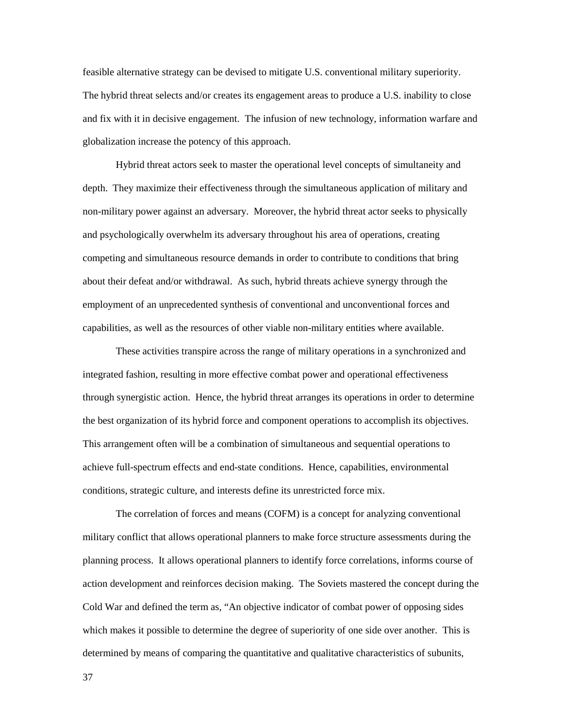feasible alternative strategy can be devised to mitigate U.S. conventional military superiority. The hybrid threat selects and/or creates its engagement areas to produce a U.S. inability to close and fix with it in decisive engagement. The infusion of new technology, information warfare and globalization increase the potency of this approach.

Hybrid threat actors seek to master the operational level concepts of simultaneity and depth. They maximize their effectiveness through the simultaneous application of military and non-military power against an adversary. Moreover, the hybrid threat actor seeks to physically and psychologically overwhelm its adversary throughout his area of operations, creating competing and simultaneous resource demands in order to contribute to conditions that bring about their defeat and/or withdrawal. As such, hybrid threats achieve synergy through the employment of an unprecedented synthesis of conventional and unconventional forces and capabilities, as well as the resources of other viable non-military entities where available.

These activities transpire across the range of military operations in a synchronized and integrated fashion, resulting in more effective combat power and operational effectiveness through synergistic action. Hence, the hybrid threat arranges its operations in order to determine the best organization of its hybrid force and component operations to accomplish its objectives. This arrangement often will be a combination of simultaneous and sequential operations to achieve full-spectrum effects and end-state conditions. Hence, capabilities, environmental conditions, strategic culture, and interests define its unrestricted force mix.

The correlation of forces and means (COFM) is a concept for analyzing conventional military conflict that allows operational planners to make force structure assessments during the planning process. It allows operational planners to identify force correlations, informs course of action development and reinforces decision making. The Soviets mastered the concept during the Cold War and defined the term as, "An objective indicator of combat power of opposing sides which makes it possible to determine the degree of superiority of one side over another. This is determined by means of comparing the quantitative and qualitative characteristics of subunits,

37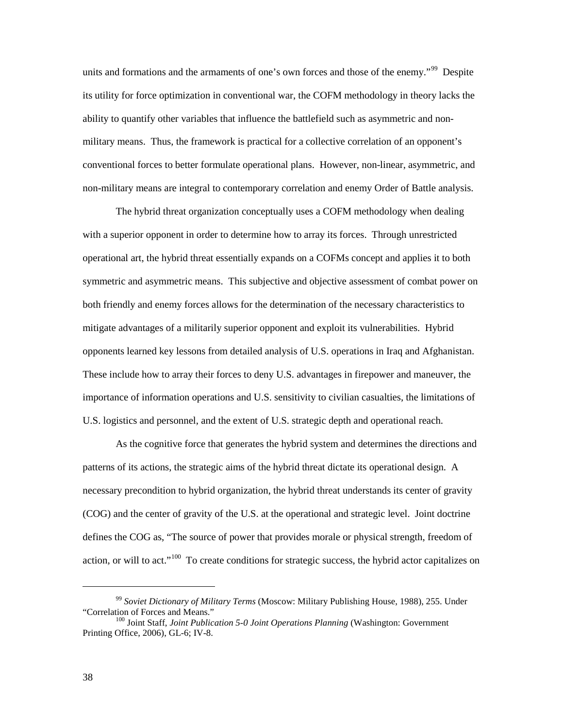units and formations and the armaments of one's own forces and those of the enemy."<sup>[99](#page-45-0)</sup> Despite its utility for force optimization in conventional war, the COFM methodology in theory lacks the ability to quantify other variables that influence the battlefield such as asymmetric and nonmilitary means. Thus, the framework is practical for a collective correlation of an opponent's conventional forces to better formulate operational plans. However, non-linear, asymmetric, and non-military means are integral to contemporary correlation and enemy Order of Battle analysis.

 The hybrid threat organization conceptually uses a COFM methodology when dealing with a superior opponent in order to determine how to array its forces. Through unrestricted operational art, the hybrid threat essentially expands on a COFMs concept and applies it to both symmetric and asymmetric means. This subjective and objective assessment of combat power on both friendly and enemy forces allows for the determination of the necessary characteristics to mitigate advantages of a militarily superior opponent and exploit its vulnerabilities. Hybrid opponents learned key lessons from detailed analysis of U.S. operations in Iraq and Afghanistan. These include how to array their forces to deny U.S. advantages in firepower and maneuver, the importance of information operations and U.S. sensitivity to civilian casualties, the limitations of U.S. logistics and personnel, and the extent of U.S. strategic depth and operational reach.

As the cognitive force that generates the hybrid system and determines the directions and patterns of its actions, the strategic aims of the hybrid threat dictate its operational design. A necessary precondition to hybrid organization, the hybrid threat understands its center of gravity (COG) and the center of gravity of the U.S. at the operational and strategic level. Joint doctrine defines the COG as, "The source of power that provides morale or physical strength, freedom of action, or will to act."<sup>[100](#page-45-1)</sup> To create conditions for strategic success, the hybrid actor capitalizes on

<span id="page-45-0"></span><sup>99</sup> *Soviet Dictionary of Military Terms* (Moscow: Military Publishing House, 1988), 255. Under "Correlation of Forces and Means."

<span id="page-45-1"></span><sup>&</sup>lt;sup>100</sup> Joint Staff, *Joint Publication 5-0 Joint Operations Planning* (Washington: Government Printing Office, 2006), GL-6; IV-8.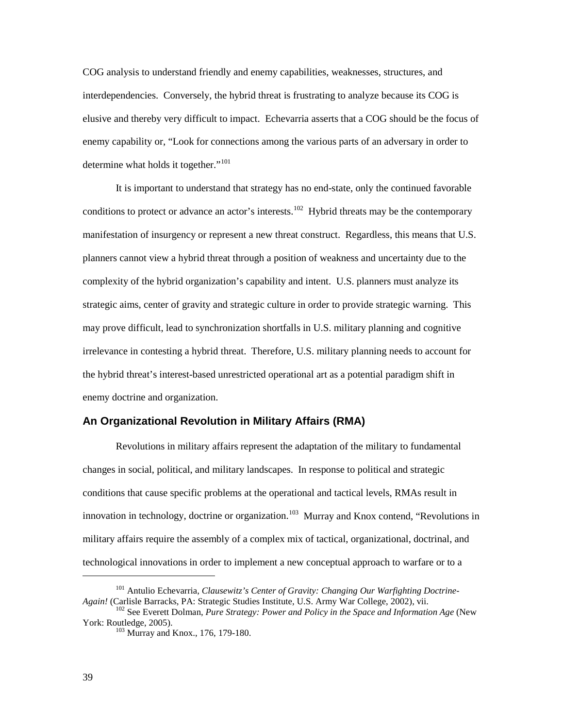COG analysis to understand friendly and enemy capabilities, weaknesses, structures, and interdependencies. Conversely, the hybrid threat is frustrating to analyze because its COG is elusive and thereby very difficult to impact. Echevarria asserts that a COG should be the focus of enemy capability or, "Look for connections among the various parts of an adversary in order to determine what holds it together."<sup>[101](#page-46-0)</sup>

It is important to understand that strategy has no end-state, only the continued favorable conditions to protect or advance an actor's interests.<sup>[102](#page-46-1)</sup> Hybrid threats may be the contemporary manifestation of insurgency or represent a new threat construct. Regardless, this means that U.S. planners cannot view a hybrid threat through a position of weakness and uncertainty due to the complexity of the hybrid organization's capability and intent. U.S. planners must analyze its strategic aims, center of gravity and strategic culture in order to provide strategic warning. This may prove difficult, lead to synchronization shortfalls in U.S. military planning and cognitive irrelevance in contesting a hybrid threat. Therefore, U.S. military planning needs to account for the hybrid threat's interest-based unrestricted operational art as a potential paradigm shift in enemy doctrine and organization.

#### **An Organizational Revolution in Military Affairs (RMA)**

Revolutions in military affairs represent the adaptation of the military to fundamental changes in social, political, and military landscapes. In response to political and strategic conditions that cause specific problems at the operational and tactical levels, RMAs result in innovation in technology, doctrine or organization.<sup>[103](#page-46-2)</sup> Murray and Knox contend, "Revolutions in military affairs require the assembly of a complex mix of tactical, organizational, doctrinal, and technological innovations in order to implement a new conceptual approach to warfare or to a

<span id="page-46-0"></span><sup>101</sup> Antulio Echevarria, *Clausewitz's Center of Gravity: Changing Our Warfighting Doctrine-Again!* (Carlisle Barracks, PA: Strategic Studies Institute, U.S. Army War College, 2002), vii.

<span id="page-46-2"></span><span id="page-46-1"></span><sup>&</sup>lt;sup>102</sup> See Everett Dolman, *Pure Strategy: Power and Policy in the Space and Information Age* (New York: Routledge, 2005).

 $103$  Murray and Knox., 176, 179-180.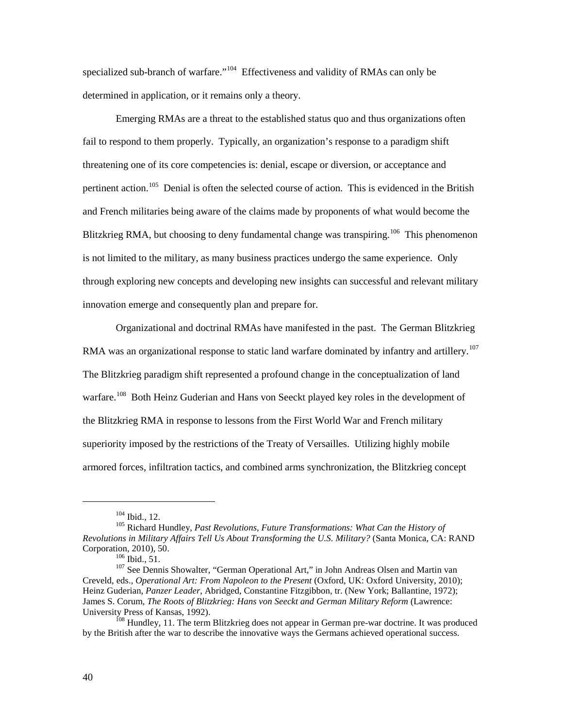specialized sub-branch of warfare."<sup>[104](#page-47-0)</sup> Effectiveness and validity of RMAs can only be determined in application, or it remains only a theory.

Emerging RMAs are a threat to the established status quo and thus organizations often fail to respond to them properly. Typically, an organization's response to a paradigm shift threatening one of its core competencies is: denial, escape or diversion, or acceptance and pertinent action.<sup>[105](#page-47-1)</sup> Denial is often the selected course of action. This is evidenced in the British and French militaries being aware of the claims made by proponents of what would become the Blitzkrieg RMA, but choosing to deny fundamental change was transpiring.<sup>[106](#page-47-2)</sup> This phenomenon is not limited to the military, as many business practices undergo the same experience. Only through exploring new concepts and developing new insights can successful and relevant military innovation emerge and consequently plan and prepare for.

Organizational and doctrinal RMAs have manifested in the past. The German Blitzkrieg RMA was an organizational response to static land warfare dominated by infantry and artillery.<sup>107</sup> The Blitzkrieg paradigm shift represented a profound change in the conceptualization of land warfare.<sup>[108](#page-47-4)</sup> Both Heinz Guderian and Hans von Seeckt played key roles in the development of the Blitzkrieg RMA in response to lessons from the First World War and French military superiority imposed by the restrictions of the Treaty of Versailles. Utilizing highly mobile armored forces, infiltration tactics, and combined arms synchronization, the Blitzkrieg concept

<sup>104</sup> Ibid., 12.

<span id="page-47-1"></span><span id="page-47-0"></span><sup>105</sup> Richard Hundley, *Past Revolutions, Future Transformations: What Can the History of Revolutions in Military Affairs Tell Us About Transforming the U.S. Military?* (Santa Monica, CA: RAND

<span id="page-47-3"></span><span id="page-47-2"></span><sup>&</sup>lt;sup>106</sup> Ibid., 51.<br><sup>107</sup> See Dennis Showalter, "German Operational Art," in John Andreas Olsen and Martin van Creveld, eds., *Operational Art: From Napoleon to the Present* (Oxford, UK: Oxford University, 2010); Heinz Guderian, *Panzer Leader*, Abridged, Constantine Fitzgibbon, tr. (New York; Ballantine, 1972); James S. Corum, *The Roots of Blitzkrieg: Hans von Seeckt and German Military Reform* (Lawrence: University Press of Kansas, 1992).

<span id="page-47-4"></span><sup>&</sup>lt;sup>108</sup> Hundley, 11. The term Blitzkrieg does not appear in German pre-war doctrine. It was produced by the British after the war to describe the innovative ways the Germans achieved operational success.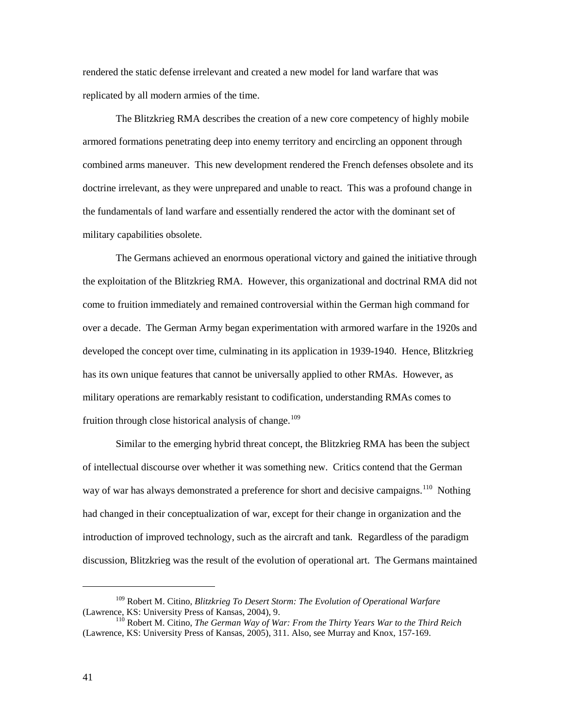rendered the static defense irrelevant and created a new model for land warfare that was replicated by all modern armies of the time.

The Blitzkrieg RMA describes the creation of a new core competency of highly mobile armored formations penetrating deep into enemy territory and encircling an opponent through combined arms maneuver. This new development rendered the French defenses obsolete and its doctrine irrelevant, as they were unprepared and unable to react. This was a profound change in the fundamentals of land warfare and essentially rendered the actor with the dominant set of military capabilities obsolete.

The Germans achieved an enormous operational victory and gained the initiative through the exploitation of the Blitzkrieg RMA. However, this organizational and doctrinal RMA did not come to fruition immediately and remained controversial within the German high command for over a decade. The German Army began experimentation with armored warfare in the 1920s and developed the concept over time, culminating in its application in 1939-1940. Hence, Blitzkrieg has its own unique features that cannot be universally applied to other RMAs. However, as military operations are remarkably resistant to codification, understanding RMAs comes to fruition through close historical analysis of change.<sup>[109](#page-48-0)</sup>

Similar to the emerging hybrid threat concept, the Blitzkrieg RMA has been the subject of intellectual discourse over whether it was something new. Critics contend that the German way of war has always demonstrated a preference for short and decisive campaigns.<sup>[110](#page-48-1)</sup> Nothing had changed in their conceptualization of war, except for their change in organization and the introduction of improved technology, such as the aircraft and tank. Regardless of the paradigm discussion, Blitzkrieg was the result of the evolution of operational art. The Germans maintained

<span id="page-48-0"></span><sup>109</sup> Robert M. Citino, *Blitzkrieg To Desert Storm: The Evolution of Operational Warfare* (Lawrence, KS: University Press of Kansas, 2004), 9.

<span id="page-48-1"></span><sup>110</sup> Robert M. Citino, *The German Way of War: From the Thirty Years War to the Third Reich* (Lawrence, KS: University Press of Kansas, 2005), 311. Also, see Murray and Knox, 157-169.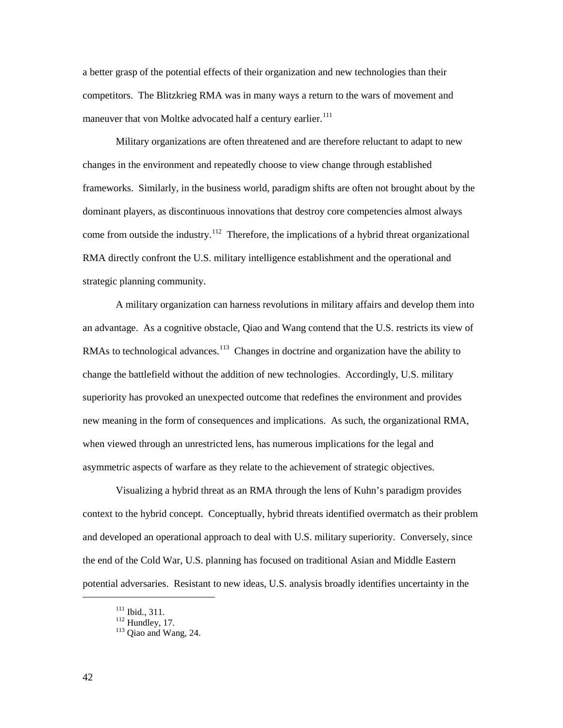a better grasp of the potential effects of their organization and new technologies than their competitors. The Blitzkrieg RMA was in many ways a return to the wars of movement and maneuver that von Moltke advocated half a century earlier.<sup>[111](#page-49-0)</sup>

Military organizations are often threatened and are therefore reluctant to adapt to new changes in the environment and repeatedly choose to view change through established frameworks. Similarly, in the business world, paradigm shifts are often not brought about by the dominant players, as discontinuous innovations that destroy core competencies almost always come from outside the industry.<sup>[112](#page-49-1)</sup> Therefore, the implications of a hybrid threat organizational RMA directly confront the U.S. military intelligence establishment and the operational and strategic planning community.

A military organization can harness revolutions in military affairs and develop them into an advantage. As a cognitive obstacle, Qiao and Wang contend that the U.S. restricts its view of RMAs to technological advances.<sup>[113](#page-49-2)</sup> Changes in doctrine and organization have the ability to change the battlefield without the addition of new technologies. Accordingly, U.S. military superiority has provoked an unexpected outcome that redefines the environment and provides new meaning in the form of consequences and implications. As such, the organizational RMA, when viewed through an unrestricted lens, has numerous implications for the legal and asymmetric aspects of warfare as they relate to the achievement of strategic objectives.

Visualizing a hybrid threat as an RMA through the lens of Kuhn's paradigm provides context to the hybrid concept. Conceptually, hybrid threats identified overmatch as their problem and developed an operational approach to deal with U.S. military superiority. Conversely, since the end of the Cold War, U.S. planning has focused on traditional Asian and Middle Eastern potential adversaries. Resistant to new ideas, U.S. analysis broadly identifies uncertainty in the

<span id="page-49-2"></span>

<span id="page-49-1"></span><span id="page-49-0"></span><sup>&</sup>lt;sup>111</sup> Ibid., 311.<br><sup>112</sup> Hundley, 17.<br><sup>113</sup> Qiao and Wang, 24.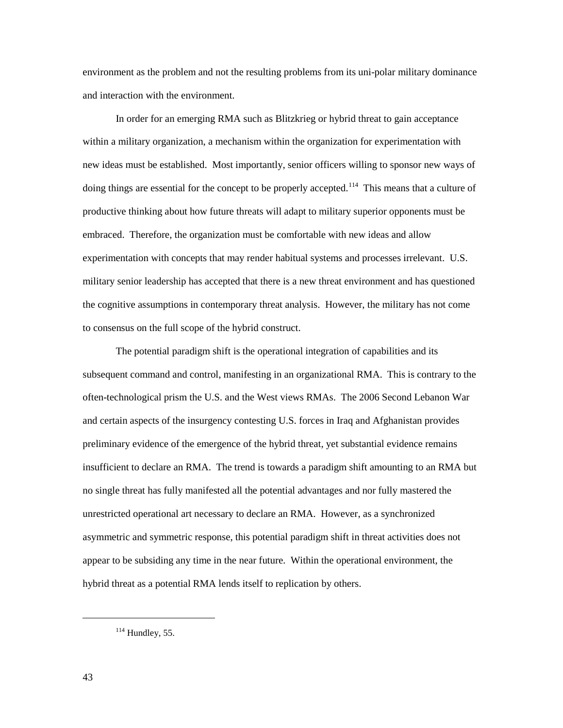environment as the problem and not the resulting problems from its uni-polar military dominance and interaction with the environment.

In order for an emerging RMA such as Blitzkrieg or hybrid threat to gain acceptance within a military organization, a mechanism within the organization for experimentation with new ideas must be established. Most importantly, senior officers willing to sponsor new ways of doing things are essential for the concept to be properly accepted.<sup>[114](#page-50-0)</sup> This means that a culture of productive thinking about how future threats will adapt to military superior opponents must be embraced. Therefore, the organization must be comfortable with new ideas and allow experimentation with concepts that may render habitual systems and processes irrelevant. U.S. military senior leadership has accepted that there is a new threat environment and has questioned the cognitive assumptions in contemporary threat analysis. However, the military has not come to consensus on the full scope of the hybrid construct.

The potential paradigm shift is the operational integration of capabilities and its subsequent command and control, manifesting in an organizational RMA. This is contrary to the often-technological prism the U.S. and the West views RMAs. The 2006 Second Lebanon War and certain aspects of the insurgency contesting U.S. forces in Iraq and Afghanistan provides preliminary evidence of the emergence of the hybrid threat, yet substantial evidence remains insufficient to declare an RMA. The trend is towards a paradigm shift amounting to an RMA but no single threat has fully manifested all the potential advantages and nor fully mastered the unrestricted operational art necessary to declare an RMA. However, as a synchronized asymmetric and symmetric response, this potential paradigm shift in threat activities does not appear to be subsiding any time in the near future. Within the operational environment, the hybrid threat as a potential RMA lends itself to replication by others.

<span id="page-50-0"></span> $114$  Hundley, 55.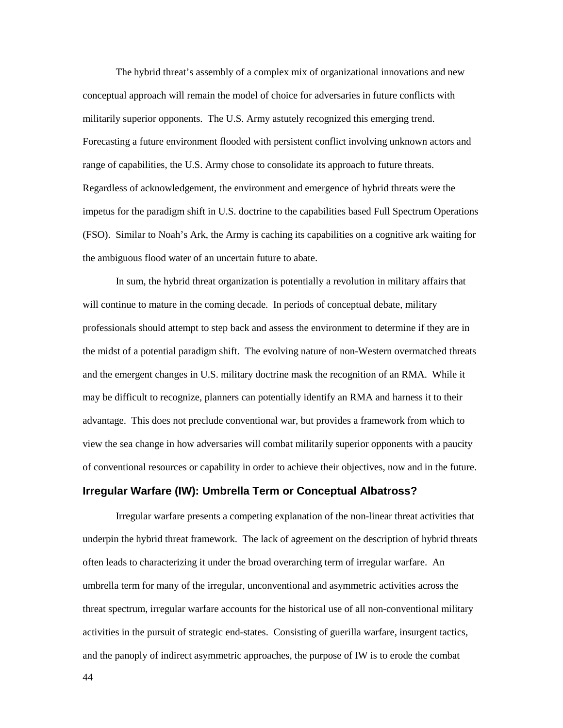The hybrid threat's assembly of a complex mix of organizational innovations and new conceptual approach will remain the model of choice for adversaries in future conflicts with militarily superior opponents. The U.S. Army astutely recognized this emerging trend. Forecasting a future environment flooded with persistent conflict involving unknown actors and range of capabilities, the U.S. Army chose to consolidate its approach to future threats. Regardless of acknowledgement, the environment and emergence of hybrid threats were the impetus for the paradigm shift in U.S. doctrine to the capabilities based Full Spectrum Operations (FSO). Similar to Noah's Ark, the Army is caching its capabilities on a cognitive ark waiting for the ambiguous flood water of an uncertain future to abate.

In sum, the hybrid threat organization is potentially a revolution in military affairs that will continue to mature in the coming decade. In periods of conceptual debate, military professionals should attempt to step back and assess the environment to determine if they are in the midst of a potential paradigm shift. The evolving nature of non-Western overmatched threats and the emergent changes in U.S. military doctrine mask the recognition of an RMA. While it may be difficult to recognize, planners can potentially identify an RMA and harness it to their advantage. This does not preclude conventional war, but provides a framework from which to view the sea change in how adversaries will combat militarily superior opponents with a paucity of conventional resources or capability in order to achieve their objectives, now and in the future.

#### **Irregular Warfare (IW): Umbrella Term or Conceptual Albatross?**

Irregular warfare presents a competing explanation of the non-linear threat activities that underpin the hybrid threat framework. The lack of agreement on the description of hybrid threats often leads to characterizing it under the broad overarching term of irregular warfare. An umbrella term for many of the irregular, unconventional and asymmetric activities across the threat spectrum, irregular warfare accounts for the historical use of all non-conventional military activities in the pursuit of strategic end-states. Consisting of guerilla warfare, insurgent tactics, and the panoply of indirect asymmetric approaches, the purpose of IW is to erode the combat

44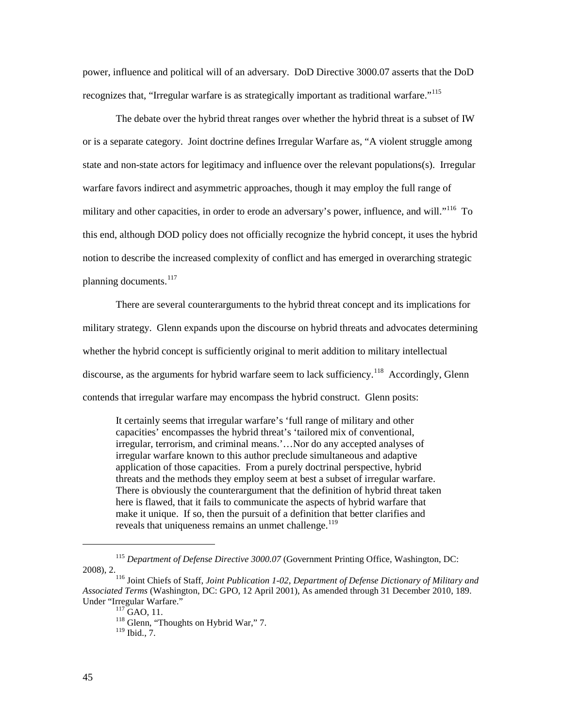power, influence and political will of an adversary. DoD Directive 3000.07 asserts that the DoD recognizes that, "Irregular warfare is as strategically important as traditional warfare."<sup>[115](#page-52-0)</sup>

The debate over the hybrid threat ranges over whether the hybrid threat is a subset of IW or is a separate category. Joint doctrine defines Irregular Warfare as, "A violent struggle among state and non-state actors for legitimacy and influence over the relevant populations(s). Irregular warfare favors indirect and asymmetric approaches, though it may employ the full range of military and other capacities, in order to erode an adversary's power, influence, and will."<sup>[116](#page-52-1)</sup> To this end, although DOD policy does not officially recognize the hybrid concept, it uses the hybrid notion to describe the increased complexity of conflict and has emerged in overarching strategic planning documents.<sup>[117](#page-52-2)</sup>

There are several counterarguments to the hybrid threat concept and its implications for military strategy. Glenn expands upon the discourse on hybrid threats and advocates determining whether the hybrid concept is sufficiently original to merit addition to military intellectual discourse, as the arguments for hybrid warfare seem to lack sufficiency.<sup>[118](#page-52-3)</sup> Accordingly, Glenn contends that irregular warfare may encompass the hybrid construct. Glenn posits:

It certainly seems that irregular warfare's 'full range of military and other capacities' encompasses the hybrid threat's 'tailored mix of conventional, irregular, terrorism, and criminal means.'…Nor do any accepted analyses of irregular warfare known to this author preclude simultaneous and adaptive application of those capacities. From a purely doctrinal perspective, hybrid threats and the methods they employ seem at best a subset of irregular warfare. There is obviously the counterargument that the definition of hybrid threat taken here is flawed, that it fails to communicate the aspects of hybrid warfare that make it unique. If so, then the pursuit of a definition that better clarifies and reveals that uniqueness remains an unmet challenge.<sup>[119](#page-52-4)</sup>

<span id="page-52-0"></span><sup>115</sup> *Department of Defense Directive 3000.07* (Government Printing Office, Washington, DC: 2008), 2. 116 Joint Chiefs of Staff, *Joint Publication 1-02, Department of Defense Dictionary of Military and* 

<span id="page-52-4"></span><span id="page-52-3"></span><span id="page-52-2"></span><span id="page-52-1"></span>*Associated Terms* (Washington, DC: GPO, 12 April 2001), As amended through 31 December 2010, 189. Under "Irregular Warfare."<br><sup>117</sup> GAO, 11. <sup>118</sup> Glenn, "Thoughts on Hybrid War," 7.

<sup>119</sup> Ibid., 7.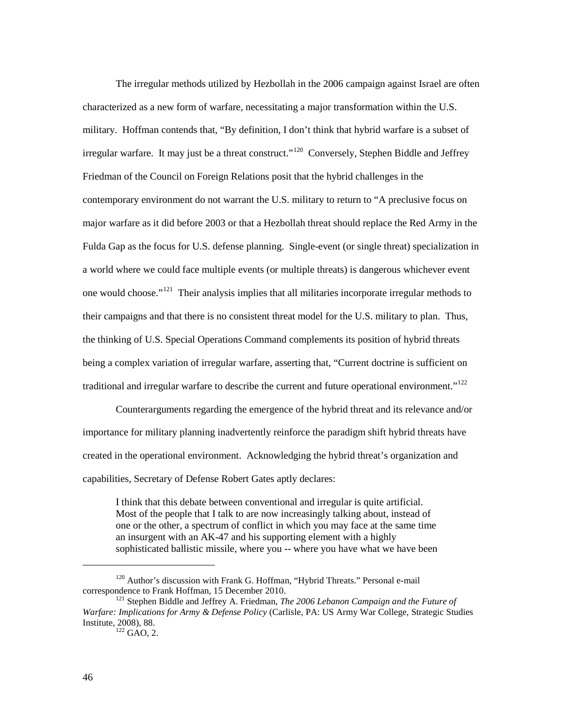The irregular methods utilized by Hezbollah in the 2006 campaign against Israel are often characterized as a new form of warfare, necessitating a major transformation within the U.S. military. Hoffman contends that, "By definition, I don't think that hybrid warfare is a subset of irregular warfare. It may just be a threat construct."<sup>120</sup> Conversely, Stephen Biddle and Jeffrey Friedman of the Council on Foreign Relations posit that the hybrid challenges in the contemporary environment do not warrant the U.S. military to return to "A preclusive focus on major warfare as it did before 2003 or that a Hezbollah threat should replace the Red Army in the Fulda Gap as the focus for U.S. defense planning. Single-event (or single threat) specialization in a world where we could face multiple events (or multiple threats) is dangerous whichever event one would choose."<sup>[121](#page-53-1)</sup> Their analysis implies that all militaries incorporate irregular methods to their campaigns and that there is no consistent threat model for the U.S. military to plan. Thus, the thinking of U.S. Special Operations Command complements its position of hybrid threats being a complex variation of irregular warfare, asserting that, "Current doctrine is sufficient on traditional and irregular warfare to describe the current and future operational environment."<sup>[122](#page-53-2)</sup>

 Counterarguments regarding the emergence of the hybrid threat and its relevance and/or importance for military planning inadvertently reinforce the paradigm shift hybrid threats have created in the operational environment. Acknowledging the hybrid threat's organization and capabilities, Secretary of Defense Robert Gates aptly declares:

I think that this debate between conventional and irregular is quite artificial. Most of the people that I talk to are now increasingly talking about, instead of one or the other, a spectrum of conflict in which you may face at the same time an insurgent with an AK-47 and his supporting element with a highly sophisticated ballistic missile, where you -- where you have what we have been

<span id="page-53-0"></span> $120$  Author's discussion with Frank G. Hoffman, "Hybrid Threats." Personal e-mail correspondence to Frank Hoffman, 15 December 2010.

<span id="page-53-2"></span><span id="page-53-1"></span><sup>&</sup>lt;sup>121</sup> Stephen Biddle and Jeffrey A. Friedman, *The 2006 Lebanon Campaign and the Future of Warfare: Implications for Army & Defense Policy* (Carlisle, PA: US Army War College, Strategic Studies Institute, 2008), 88.

 $122$  GAO, 2.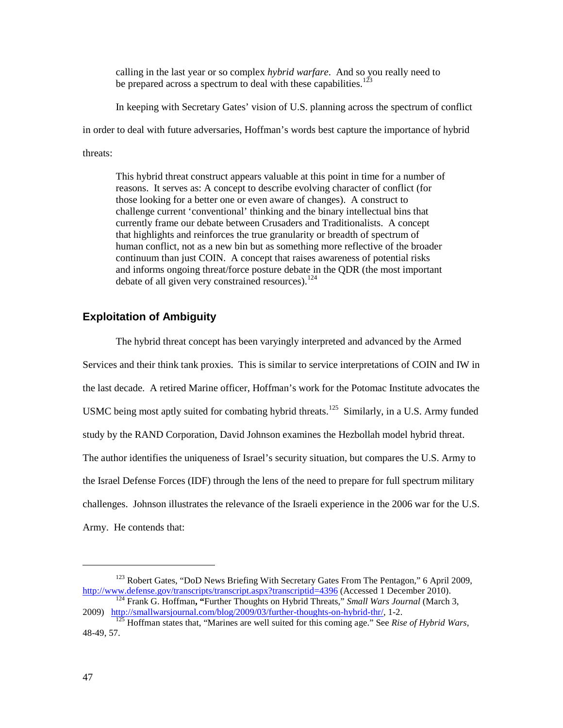calling in the last year or so complex *hybrid warfare*. And so you really need to be prepared across a spectrum to deal with these capabilities.<sup>[123](#page-54-0)</sup>

In keeping with Secretary Gates' vision of U.S. planning across the spectrum of conflict

in order to deal with future adversaries, Hoffman's words best capture the importance of hybrid

threats:

This hybrid threat construct appears valuable at this point in time for a number of reasons. It serves as: A concept to describe evolving character of conflict (for those looking for a better one or even aware of changes). A construct to challenge current 'conventional' thinking and the binary intellectual bins that currently frame our debate between Crusaders and Traditionalists. A concept that highlights and reinforces the true granularity or breadth of spectrum of human conflict, not as a new bin but as something more reflective of the broader continuum than just COIN. A concept that raises awareness of potential risks and informs ongoing threat/force posture debate in the QDR (the most important debate of all given very constrained resources).  $124$ 

## **Exploitation of Ambiguity**

The hybrid threat concept has been varyingly interpreted and advanced by the Armed Services and their think tank proxies. This is similar to service interpretations of COIN and IW in the last decade. A retired Marine officer, Hoffman's work for the Potomac Institute advocates the USMC being most aptly suited for combating hybrid threats.<sup>[125](#page-54-2)</sup> Similarly, in a U.S. Army funded study by the RAND Corporation, David Johnson examines the Hezbollah model hybrid threat. The author identifies the uniqueness of Israel's security situation, but compares the U.S. Army to the Israel Defense Forces (IDF) through the lens of the need to prepare for full spectrum military challenges. Johnson illustrates the relevance of the Israeli experience in the 2006 war for the U.S. Army. He contends that:

<span id="page-54-0"></span><sup>&</sup>lt;sup>123</sup> Robert Gates, "DoD News Briefing With Secretary Gates From The Pentagon," 6 April 2009, http://www.defense.gov/transcripts/transcript.aspx?transcriptid=4396 (Accessed 1 December 2010).

<span id="page-54-1"></span><sup>&</sup>lt;sup>124</sup> Frank G. Hoffman, "Further Thoughts on Hybrid Threats," *Small Wars Journal* (March 3, 2009). http://smallwarsjournal.com/blog/2009/03/further-thoughts-on-hybrid-thr/, 1-2.

<span id="page-54-2"></span><sup>&</sup>lt;sup>[125](http://smallwarsjournal.com/blog/2009/03/further-thoughts-on-hybrid-thr/)</sup> Hoffman states that, "Marines are well suited for this coming age." See *Rise of Hybrid Wars*, 48-49, 57.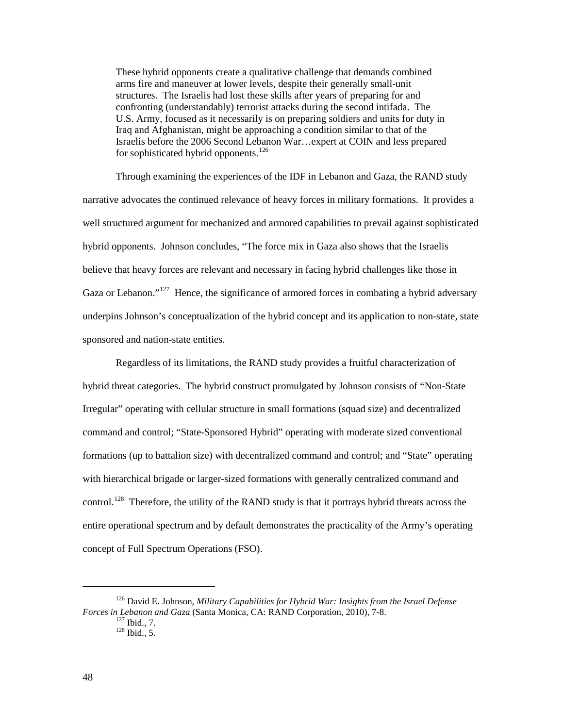These hybrid opponents create a qualitative challenge that demands combined arms fire and maneuver at lower levels, despite their generally small-unit structures. The Israelis had lost these skills after years of preparing for and confronting (understandably) terrorist attacks during the second intifada. The U.S. Army, focused as it necessarily is on preparing soldiers and units for duty in Iraq and Afghanistan, might be approaching a condition similar to that of the Israelis before the 2006 Second Lebanon War…expert at COIN and less prepared for sophisticated hybrid opponents.<sup>[126](#page-55-0)</sup>

Through examining the experiences of the IDF in Lebanon and Gaza, the RAND study narrative advocates the continued relevance of heavy forces in military formations. It provides a well structured argument for mechanized and armored capabilities to prevail against sophisticated hybrid opponents. Johnson concludes, "The force mix in Gaza also shows that the Israelis believe that heavy forces are relevant and necessary in facing hybrid challenges like those in Gaza or Lebanon."<sup>[127](#page-55-1)</sup> Hence, the significance of armored forces in combating a hybrid adversary underpins Johnson's conceptualization of the hybrid concept and its application to non-state, state sponsored and nation-state entities.

Regardless of its limitations, the RAND study provides a fruitful characterization of hybrid threat categories. The hybrid construct promulgated by Johnson consists of "Non-State Irregular" operating with cellular structure in small formations (squad size) and decentralized command and control; "State-Sponsored Hybrid" operating with moderate sized conventional formations (up to battalion size) with decentralized command and control; and "State" operating with hierarchical brigade or larger-sized formations with generally centralized command and control.<sup>[128](#page-55-2)</sup> Therefore, the utility of the RAND study is that it portrays hybrid threats across the entire operational spectrum and by default demonstrates the practicality of the Army's operating concept of Full Spectrum Operations (FSO).

<span id="page-55-2"></span><span id="page-55-1"></span><span id="page-55-0"></span><sup>126</sup> David E. Johnson, *Military Capabilities for Hybrid War: Insights from the Israel Defense Forces in Lebanon and Gaza* (Santa Monica, CA: RAND Corporation, 2010), 7-8.

 $128$  Ibid., 5.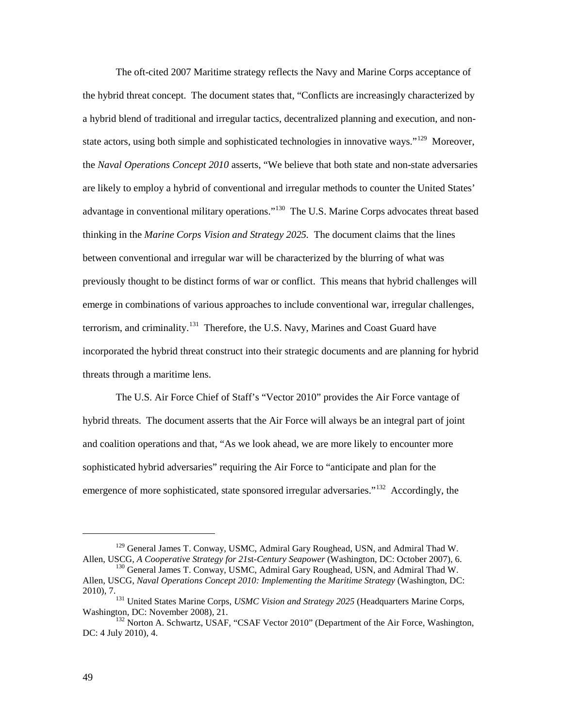The oft-cited 2007 Maritime strategy reflects the Navy and Marine Corps acceptance of the hybrid threat concept. The document states that, "Conflicts are increasingly characterized by a hybrid blend of traditional and irregular tactics, decentralized planning and execution, and nonstate actors, using both simple and sophisticated technologies in innovative ways."<sup>129</sup> Moreover, the *Naval Operations Concept 2010* asserts, "We believe that both state and non-state adversaries are likely to employ a hybrid of conventional and irregular methods to counter the United States' advantage in conventional military operations."<sup>[130](#page-56-1)</sup> The U.S. Marine Corps advocates threat based thinking in the *Marine Corps Vision and Strategy 2025.* The document claims that the lines between conventional and irregular war will be characterized by the blurring of what was previously thought to be distinct forms of war or conflict. This means that hybrid challenges will emerge in combinations of various approaches to include conventional war, irregular challenges, terrorism, and criminality.<sup>[131](#page-56-2)</sup> Therefore, the U.S. Navy, Marines and Coast Guard have incorporated the hybrid threat construct into their strategic documents and are planning for hybrid threats through a maritime lens.

The U.S. Air Force Chief of Staff's "Vector 2010" provides the Air Force vantage of hybrid threats. The document asserts that the Air Force will always be an integral part of joint and coalition operations and that, "As we look ahead, we are more likely to encounter more sophisticated hybrid adversaries" requiring the Air Force to "anticipate and plan for the emergence of more sophisticated, state sponsored irregular adversaries."<sup>[132](#page-56-3)</sup> Accordingly, the

<span id="page-56-0"></span><sup>&</sup>lt;sup>129</sup> General James T. Conway, USMC, Admiral Gary Roughead, USN, and Admiral Thad W. Allen, USCG, *A Cooperative Strategy for 21*st*-Century Seapower* (Washington, DC: October 2007), 6.

<span id="page-56-1"></span><sup>&</sup>lt;sup>130</sup> General James T. Conway, USMC, Admiral Gary Roughead, USN, and Admiral Thad W. Allen, USCG, *Naval Operations Concept 2010: Implementing the Maritime Strategy* (Washington, DC:

<span id="page-56-2"></span><sup>2010), 7.131</sup> United States Marine Corps, *USMC Vision and Strategy 2025* (Headquarters Marine Corps,

<span id="page-56-3"></span><sup>&</sup>lt;sup>132</sup> Norton A. Schwartz, USAF, "CSAF Vector 2010" (Department of the Air Force, Washington, DC: 4 July 2010), 4.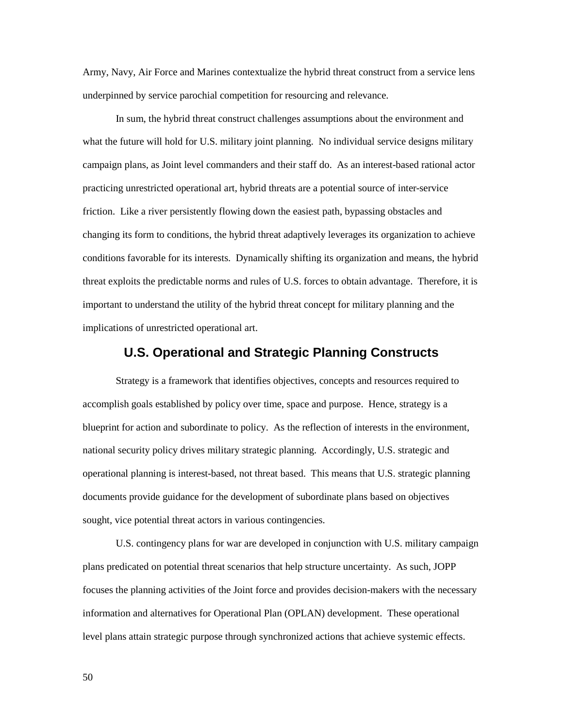Army, Navy, Air Force and Marines contextualize the hybrid threat construct from a service lens underpinned by service parochial competition for resourcing and relevance.

In sum, the hybrid threat construct challenges assumptions about the environment and what the future will hold for U.S. military joint planning. No individual service designs military campaign plans, as Joint level commanders and their staff do. As an interest-based rational actor practicing unrestricted operational art, hybrid threats are a potential source of inter-service friction. Like a river persistently flowing down the easiest path, bypassing obstacles and changing its form to conditions, the hybrid threat adaptively leverages its organization to achieve conditions favorable for its interests. Dynamically shifting its organization and means, the hybrid threat exploits the predictable norms and rules of U.S. forces to obtain advantage. Therefore, it is important to understand the utility of the hybrid threat concept for military planning and the implications of unrestricted operational art.

### **U.S. Operational and Strategic Planning Constructs**

Strategy is a framework that identifies objectives, concepts and resources required to accomplish goals established by policy over time, space and purpose. Hence, strategy is a blueprint for action and subordinate to policy. As the reflection of interests in the environment, national security policy drives military strategic planning. Accordingly, U.S. strategic and operational planning is interest-based, not threat based. This means that U.S. strategic planning documents provide guidance for the development of subordinate plans based on objectives sought, vice potential threat actors in various contingencies.

U.S. contingency plans for war are developed in conjunction with U.S. military campaign plans predicated on potential threat scenarios that help structure uncertainty. As such, JOPP focuses the planning activities of the Joint force and provides decision-makers with the necessary information and alternatives for Operational Plan (OPLAN) development. These operational level plans attain strategic purpose through synchronized actions that achieve systemic effects.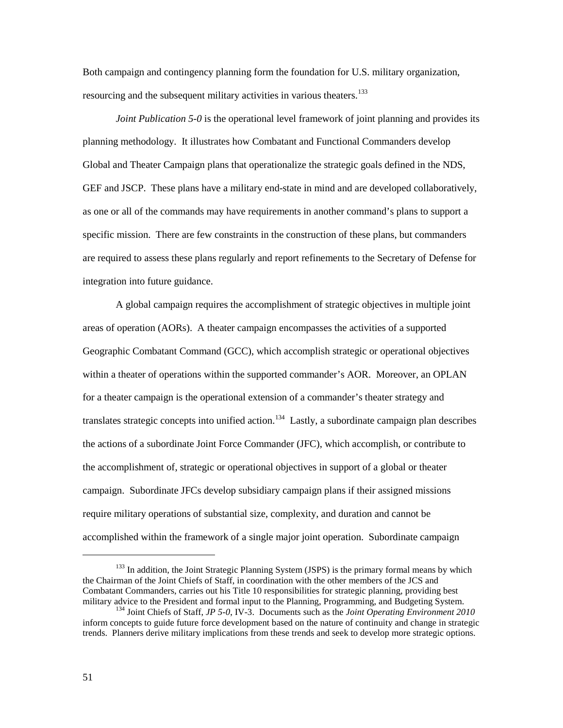Both campaign and contingency planning form the foundation for U.S. military organization, resourcing and the subsequent military activities in various theaters.<sup>[133](#page-58-0)</sup>

*Joint Publication 5-0* is the operational level framework of joint planning and provides its planning methodology. It illustrates how Combatant and Functional Commanders develop Global and Theater Campaign plans that operationalize the strategic goals defined in the NDS, GEF and JSCP. These plans have a military end-state in mind and are developed collaboratively, as one or all of the commands may have requirements in another command's plans to support a specific mission. There are few constraints in the construction of these plans, but commanders are required to assess these plans regularly and report refinements to the Secretary of Defense for integration into future guidance.

A global campaign requires the accomplishment of strategic objectives in multiple joint areas of operation (AORs). A theater campaign encompasses the activities of a supported Geographic Combatant Command (GCC), which accomplish strategic or operational objectives within a theater of operations within the supported commander's AOR. Moreover, an OPLAN for a theater campaign is the operational extension of a commander's theater strategy and translates strategic concepts into unified action.<sup>[134](#page-58-1)</sup> Lastly, a subordinate campaign plan describes the actions of a subordinate Joint Force Commander (JFC), which accomplish, or contribute to the accomplishment of, strategic or operational objectives in support of a global or theater campaign. Subordinate JFCs develop subsidiary campaign plans if their assigned missions require military operations of substantial size, complexity, and duration and cannot be accomplished within the framework of a single major joint operation. Subordinate campaign

<span id="page-58-0"></span> $133$  In addition, the Joint Strategic Planning System (JSPS) is the primary formal means by which the Chairman of the Joint Chiefs of Staff, in coordination with the other members of the JCS and Combatant Commanders, carries out his Title 10 responsibilities for strategic planning, providing best military advice to the President and formal input to the Planning, Programming, and Budgeting System.

<span id="page-58-1"></span><sup>134</sup> Joint Chiefs of Staff, *JP 5-0*, IV-3. Documents such as the *Joint Operating Environment 2010* inform concepts to guide future force development based on the nature of continuity and change in strategic trends. Planners derive military implications from these trends and seek to develop more strategic options.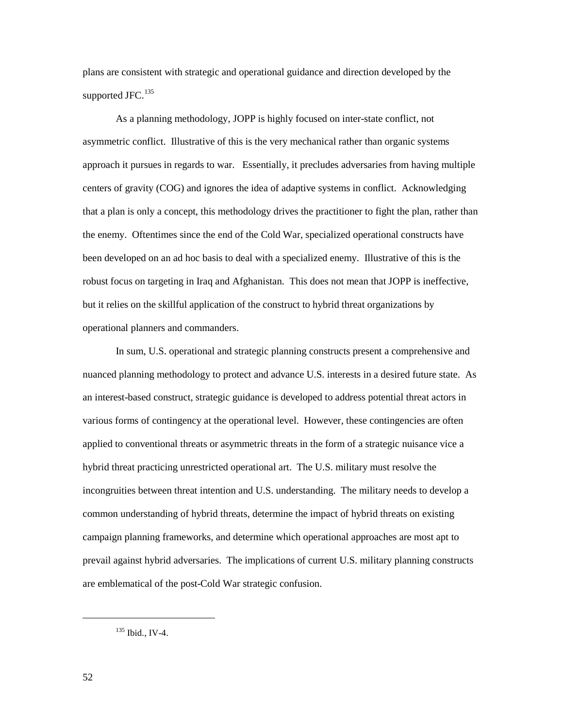plans are consistent with strategic and operational guidance and direction developed by the supported JFC. $135$ 

As a planning methodology, JOPP is highly focused on inter-state conflict, not asymmetric conflict. Illustrative of this is the very mechanical rather than organic systems approach it pursues in regards to war. Essentially, it precludes adversaries from having multiple centers of gravity (COG) and ignores the idea of adaptive systems in conflict. Acknowledging that a plan is only a concept, this methodology drives the practitioner to fight the plan, rather than the enemy. Oftentimes since the end of the Cold War, specialized operational constructs have been developed on an ad hoc basis to deal with a specialized enemy. Illustrative of this is the robust focus on targeting in Iraq and Afghanistan. This does not mean that JOPP is ineffective, but it relies on the skillful application of the construct to hybrid threat organizations by operational planners and commanders.

In sum, U.S. operational and strategic planning constructs present a comprehensive and nuanced planning methodology to protect and advance U.S. interests in a desired future state. As an interest-based construct, strategic guidance is developed to address potential threat actors in various forms of contingency at the operational level. However, these contingencies are often applied to conventional threats or asymmetric threats in the form of a strategic nuisance vice a hybrid threat practicing unrestricted operational art. The U.S. military must resolve the incongruities between threat intention and U.S. understanding. The military needs to develop a common understanding of hybrid threats, determine the impact of hybrid threats on existing campaign planning frameworks, and determine which operational approaches are most apt to prevail against hybrid adversaries. The implications of current U.S. military planning constructs are emblematical of the post-Cold War strategic confusion.

<span id="page-59-0"></span><sup>135</sup> Ibid., IV-4.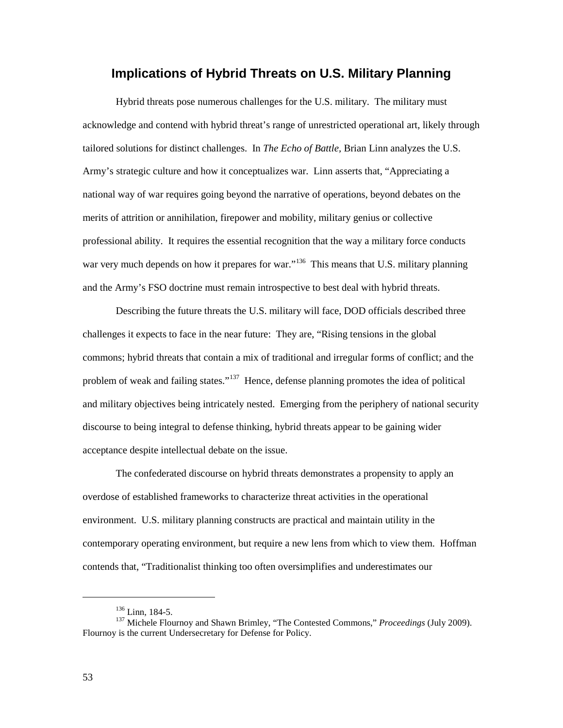# **Implications of Hybrid Threats on U.S. Military Planning**

Hybrid threats pose numerous challenges for the U.S. military. The military must acknowledge and contend with hybrid threat's range of unrestricted operational art, likely through tailored solutions for distinct challenges. In *The Echo of Battle,* Brian Linn analyzes the U.S. Army's strategic culture and how it conceptualizes war. Linn asserts that, "Appreciating a national way of war requires going beyond the narrative of operations, beyond debates on the merits of attrition or annihilation, firepower and mobility, military genius or collective professional ability. It requires the essential recognition that the way a military force conducts war very much depends on how it prepares for war."<sup>[136](#page-60-0)</sup> This means that U.S. military planning and the Army's FSO doctrine must remain introspective to best deal with hybrid threats.

Describing the future threats the U.S. military will face, DOD officials described three challenges it expects to face in the near future: They are, "Rising tensions in the global commons; hybrid threats that contain a mix of traditional and irregular forms of conflict; and the problem of weak and failing states."<sup>[137](#page-60-1)</sup> Hence, defense planning promotes the idea of political and military objectives being intricately nested. Emerging from the periphery of national security discourse to being integral to defense thinking, hybrid threats appear to be gaining wider acceptance despite intellectual debate on the issue.

The confederated discourse on hybrid threats demonstrates a propensity to apply an overdose of established frameworks to characterize threat activities in the operational environment. U.S. military planning constructs are practical and maintain utility in the contemporary operating environment, but require a new lens from which to view them. Hoffman contends that, "Traditionalist thinking too often oversimplifies and underestimates our

<span id="page-60-1"></span><span id="page-60-0"></span><sup>&</sup>lt;sup>136</sup> Linn, 184-5.<br><sup>137</sup> Michele Flournoy and Shawn Brimley, "The Contested Commons," *Proceedings* (July 2009). Flournoy is the current Undersecretary for Defense for Policy.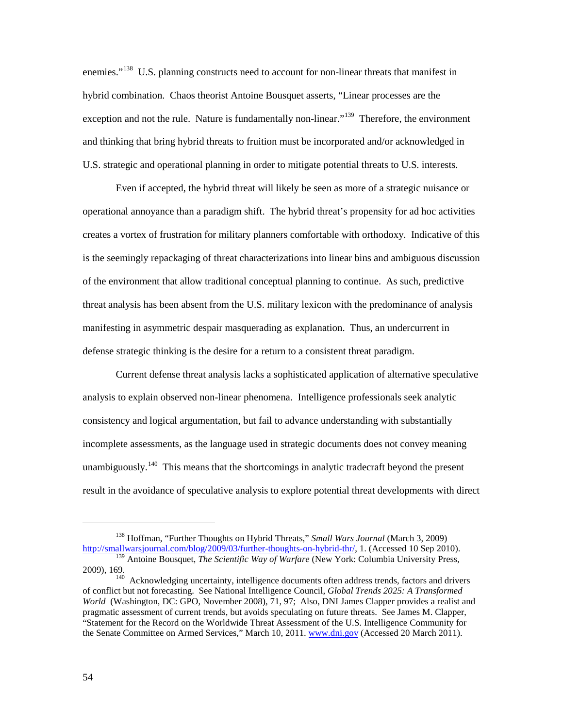enemies."<sup>138</sup> U.S. planning constructs need to account for non-linear threats that manifest in hybrid combination. Chaos theorist Antoine Bousquet asserts, "Linear processes are the exception and not the rule. Nature is fundamentally non-linear."<sup>[139](#page-61-1)</sup> Therefore, the environment and thinking that bring hybrid threats to fruition must be incorporated and/or acknowledged in U.S. strategic and operational planning in order to mitigate potential threats to U.S. interests.

 Even if accepted, the hybrid threat will likely be seen as more of a strategic nuisance or operational annoyance than a paradigm shift. The hybrid threat's propensity for ad hoc activities creates a vortex of frustration for military planners comfortable with orthodoxy. Indicative of this is the seemingly repackaging of threat characterizations into linear bins and ambiguous discussion of the environment that allow traditional conceptual planning to continue. As such, predictive threat analysis has been absent from the U.S. military lexicon with the predominance of analysis manifesting in asymmetric despair masquerading as explanation. Thus, an undercurrent in defense strategic thinking is the desire for a return to a consistent threat paradigm.

Current defense threat analysis lacks a sophisticated application of alternative speculative analysis to explain observed non-linear phenomena. Intelligence professionals seek analytic consistency and logical argumentation, but fail to advance understanding with substantially incomplete assessments, as the language used in strategic documents does not convey meaning unambiguously.<sup>[140](#page-61-2)</sup> This means that the shortcomings in analytic tradecraft beyond the present result in the avoidance of speculative analysis to explore potential threat developments with direct

<span id="page-61-0"></span><sup>&</sup>lt;sup>138</sup> Hoffman, "Further Thoughts on Hybrid Threats," *Small Wars Journal* (March 3, 2009)<br>http://smallwarsjournal.com/blog/2009/03/further-thoughts-on-hybrid-thr/, 1. (Accessed 10 Sep 2010).

<span id="page-61-1"></span><sup>&</sup>lt;sup>139</sup> Antoine Bousquet, *The Scientific Way of Warfare* (New York: Columbia University Press, 2009). 169.  $140$  Acknowledging uncertainty, intelligence documents often address trends, factors and drivers

<span id="page-61-2"></span>of conflict but not forecasting. See National Intelligence Council, *Global Trends 2025: A Transformed World* (Washington, DC: GPO, November 2008), 71, 97; Also, DNI James Clapper provides a realist and pragmatic assessment of current trends, but avoids speculating on future threats. See James M. Clapper, "Statement for the Record on the Worldwide Threat Assessment of the U.S. Intelligence Community for the Senate Committee on Armed Services," March 10, 2011. [www.dni.gov](http://www.dni.gov/) (Accessed 20 March 2011).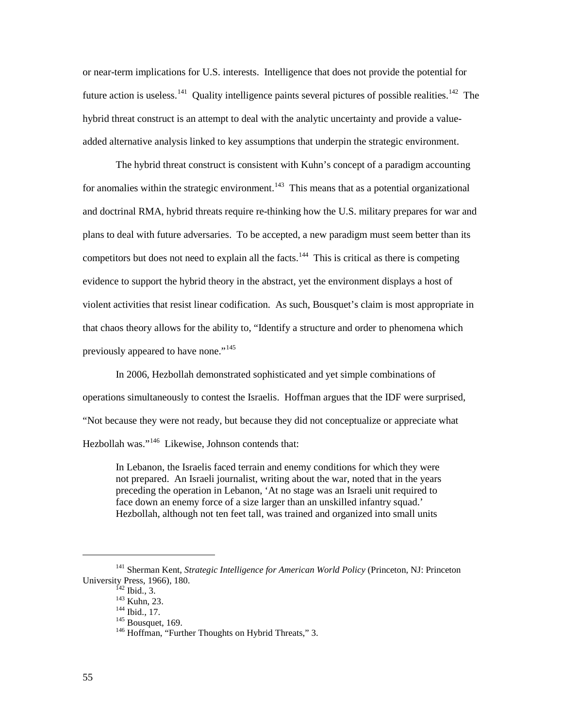or near-term implications for U.S. interests. Intelligence that does not provide the potential for future action is useless.<sup>141</sup> Quality intelligence paints several pictures of possible realities.<sup>[142](#page-62-1)</sup> The hybrid threat construct is an attempt to deal with the analytic uncertainty and provide a valueadded alternative analysis linked to key assumptions that underpin the strategic environment.

The hybrid threat construct is consistent with Kuhn's concept of a paradigm accounting for anomalies within the strategic environment.<sup>[143](#page-62-2)</sup> This means that as a potential organizational and doctrinal RMA, hybrid threats require re-thinking how the U.S. military prepares for war and plans to deal with future adversaries. To be accepted, a new paradigm must seem better than its competitors but does not need to explain all the facts.<sup>144</sup> This is critical as there is competing evidence to support the hybrid theory in the abstract, yet the environment displays a host of violent activities that resist linear codification. As such, Bousquet's claim is most appropriate in that chaos theory allows for the ability to, "Identify a structure and order to phenomena which previously appeared to have none."<sup>[145](#page-62-4)</sup>

 In 2006, Hezbollah demonstrated sophisticated and yet simple combinations of operations simultaneously to contest the Israelis. Hoffman argues that the IDF were surprised, "Not because they were not ready, but because they did not conceptualize or appreciate what Hezbollah was."<sup>[146](#page-62-5)</sup> Likewise, Johnson contends that:

In Lebanon, the Israelis faced terrain and enemy conditions for which they were not prepared. An Israeli journalist, writing about the war, noted that in the years preceding the operation in Lebanon, 'At no stage was an Israeli unit required to face down an enemy force of a size larger than an unskilled infantry squad.' Hezbollah, although not ten feet tall, was trained and organized into small units

<span id="page-62-5"></span><span id="page-62-4"></span><span id="page-62-3"></span><span id="page-62-2"></span><span id="page-62-1"></span><span id="page-62-0"></span><sup>&</sup>lt;sup>141</sup> Sherman Kent, *Strategic Intelligence for American World Policy* (Princeton, NJ: Princeton University Press, 1966), 180.<br><sup>142</sup> Ibid., 3.

<sup>&</sup>lt;sup>143</sup> Kuhn, 23. 144 Ibid., 17. 145 Bousquet, 169. 146 Hoffman, "Further Thoughts on Hybrid Threats," 3.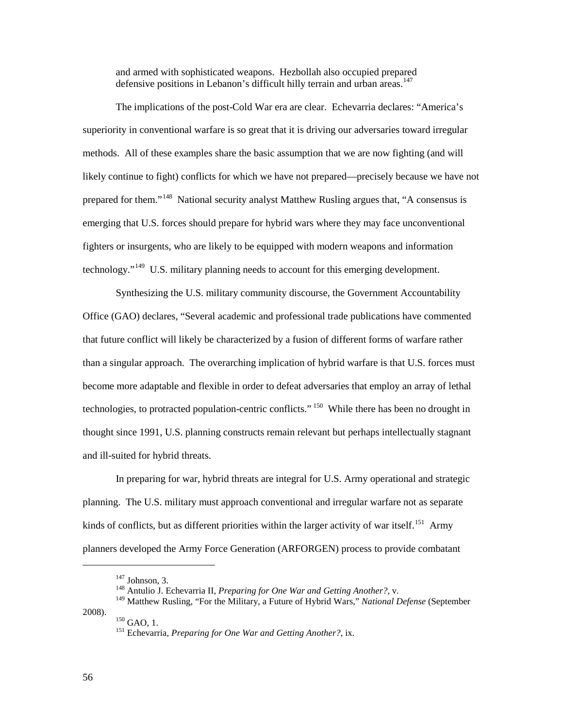and armed with sophisticated weapons. Hezbollah also occupied prepared defensive positions in Lebanon's difficult hilly terrain and urban areas.<sup>[147](#page-63-0)</sup>

The implications of the post-Cold War era are clear. Echevarria declares: "America's superiority in conventional warfare is so great that it is driving our adversaries toward irregular methods. All of these examples share the basic assumption that we are now fighting (and will likely continue to fight) conflicts for which we have not prepared—precisely because we have not prepared for them."<sup>[148](#page-63-1)</sup> National security analyst Matthew Rusling argues that, "A consensus is emerging that U.S. forces should prepare for hybrid wars where they may face unconventional fighters or insurgents, who are likely to be equipped with modern weapons and information technology."<sup>[149](#page-63-2)</sup> U.S. military planning needs to account for this emerging development.

Synthesizing the U.S. military community discourse, the Government Accountability Office (GAO) declares, "Several academic and professional trade publications have commented that future conflict will likely be characterized by a fusion of different forms of warfare rather than a singular approach. The overarching implication of hybrid warfare is that U.S. forces must become more adaptable and flexible in order to defeat adversaries that employ an array of lethal technologies, to protracted population-centric conflicts." <sup>[150](#page-63-3)</sup> While there has been no drought in thought since 1991, U.S. planning constructs remain relevant but perhaps intellectually stagnant and ill-suited for hybrid threats.

In preparing for war, hybrid threats are integral for U.S. Army operational and strategic planning. The U.S. military must approach conventional and irregular warfare not as separate kinds of conflicts, but as different priorities within the larger activity of war itself.<sup>[151](#page-63-4)</sup> Army planners developed the Army Force Generation (ARFORGEN) process to provide combatant

<span id="page-63-4"></span><span id="page-63-3"></span>

 $147$  Johnson, 3.

<sup>148</sup> Antulio J. Echevarria II, *Preparing for One War and Getting Another?,* v.

<span id="page-63-2"></span><span id="page-63-1"></span><span id="page-63-0"></span><sup>149</sup> Matthew Rusling, "For the Military, a Future of Hybrid Wars," *National Defense* (September 2008). <sup>150</sup> GAO, 1. 151 Echevarria, *Preparing for One War and Getting Another?,* ix.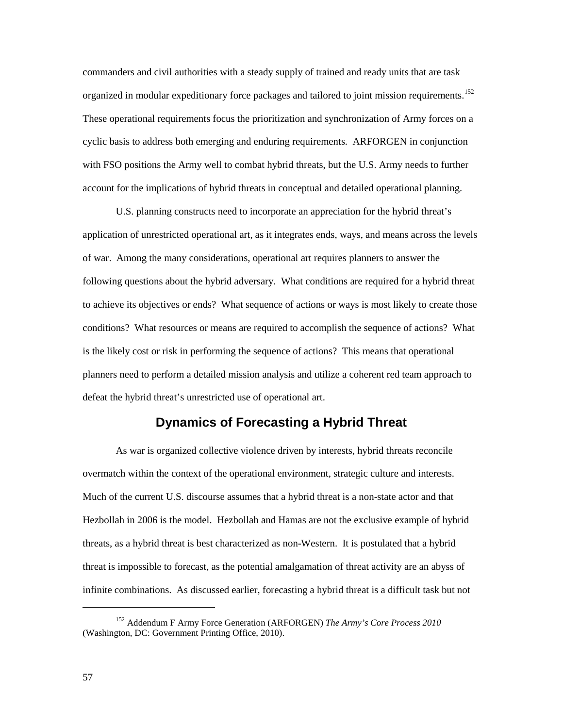commanders and civil authorities with a steady supply of trained and ready units that are task organized in modular expeditionary force packages and tailored to joint mission requirements.<sup>[152](#page-64-0)</sup> These operational requirements focus the prioritization and synchronization of Army forces on a cyclic basis to address both emerging and enduring requirements. ARFORGEN in conjunction with FSO positions the Army well to combat hybrid threats, but the U.S. Army needs to further account for the implications of hybrid threats in conceptual and detailed operational planning.

U.S. planning constructs need to incorporate an appreciation for the hybrid threat's application of unrestricted operational art, as it integrates ends, ways, and means across the levels of war. Among the many considerations, operational art requires planners to answer the following questions about the hybrid adversary. What conditions are required for a hybrid threat to achieve its objectives or ends? What sequence of actions or ways is most likely to create those conditions? What resources or means are required to accomplish the sequence of actions? What is the likely cost or risk in performing the sequence of actions? This means that operational planners need to perform a detailed mission analysis and utilize a coherent red team approach to defeat the hybrid threat's unrestricted use of operational art.

# **Dynamics of Forecasting a Hybrid Threat**

As war is organized collective violence driven by interests, hybrid threats reconcile overmatch within the context of the operational environment, strategic culture and interests. Much of the current U.S. discourse assumes that a hybrid threat is a non-state actor and that Hezbollah in 2006 is the model. Hezbollah and Hamas are not the exclusive example of hybrid threats, as a hybrid threat is best characterized as non-Western. It is postulated that a hybrid threat is impossible to forecast, as the potential amalgamation of threat activity are an abyss of infinite combinations. As discussed earlier, forecasting a hybrid threat is a difficult task but not

<span id="page-64-0"></span><sup>152</sup> Addendum F Army Force Generation (ARFORGEN) *The Army's Core Process 2010* (Washington, DC: Government Printing Office, 2010).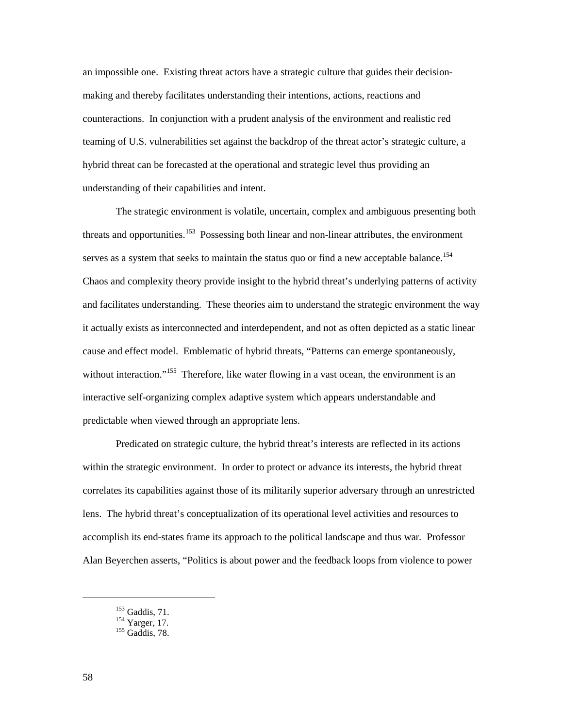an impossible one. Existing threat actors have a strategic culture that guides their decisionmaking and thereby facilitates understanding their intentions, actions, reactions and counteractions. In conjunction with a prudent analysis of the environment and realistic red teaming of U.S. vulnerabilities set against the backdrop of the threat actor's strategic culture, a hybrid threat can be forecasted at the operational and strategic level thus providing an understanding of their capabilities and intent.

The strategic environment is volatile, uncertain, complex and ambiguous presenting both threats and opportunities.<sup>153</sup> Possessing both linear and non-linear attributes, the environment serves as a system that seeks to maintain the status quo or find a new acceptable balance.<sup>[154](#page-65-1)</sup> Chaos and complexity theory provide insight to the hybrid threat's underlying patterns of activity and facilitates understanding. These theories aim to understand the strategic environment the way it actually exists as interconnected and interdependent, and not as often depicted as a static linear cause and effect model. Emblematic of hybrid threats, "Patterns can emerge spontaneously, without interaction."<sup>[155](#page-65-2)</sup> Therefore, like water flowing in a vast ocean, the environment is an interactive self-organizing complex adaptive system which appears understandable and predictable when viewed through an appropriate lens.

Predicated on strategic culture, the hybrid threat's interests are reflected in its actions within the strategic environment. In order to protect or advance its interests, the hybrid threat correlates its capabilities against those of its militarily superior adversary through an unrestricted lens. The hybrid threat's conceptualization of its operational level activities and resources to accomplish its end-states frame its approach to the political landscape and thus war*.* Professor Alan Beyerchen asserts, "Politics is about power and the feedback loops from violence to power

<span id="page-65-2"></span>

<span id="page-65-1"></span><span id="page-65-0"></span> $^{153}_{154}$  Gaddis, 71.<br><sup>154</sup> Yarger, 17.<br><sup>155</sup> Gaddis, 78.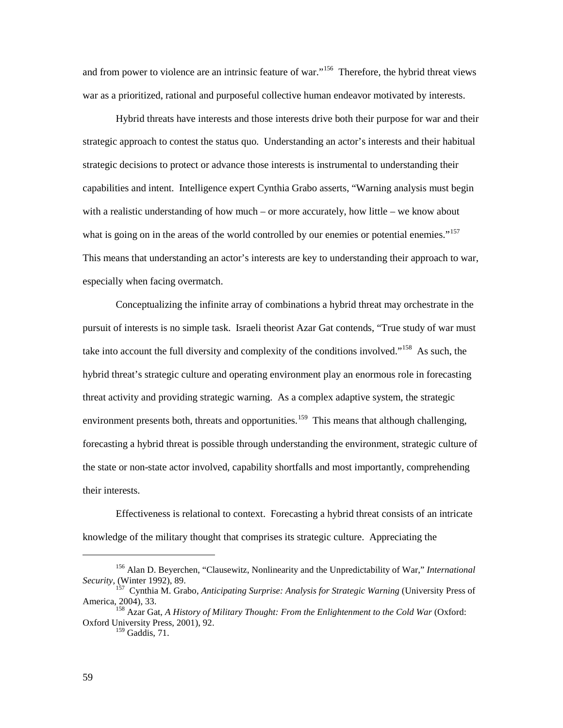and from power to violence are an intrinsic feature of war."<sup>[156](#page-66-0)</sup> Therefore, the hybrid threat views war as a prioritized, rational and purposeful collective human endeavor motivated by interests.

Hybrid threats have interests and those interests drive both their purpose for war and their strategic approach to contest the status quo. Understanding an actor's interests and their habitual strategic decisions to protect or advance those interests is instrumental to understanding their capabilities and intent. Intelligence expert Cynthia Grabo asserts, "Warning analysis must begin with a realistic understanding of how much – or more accurately, how little – we know about what is going on in the areas of the world controlled by our enemies or potential enemies."<sup>[157](#page-66-1)</sup> This means that understanding an actor's interests are key to understanding their approach to war, especially when facing overmatch.

Conceptualizing the infinite array of combinations a hybrid threat may orchestrate in the pursuit of interests is no simple task. Israeli theorist Azar Gat contends, "True study of war must take into account the full diversity and complexity of the conditions involved."<sup>[158](#page-66-2)</sup> As such, the hybrid threat's strategic culture and operating environment play an enormous role in forecasting threat activity and providing strategic warning. As a complex adaptive system, the strategic environment presents both, threats and opportunities.<sup>[159](#page-66-3)</sup> This means that although challenging, forecasting a hybrid threat is possible through understanding the environment, strategic culture of the state or non-state actor involved, capability shortfalls and most importantly, comprehending their interests.

Effectiveness is relational to context. Forecasting a hybrid threat consists of an intricate knowledge of the military thought that comprises its strategic culture. Appreciating the

<span id="page-66-0"></span><sup>156</sup> Alan D. Beyerchen, "Clausewitz, Nonlinearity and the Unpredictability of War," *International Security,* (Winter 1992), 89.

<span id="page-66-1"></span><sup>157</sup> Cynthia M. Grabo, *Anticipating Surprise: Analysis for Strategic Warning* (University Press of America, 2004), 33.<br><sup>158</sup> Azar Gat, *A History of Military Thought: From the Enlightenment to the Cold War* (Oxford:

<span id="page-66-3"></span><span id="page-66-2"></span>Oxford University Press, 2001), 92.

 $159$  Gaddis, 71.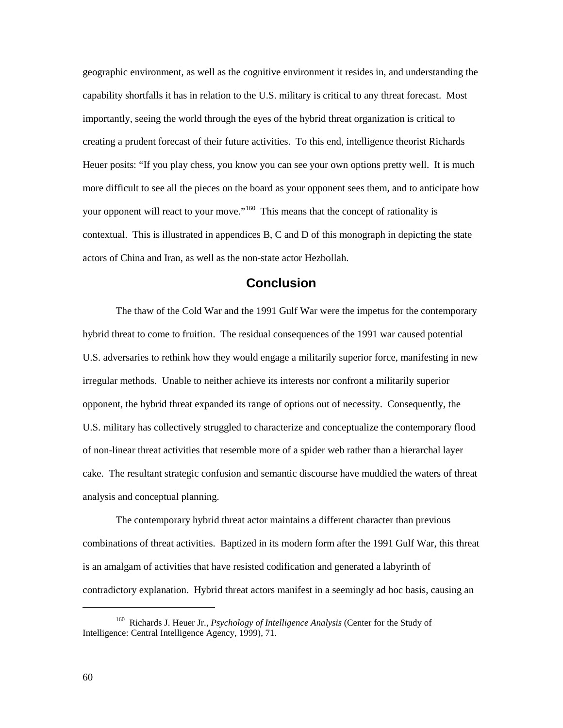geographic environment, as well as the cognitive environment it resides in, and understanding the capability shortfalls it has in relation to the U.S. military is critical to any threat forecast. Most importantly, seeing the world through the eyes of the hybrid threat organization is critical to creating a prudent forecast of their future activities. To this end, intelligence theorist Richards Heuer posits: "If you play chess, you know you can see your own options pretty well. It is much more difficult to see all the pieces on the board as your opponent sees them, and to anticipate how your opponent will react to your move."<sup>[160](#page-67-0)</sup> This means that the concept of rationality is contextual. This is illustrated in appendices B, C and D of this monograph in depicting the state actors of China and Iran, as well as the non-state actor Hezbollah.

### **Conclusion**

The thaw of the Cold War and the 1991 Gulf War were the impetus for the contemporary hybrid threat to come to fruition. The residual consequences of the 1991 war caused potential U.S. adversaries to rethink how they would engage a militarily superior force, manifesting in new irregular methods. Unable to neither achieve its interests nor confront a militarily superior opponent, the hybrid threat expanded its range of options out of necessity. Consequently, the U.S. military has collectively struggled to characterize and conceptualize the contemporary flood of non-linear threat activities that resemble more of a spider web rather than a hierarchal layer cake. The resultant strategic confusion and semantic discourse have muddied the waters of threat analysis and conceptual planning.

The contemporary hybrid threat actor maintains a different character than previous combinations of threat activities. Baptized in its modern form after the 1991 Gulf War, this threat is an amalgam of activities that have resisted codification and generated a labyrinth of contradictory explanation. Hybrid threat actors manifest in a seemingly ad hoc basis, causing an

<span id="page-67-0"></span><sup>160</sup> Richards J. Heuer Jr., *Psychology of Intelligence Analysis* (Center for the Study of Intelligence: Central Intelligence Agency, 1999), 71.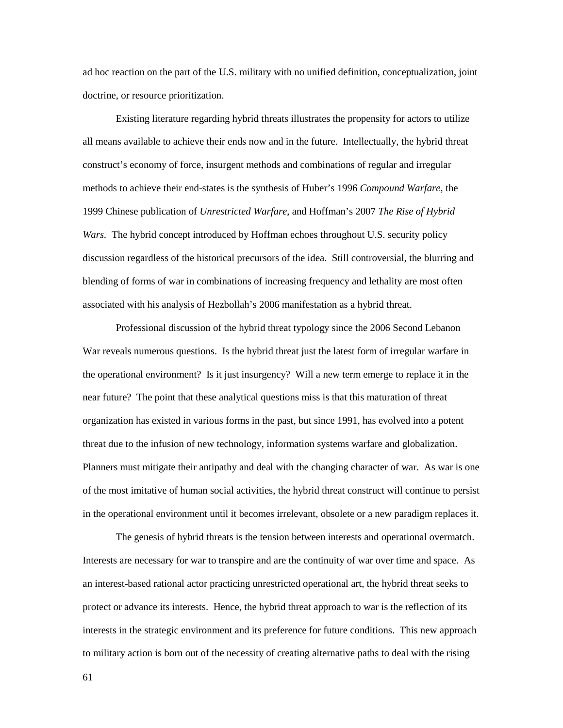ad hoc reaction on the part of the U.S. military with no unified definition, conceptualization, joint doctrine, or resource prioritization.

Existing literature regarding hybrid threats illustrates the propensity for actors to utilize all means available to achieve their ends now and in the future. Intellectually, the hybrid threat construct's economy of force, insurgent methods and combinations of regular and irregular methods to achieve their end-states is the synthesis of Huber's 1996 *Compound Warfare*, the 1999 Chinese publication of *Unrestricted Warfare*, and Hoffman's 2007 *The Rise of Hybrid Wars.* The hybrid concept introduced by Hoffman echoes throughout U.S. security policy discussion regardless of the historical precursors of the idea. Still controversial, the blurring and blending of forms of war in combinations of increasing frequency and lethality are most often associated with his analysis of Hezbollah's 2006 manifestation as a hybrid threat.

Professional discussion of the hybrid threat typology since the 2006 Second Lebanon War reveals numerous questions. Is the hybrid threat just the latest form of irregular warfare in the operational environment? Is it just insurgency? Will a new term emerge to replace it in the near future? The point that these analytical questions miss is that this maturation of threat organization has existed in various forms in the past, but since 1991, has evolved into a potent threat due to the infusion of new technology, information systems warfare and globalization. Planners must mitigate their antipathy and deal with the changing character of war. As war is one of the most imitative of human social activities, the hybrid threat construct will continue to persist in the operational environment until it becomes irrelevant, obsolete or a new paradigm replaces it.

The genesis of hybrid threats is the tension between interests and operational overmatch. Interests are necessary for war to transpire and are the continuity of war over time and space. As an interest-based rational actor practicing unrestricted operational art, the hybrid threat seeks to protect or advance its interests. Hence, the hybrid threat approach to war is the reflection of its interests in the strategic environment and its preference for future conditions. This new approach to military action is born out of the necessity of creating alternative paths to deal with the rising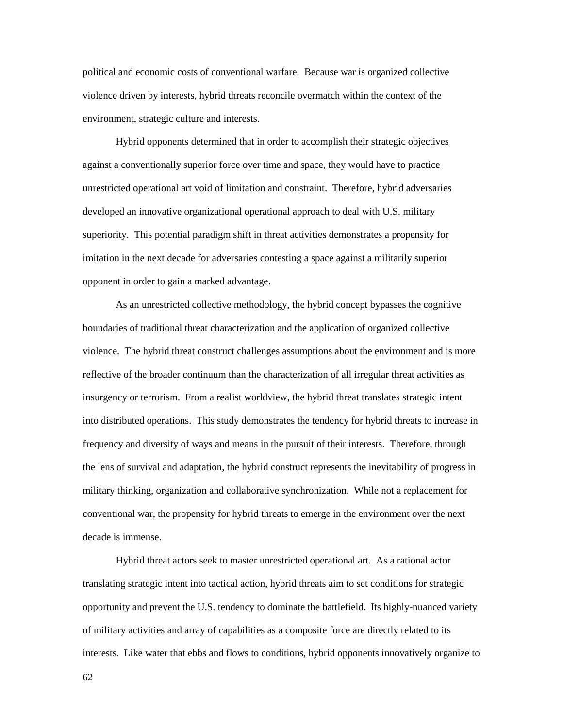political and economic costs of conventional warfare. Because war is organized collective violence driven by interests, hybrid threats reconcile overmatch within the context of the environment, strategic culture and interests.

Hybrid opponents determined that in order to accomplish their strategic objectives against a conventionally superior force over time and space, they would have to practice unrestricted operational art void of limitation and constraint. Therefore, hybrid adversaries developed an innovative organizational operational approach to deal with U.S. military superiority. This potential paradigm shift in threat activities demonstrates a propensity for imitation in the next decade for adversaries contesting a space against a militarily superior opponent in order to gain a marked advantage.

As an unrestricted collective methodology, the hybrid concept bypasses the cognitive boundaries of traditional threat characterization and the application of organized collective violence. The hybrid threat construct challenges assumptions about the environment and is more reflective of the broader continuum than the characterization of all irregular threat activities as insurgency or terrorism. From a realist worldview, the hybrid threat translates strategic intent into distributed operations. This study demonstrates the tendency for hybrid threats to increase in frequency and diversity of ways and means in the pursuit of their interests. Therefore, through the lens of survival and adaptation, the hybrid construct represents the inevitability of progress in military thinking, organization and collaborative synchronization. While not a replacement for conventional war, the propensity for hybrid threats to emerge in the environment over the next decade is immense.

Hybrid threat actors seek to master unrestricted operational art. As a rational actor translating strategic intent into tactical action, hybrid threats aim to set conditions for strategic opportunity and prevent the U.S. tendency to dominate the battlefield. Its highly-nuanced variety of military activities and array of capabilities as a composite force are directly related to its interests. Like water that ebbs and flows to conditions, hybrid opponents innovatively organize to

62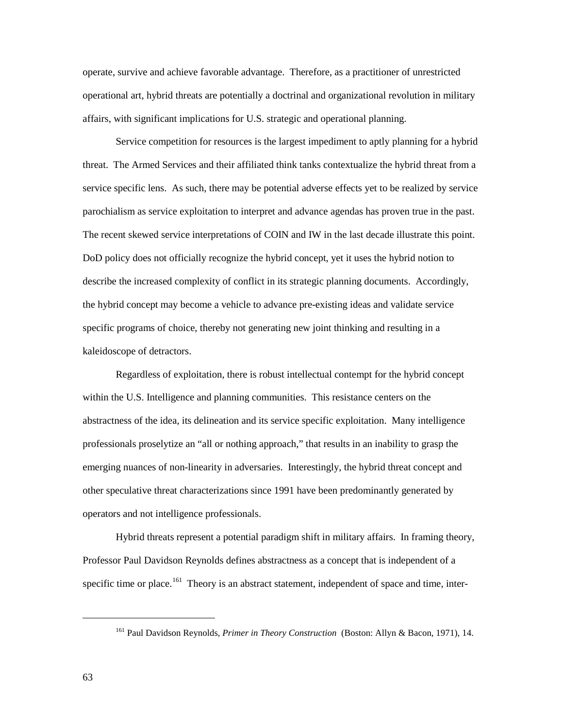operate, survive and achieve favorable advantage. Therefore, as a practitioner of unrestricted operational art, hybrid threats are potentially a doctrinal and organizational revolution in military affairs, with significant implications for U.S. strategic and operational planning.

Service competition for resources is the largest impediment to aptly planning for a hybrid threat. The Armed Services and their affiliated think tanks contextualize the hybrid threat from a service specific lens. As such, there may be potential adverse effects yet to be realized by service parochialism as service exploitation to interpret and advance agendas has proven true in the past. The recent skewed service interpretations of COIN and IW in the last decade illustrate this point. DoD policy does not officially recognize the hybrid concept, yet it uses the hybrid notion to describe the increased complexity of conflict in its strategic planning documents. Accordingly, the hybrid concept may become a vehicle to advance pre-existing ideas and validate service specific programs of choice, thereby not generating new joint thinking and resulting in a kaleidoscope of detractors.

Regardless of exploitation, there is robust intellectual contempt for the hybrid concept within the U.S. Intelligence and planning communities. This resistance centers on the abstractness of the idea, its delineation and its service specific exploitation. Many intelligence professionals proselytize an "all or nothing approach," that results in an inability to grasp the emerging nuances of non-linearity in adversaries. Interestingly, the hybrid threat concept and other speculative threat characterizations since 1991 have been predominantly generated by operators and not intelligence professionals.

Hybrid threats represent a potential paradigm shift in military affairs. In framing theory, Professor Paul Davidson Reynolds defines abstractness as a concept that is independent of a specific time or place.<sup>[161](#page-70-0)</sup> Theory is an abstract statement, independent of space and time, inter-

<span id="page-70-0"></span><sup>161</sup> Paul Davidson Reynolds, *Primer in Theory Construction* (Boston: Allyn & Bacon, 1971), 14.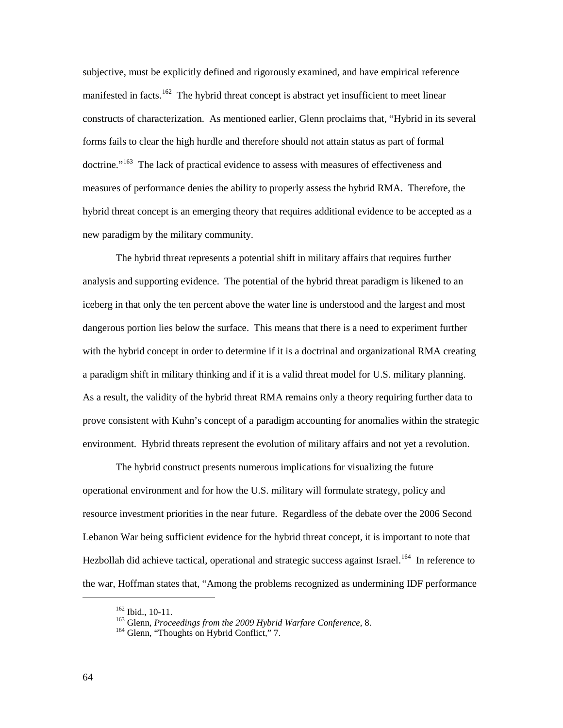subjective, must be explicitly defined and rigorously examined, and have empirical reference manifested in facts.<sup>162</sup> The hybrid threat concept is abstract yet insufficient to meet linear constructs of characterization. As mentioned earlier, Glenn proclaims that, "Hybrid in its several forms fails to clear the high hurdle and therefore should not attain status as part of formal doctrine."<sup>[163](#page-71-1)</sup> The lack of practical evidence to assess with measures of effectiveness and measures of performance denies the ability to properly assess the hybrid RMA. Therefore, the hybrid threat concept is an emerging theory that requires additional evidence to be accepted as a new paradigm by the military community.

The hybrid threat represents a potential shift in military affairs that requires further analysis and supporting evidence. The potential of the hybrid threat paradigm is likened to an iceberg in that only the ten percent above the water line is understood and the largest and most dangerous portion lies below the surface. This means that there is a need to experiment further with the hybrid concept in order to determine if it is a doctrinal and organizational RMA creating a paradigm shift in military thinking and if it is a valid threat model for U.S. military planning. As a result, the validity of the hybrid threat RMA remains only a theory requiring further data to prove consistent with Kuhn's concept of a paradigm accounting for anomalies within the strategic environment. Hybrid threats represent the evolution of military affairs and not yet a revolution.

The hybrid construct presents numerous implications for visualizing the future operational environment and for how the U.S. military will formulate strategy, policy and resource investment priorities in the near future. Regardless of the debate over the 2006 Second Lebanon War being sufficient evidence for the hybrid threat concept, it is important to note that Hezbollah did achieve tactical, operational and strategic success against Israel.<sup>[164](#page-71-2)</sup> In reference to the war, Hoffman states that, "Among the problems recognized as undermining IDF performance

<span id="page-71-0"></span><sup>162</sup> Ibid., 10-11.

<sup>&</sup>lt;sup>163</sup> Glenn, *Proceedings from the 2009 Hybrid Warfare Conference*, 8.<br><sup>164</sup> Glenn, "Thoughts on Hybrid Conflict," 7.

<span id="page-71-2"></span><span id="page-71-1"></span>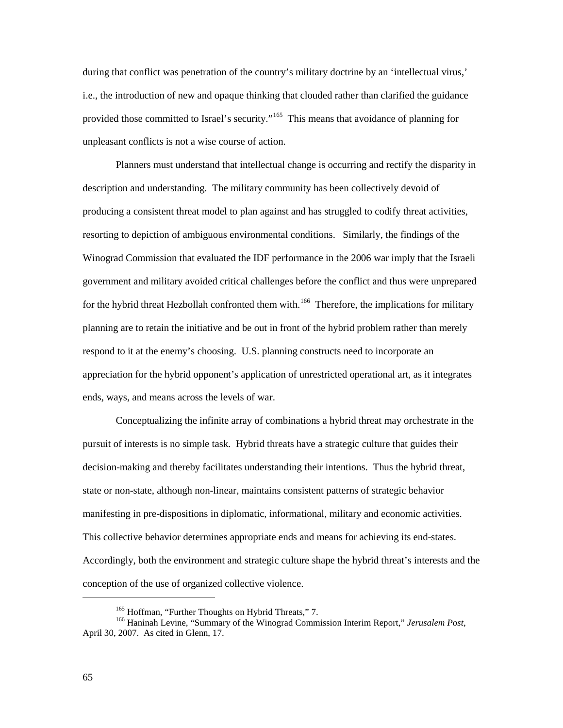during that conflict was penetration of the country's military doctrine by an 'intellectual virus,' i.e., the introduction of new and opaque thinking that clouded rather than clarified the guidance provided those committed to Israel's security."<sup>[165](#page-72-0)</sup> This means that avoidance of planning for unpleasant conflicts is not a wise course of action.

Planners must understand that intellectual change is occurring and rectify the disparity in description and understanding. The military community has been collectively devoid of producing a consistent threat model to plan against and has struggled to codify threat activities, resorting to depiction of ambiguous environmental conditions. Similarly, the findings of the Winograd Commission that evaluated the IDF performance in the 2006 war imply that the Israeli government and military avoided critical challenges before the conflict and thus were unprepared for the hybrid threat Hezbollah confronted them with.<sup>[166](#page-72-1)</sup> Therefore, the implications for military planning are to retain the initiative and be out in front of the hybrid problem rather than merely respond to it at the enemy's choosing. U.S. planning constructs need to incorporate an appreciation for the hybrid opponent's application of unrestricted operational art, as it integrates ends, ways, and means across the levels of war.

Conceptualizing the infinite array of combinations a hybrid threat may orchestrate in the pursuit of interests is no simple task. Hybrid threats have a strategic culture that guides their decision-making and thereby facilitates understanding their intentions. Thus the hybrid threat, state or non-state, although non-linear, maintains consistent patterns of strategic behavior manifesting in pre-dispositions in diplomatic, informational, military and economic activities. This collective behavior determines appropriate ends and means for achieving its end-states. Accordingly, both the environment and strategic culture shape the hybrid threat's interests and the conception of the use of organized collective violence.

<span id="page-72-1"></span><span id="page-72-0"></span><sup>&</sup>lt;sup>165</sup> Hoffman, "Further Thoughts on Hybrid Threats," 7.<br><sup>166</sup> Haninah Levine, "Summary of the Winograd Commission Interim Report," *Jerusalem Post*, April 30, 2007. As cited in Glenn, 17.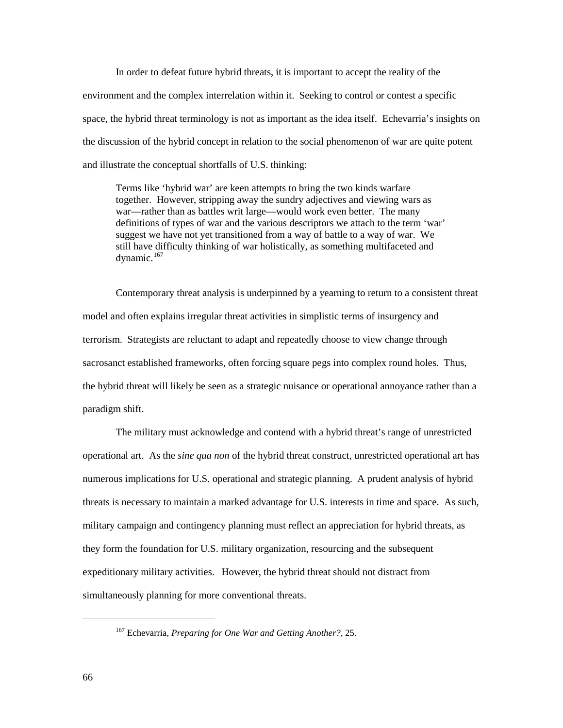In order to defeat future hybrid threats, it is important to accept the reality of the environment and the complex interrelation within it. Seeking to control or contest a specific space, the hybrid threat terminology is not as important as the idea itself. Echevarria's insights on the discussion of the hybrid concept in relation to the social phenomenon of war are quite potent and illustrate the conceptual shortfalls of U.S. thinking:

Terms like 'hybrid war' are keen attempts to bring the two kinds warfare together. However, stripping away the sundry adjectives and viewing wars as war—rather than as battles writ large—would work even better. The many definitions of types of war and the various descriptors we attach to the term 'war' suggest we have not yet transitioned from a way of battle to a way of war. We still have difficulty thinking of war holistically, as something multifaceted and dynamic. $167$ 

Contemporary threat analysis is underpinned by a yearning to return to a consistent threat model and often explains irregular threat activities in simplistic terms of insurgency and terrorism. Strategists are reluctant to adapt and repeatedly choose to view change through sacrosanct established frameworks, often forcing square pegs into complex round holes. Thus, the hybrid threat will likely be seen as a strategic nuisance or operational annoyance rather than a paradigm shift.

The military must acknowledge and contend with a hybrid threat's range of unrestricted operational art. As the *sine qua non* of the hybrid threat construct, unrestricted operational art has numerous implications for U.S. operational and strategic planning. A prudent analysis of hybrid threats is necessary to maintain a marked advantage for U.S. interests in time and space. As such, military campaign and contingency planning must reflect an appreciation for hybrid threats, as they form the foundation for U.S. military organization, resourcing and the subsequent expeditionary military activities. However, the hybrid threat should not distract from simultaneously planning for more conventional threats.

<span id="page-73-0"></span><sup>167</sup> Echevarria, *Preparing for One War and Getting Another?*, 25.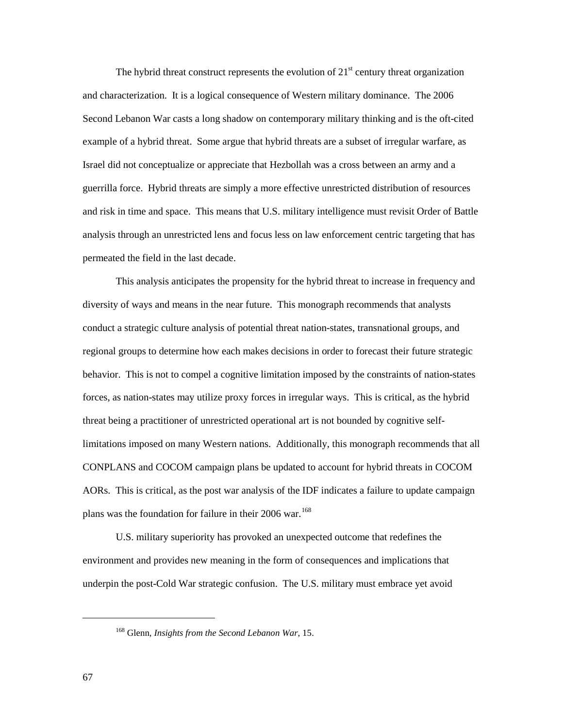The hybrid threat construct represents the evolution of  $21<sup>st</sup>$  century threat organization and characterization. It is a logical consequence of Western military dominance. The 2006 Second Lebanon War casts a long shadow on contemporary military thinking and is the oft-cited example of a hybrid threat. Some argue that hybrid threats are a subset of irregular warfare, as Israel did not conceptualize or appreciate that Hezbollah was a cross between an army and a guerrilla force. Hybrid threats are simply a more effective unrestricted distribution of resources and risk in time and space. This means that U.S. military intelligence must revisit Order of Battle analysis through an unrestricted lens and focus less on law enforcement centric targeting that has permeated the field in the last decade.

This analysis anticipates the propensity for the hybrid threat to increase in frequency and diversity of ways and means in the near future. This monograph recommends that analysts conduct a strategic culture analysis of potential threat nation-states, transnational groups, and regional groups to determine how each makes decisions in order to forecast their future strategic behavior. This is not to compel a cognitive limitation imposed by the constraints of nation-states forces, as nation-states may utilize proxy forces in irregular ways. This is critical, as the hybrid threat being a practitioner of unrestricted operational art is not bounded by cognitive selflimitations imposed on many Western nations. Additionally, this monograph recommends that all CONPLANS and COCOM campaign plans be updated to account for hybrid threats in COCOM AORs. This is critical, as the post war analysis of the IDF indicates a failure to update campaign plans was the foundation for failure in their 2006 war.<sup>[168](#page-74-0)</sup>

U.S. military superiority has provoked an unexpected outcome that redefines the environment and provides new meaning in the form of consequences and implications that underpin the post-Cold War strategic confusion. The U.S. military must embrace yet avoid

<span id="page-74-0"></span><sup>168</sup> Glenn, *Insights from the Second Lebanon War*, 15.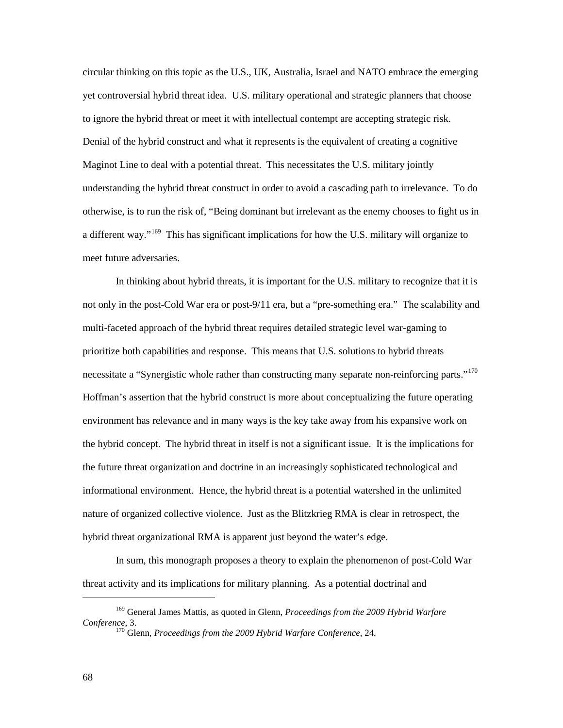circular thinking on this topic as the U.S., UK, Australia, Israel and NATO embrace the emerging yet controversial hybrid threat idea. U.S. military operational and strategic planners that choose to ignore the hybrid threat or meet it with intellectual contempt are accepting strategic risk. Denial of the hybrid construct and what it represents is the equivalent of creating a cognitive Maginot Line to deal with a potential threat. This necessitates the U.S. military jointly understanding the hybrid threat construct in order to avoid a cascading path to irrelevance. To do otherwise, is to run the risk of, "Being dominant but irrelevant as the enemy chooses to fight us in a different way."<sup>[169](#page-75-0)</sup> This has significant implications for how the U.S. military will organize to meet future adversaries.

In thinking about hybrid threats, it is important for the U.S. military to recognize that it is not only in the post-Cold War era or post-9/11 era, but a "pre-something era." The scalability and multi-faceted approach of the hybrid threat requires detailed strategic level war-gaming to prioritize both capabilities and response. This means that U.S. solutions to hybrid threats necessitate a "Synergistic whole rather than constructing many separate non-reinforcing parts."<sup>[170](#page-75-1)</sup> Hoffman's assertion that the hybrid construct is more about conceptualizing the future operating environment has relevance and in many ways is the key take away from his expansive work on the hybrid concept. The hybrid threat in itself is not a significant issue. It is the implications for the future threat organization and doctrine in an increasingly sophisticated technological and informational environment. Hence, the hybrid threat is a potential watershed in the unlimited nature of organized collective violence. Just as the Blitzkrieg RMA is clear in retrospect, the hybrid threat organizational RMA is apparent just beyond the water's edge.

In sum, this monograph proposes a theory to explain the phenomenon of post-Cold War threat activity and its implications for military planning. As a potential doctrinal and

<span id="page-75-1"></span><span id="page-75-0"></span><sup>169</sup> General James Mattis, as quoted in Glenn, *Proceedings from the 2009 Hybrid Warfare Conference*, 3. 170 Glenn, *Proceedings from the 2009 Hybrid Warfare Conference*, 24.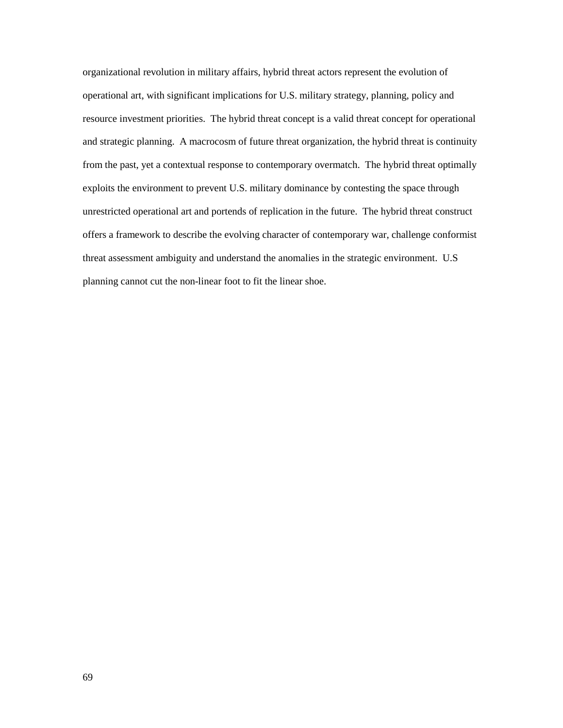organizational revolution in military affairs, hybrid threat actors represent the evolution of operational art, with significant implications for U.S. military strategy, planning, policy and resource investment priorities. The hybrid threat concept is a valid threat concept for operational and strategic planning. A macrocosm of future threat organization, the hybrid threat is continuity from the past, yet a contextual response to contemporary overmatch. The hybrid threat optimally exploits the environment to prevent U.S. military dominance by contesting the space through unrestricted operational art and portends of replication in the future. The hybrid threat construct offers a framework to describe the evolving character of contemporary war, challenge conformist threat assessment ambiguity and understand the anomalies in the strategic environment. U.S planning cannot cut the non-linear foot to fit the linear shoe.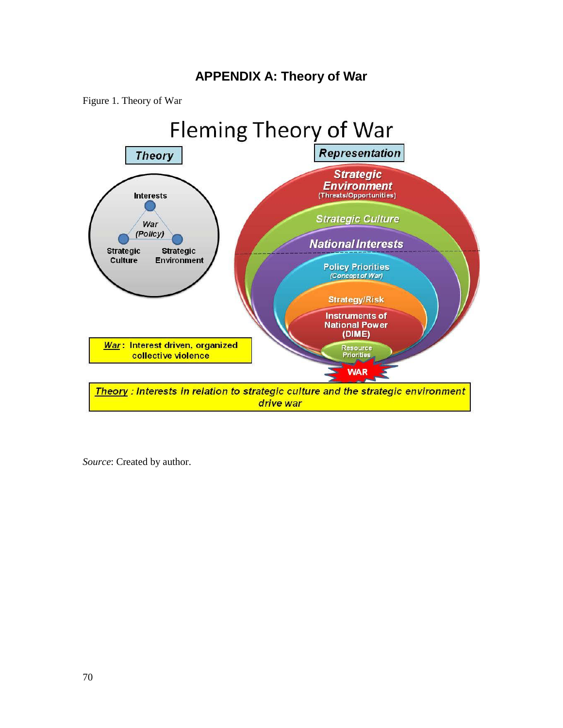# **APPENDIX A: Theory of War**

Figure 1. Theory of War



*Source*: Created by author.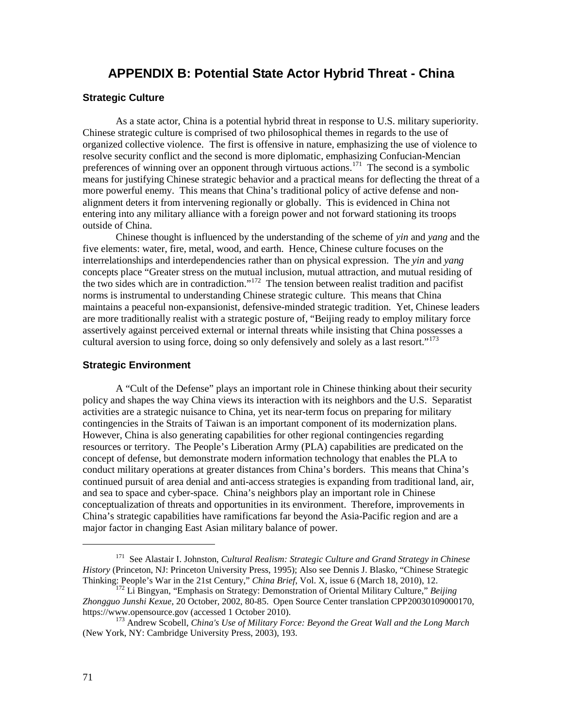# **APPENDIX B: Potential State Actor Hybrid Threat - China**

### **Strategic Culture**

As a state actor, China is a potential hybrid threat in response to U.S. military superiority. Chinese strategic culture is comprised of two philosophical themes in regards to the use of organized collective violence. The first is offensive in nature, emphasizing the use of violence to resolve security conflict and the second is more diplomatic, emphasizing Confucian-Mencian preferences of winning over an opponent through virtuous actions.<sup>[171](#page-78-0)</sup> The second is a symbolic means for justifying Chinese strategic behavior and a practical means for deflecting the threat of a more powerful enemy. This means that China's traditional policy of active defense and nonalignment deters it from intervening regionally or globally. This is evidenced in China not entering into any military alliance with a foreign power and not forward stationing its troops outside of China.

Chinese thought is influenced by the understanding of the scheme of *yin* and *yang* and the five elements: water, fire, metal, wood, and earth. Hence, Chinese culture focuses on the interrelationships and interdependencies rather than on physical expression. The *yin* and *yang* concepts place "Greater stress on the mutual inclusion, mutual attraction, and mutual residing of the two sides which are in contradiction."<sup>172</sup> The tension between realist tradition and pacifist norms is instrumental to understanding Chinese strategic culture. This means that China maintains a peaceful non-expansionist, defensive-minded strategic tradition. Yet, Chinese leaders are more traditionally realist with a strategic posture of, "Beijing ready to employ military force assertively against perceived external or internal threats while insisting that China possesses a cultural aversion to using force, doing so only defensively and solely as a last resort."<sup>[173](#page-78-2)</sup>

#### **Strategic Environment**

A "Cult of the Defense" plays an important role in Chinese thinking about their security policy and shapes the way China views its interaction with its neighbors and the U.S. Separatist activities are a strategic nuisance to China, yet its near-term focus on preparing for military contingencies in the Straits of Taiwan is an important component of its modernization plans. However, China is also generating capabilities for other regional contingencies regarding resources or territory. The People's Liberation Army (PLA) capabilities are predicated on the concept of defense, but demonstrate modern information technology that enables the PLA to conduct military operations at greater distances from China's borders. This means that China's continued pursuit of area denial and anti-access strategies is expanding from traditional land, air, and sea to space and cyber-space. China's neighbors play an important role in Chinese conceptualization of threats and opportunities in its environment. Therefore, improvements in China's strategic capabilities have ramifications far beyond the Asia-Pacific region and are a major factor in changing East Asian military balance of power.

<span id="page-78-0"></span><sup>171</sup> See Alastair I. Johnston, *Cultural Realism: Strategic Culture and Grand Strategy in Chinese History* (Princeton, NJ: Princeton University Press, 1995); Also see Dennis J. Blasko, "Chinese Strategic Thinking: People's War in the 21st Century," *China Brief*, Vol. X, issue 6 (March 18, 2010), 12.

<span id="page-78-1"></span><sup>&</sup>lt;sup>172</sup> Li Bingyan, "Emphasis on Strategy: Demonstration of Oriental Military Culture," *Beijing* Zhongguo Junshi Kexue, 20 October, 2002, 80-85. Open Source Center translation CPP20030109000170, https://www.opensource.gov (accessed 1 October 2010).

<span id="page-78-2"></span><sup>&</sup>lt;sup>173</sup> Andrew Scobell, *China's Use of Military Force: Beyond the Great Wall and the Long March* (New York, NY: Cambridge University Press, 2003), 193.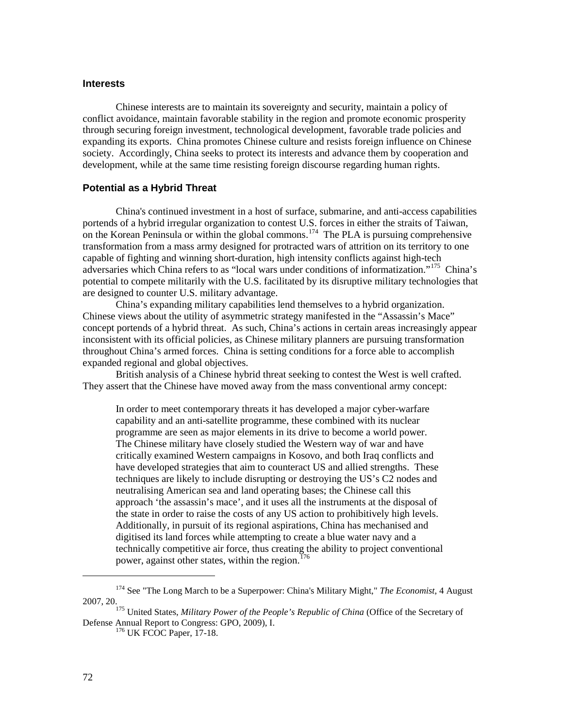## **Interests**

Chinese interests are to maintain its sovereignty and security, maintain a policy of conflict avoidance, maintain favorable stability in the region and promote economic prosperity through securing foreign investment, technological development, favorable trade policies and expanding its exports. China promotes Chinese culture and resists foreign influence on Chinese society. Accordingly, China seeks to protect its interests and advance them by cooperation and development, while at the same time resisting foreign discourse regarding human rights.

## **Potential as a Hybrid Threat**

China's continued investment in a host of surface, submarine, and anti-access capabilities portends of a hybrid irregular organization to contest U.S. forces in either the straits of Taiwan, on the Korean Peninsula or within the global commons.<sup>[174](#page-79-0)</sup> The PLA is pursuing comprehensive transformation from a mass army designed for protracted wars of attrition on its territory to one capable of fighting and winning short-duration, high intensity conflicts against high-tech adversaries which China refers to as "local wars under conditions of informatization."[175](#page-79-1) China's potential to compete militarily with the U.S. facilitated by its disruptive military technologies that are designed to counter U.S. military advantage.

China's expanding military capabilities lend themselves to a hybrid organization. Chinese views about the utility of asymmetric strategy manifested in the "Assassin's Mace" concept portends of a hybrid threat. As such, China's actions in certain areas increasingly appear inconsistent with its official policies, as Chinese military planners are pursuing transformation throughout China's armed forces. China is setting conditions for a force able to accomplish expanded regional and global objectives.

British analysis of a Chinese hybrid threat seeking to contest the West is well crafted. They assert that the Chinese have moved away from the mass conventional army concept:

In order to meet contemporary threats it has developed a major cyber-warfare capability and an anti-satellite programme, these combined with its nuclear programme are seen as major elements in its drive to become a world power. The Chinese military have closely studied the Western way of war and have critically examined Western campaigns in Kosovo, and both Iraq conflicts and have developed strategies that aim to counteract US and allied strengths. These techniques are likely to include disrupting or destroying the US's C2 nodes and neutralising American sea and land operating bases; the Chinese call this approach 'the assassin's mace', and it uses all the instruments at the disposal of the state in order to raise the costs of any US action to prohibitively high levels. Additionally, in pursuit of its regional aspirations, China has mechanised and digitised its land forces while attempting to create a blue water navy and a technically competitive air force, thus creating the ability to project conventional power, against other states, within the region.<sup>[176](#page-79-2)</sup>

<span id="page-79-0"></span><sup>174</sup> See "The Long March to be a Superpower: China's Military Might," *The Economist*, 4 August 2007, 20.

<span id="page-79-2"></span><span id="page-79-1"></span><sup>&</sup>lt;sup>175</sup> United States, *Military Power of the People's Republic of China* (Office of the Secretary of Defense Annual Report to Congress: GPO, 2009), I.<br><sup>176</sup> UK FCOC Paper, 17-18.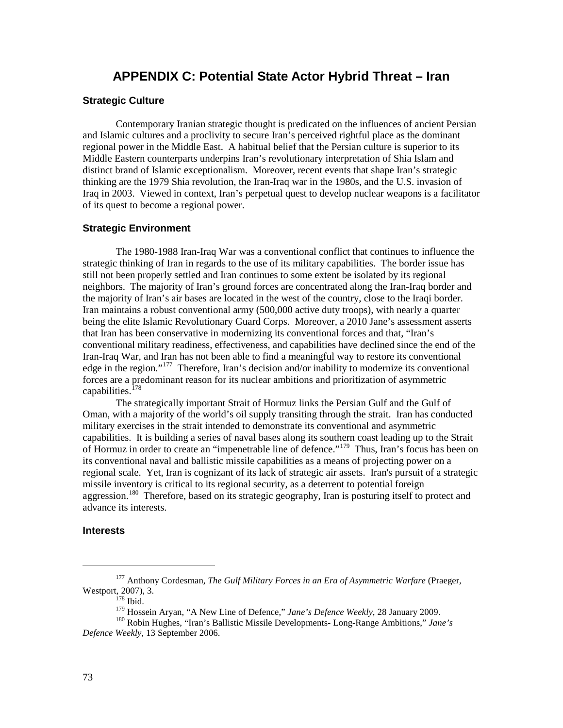# **APPENDIX C: Potential State Actor Hybrid Threat – Iran**

# **Strategic Culture**

Contemporary Iranian strategic thought is predicated on the influences of ancient Persian and Islamic cultures and a proclivity to secure Iran's perceived rightful place as the dominant regional power in the Middle East. A habitual belief that the Persian culture is superior to its Middle Eastern counterparts underpins Iran's revolutionary interpretation of Shia Islam and distinct brand of Islamic exceptionalism. Moreover, recent events that shape Iran's strategic thinking are the 1979 Shia revolution, the Iran-Iraq war in the 1980s, and the U.S. invasion of Iraq in 2003. Viewed in context, Iran's perpetual quest to develop nuclear weapons is a facilitator of its quest to become a regional power.

#### **Strategic Environment**

The 1980-1988 Iran-Iraq War was a conventional conflict that continues to influence the strategic thinking of Iran in regards to the use of its military capabilities. The border issue has still not been properly settled and Iran continues to some extent be isolated by its regional neighbors. The majority of Iran's ground forces are concentrated along the Iran-Iraq border and the majority of Iran's air bases are located in the west of the country, close to the Iraqi border. Iran maintains a robust conventional army (500,000 active duty troops), with nearly a quarter being the elite Islamic Revolutionary Guard Corps. Moreover, a 2010 Jane's assessment asserts that Iran has been conservative in modernizing its conventional forces and that, "Iran's conventional military readiness, effectiveness, and capabilities have declined since the end of the Iran-Iraq War, and Iran has not been able to find a meaningful way to restore its conventional edge in the region."<sup>177</sup> Therefore, Iran's decision and/or inability to modernize its conventional forces are a predominant reason for its nuclear ambitions and prioritization of asymmetric capabilities.<sup>[178](#page-80-1)</sup>

The strategically important Strait of Hormuz links the Persian Gulf and the Gulf of Oman, with a majority of the world's oil supply transiting through the strait. Iran has conducted military exercises in the strait intended to demonstrate its conventional and asymmetric capabilities. It is building a series of naval bases along its southern coast leading up to the Strait of Hormuz in order to create an "impenetrable line of defence."<sup>[179](#page-80-2)</sup> Thus, Iran's focus has been on its conventional naval and ballistic missile capabilities as a means of projecting power on a regional scale. Yet, Iran is cognizant of its lack of strategic air assets. Iran's pursuit of a strategic missile inventory is critical to its regional security, as a deterrent to potential foreign aggression.<sup>180</sup> Therefore, based on its strategic geography, Iran is posturing itself to protect and advance its interests.

## **Interests**

<span id="page-80-0"></span><sup>177</sup> Anthony Cordesman, *The Gulf Military Forces in an Era of Asymmetric Warfare* (Praeger, Westport, 2007), 3.<br>
<sup>178</sup> Ibid.<br>
<sup>179</sup> Hossein Arvan, "A New Line of Defence," Jane's Defence Weekly, 28 January 2009.

<span id="page-80-3"></span><span id="page-80-2"></span><span id="page-80-1"></span><sup>&</sup>lt;sup>180</sup> Robin Hughes, "Iran's Ballistic Missile Developments- Long-Range Ambitions," *Jane's Defence Weekly*, 13 September 2006.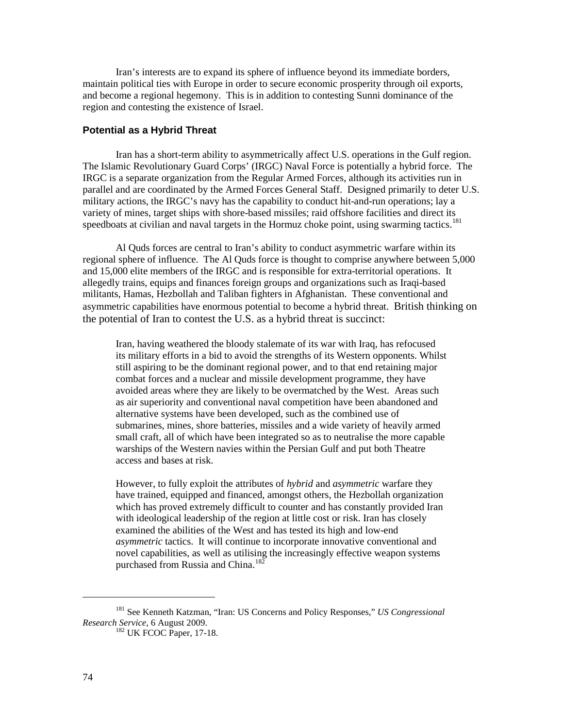Iran's interests are to expand its sphere of influence beyond its immediate borders, maintain political ties with Europe in order to secure economic prosperity through oil exports, and become a regional hegemony. This is in addition to contesting Sunni dominance of the region and contesting the existence of Israel.

## **Potential as a Hybrid Threat**

Iran has a short-term ability to asymmetrically affect U.S. operations in the Gulf region. The Islamic Revolutionary Guard Corps' (IRGC) Naval Force is potentially a hybrid force. The IRGC is a separate organization from the Regular Armed Forces, although its activities run in parallel and are coordinated by the Armed Forces General Staff. Designed primarily to deter U.S. military actions, the IRGC's navy has the capability to conduct hit-and-run operations; lay a variety of mines, target ships with shore-based missiles; raid offshore facilities and direct its speedboats at civilian and naval targets in the Hormuz choke point, using swarming tactics.<sup>[181](#page-81-0)</sup>

Al Quds forces are central to Iran's ability to conduct asymmetric warfare within its regional sphere of influence. The Al Quds force is thought to comprise anywhere between 5,000 and 15,000 elite members of the IRGC and is responsible for extra-territorial operations. It allegedly trains, equips and finances foreign groups and organizations such as Iraqi-based militants, Hamas, Hezbollah and Taliban fighters in Afghanistan. These conventional and asymmetric capabilities have enormous potential to become a hybrid threat. British thinking on the potential of Iran to contest the U.S. as a hybrid threat is succinct:

Iran, having weathered the bloody stalemate of its war with Iraq, has refocused its military efforts in a bid to avoid the strengths of its Western opponents. Whilst still aspiring to be the dominant regional power, and to that end retaining major combat forces and a nuclear and missile development programme, they have avoided areas where they are likely to be overmatched by the West. Areas such as air superiority and conventional naval competition have been abandoned and alternative systems have been developed, such as the combined use of submarines, mines, shore batteries, missiles and a wide variety of heavily armed small craft, all of which have been integrated so as to neutralise the more capable warships of the Western navies within the Persian Gulf and put both Theatre access and bases at risk.

However, to fully exploit the attributes of *hybrid* and *asymmetric* warfare they have trained, equipped and financed, amongst others, the Hezbollah organization which has proved extremely difficult to counter and has constantly provided Iran with ideological leadership of the region at little cost or risk. Iran has closely examined the abilities of the West and has tested its high and low-end *asymmetric* tactics. It will continue to incorporate innovative conventional and novel capabilities, as well as utilising the increasingly effective weapon systems purchased from Russia and China.<sup>[182](#page-81-1)</sup>

<span id="page-81-1"></span><span id="page-81-0"></span><sup>&</sup>lt;sup>181</sup> See Kenneth Katzman, "Iran: US Concerns and Policy Responses," *US Congressional Research Service*, 6 August 2009.

<sup>&</sup>lt;sup>182</sup> UK FCOC Paper, 17-18.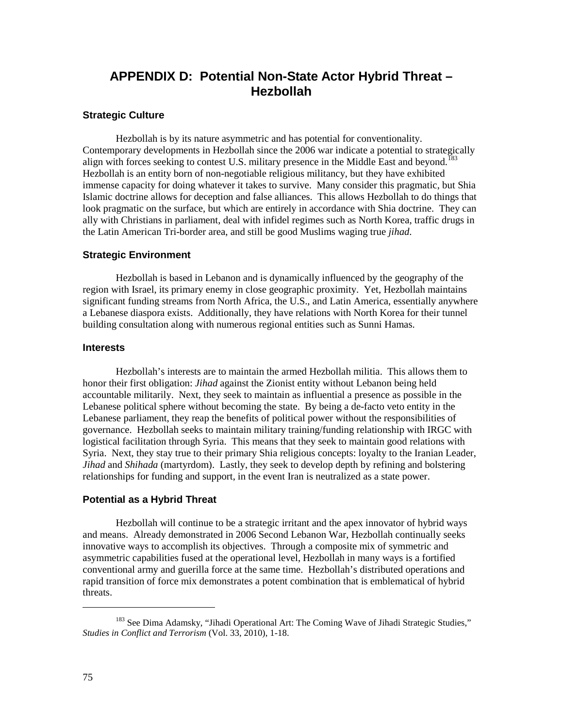# **APPENDIX D: Potential Non-State Actor Hybrid Threat – Hezbollah**

# **Strategic Culture**

Hezbollah is by its nature asymmetric and has potential for conventionality. Contemporary developments in Hezbollah since the 2006 war indicate a potential to strategically align with forces seeking to contest U.S. military presence in the Middle East and beyond.<sup>183</sup> Hezbollah is an entity born of non-negotiable religious militancy, but they have exhibited immense capacity for doing whatever it takes to survive. Many consider this pragmatic, but Shia Islamic doctrine allows for deception and false alliances. This allows Hezbollah to do things that look pragmatic on the surface, but which are entirely in accordance with Shia doctrine. They can ally with Christians in parliament, deal with infidel regimes such as North Korea, traffic drugs in the Latin American Tri-border area, and still be good Muslims waging true *jihad*.

#### **Strategic Environment**

Hezbollah is based in Lebanon and is dynamically influenced by the geography of the region with Israel, its primary enemy in close geographic proximity. Yet, Hezbollah maintains significant funding streams from North Africa, the U.S., and Latin America, essentially anywhere a Lebanese diaspora exists. Additionally, they have relations with North Korea for their tunnel building consultation along with numerous regional entities such as Sunni Hamas.

## **Interests**

Hezbollah's interests are to maintain the armed Hezbollah militia. This allows them to honor their first obligation: *Jihad* against the Zionist entity without Lebanon being held accountable militarily. Next, they seek to maintain as influential a presence as possible in the Lebanese political sphere without becoming the state. By being a de-facto veto entity in the Lebanese parliament, they reap the benefits of political power without the responsibilities of governance. Hezbollah seeks to maintain military training/funding relationship with IRGC with logistical facilitation through Syria. This means that they seek to maintain good relations with Syria. Next, they stay true to their primary Shia religious concepts: loyalty to the Iranian Leader, *Jihad* and *Shihada* (martyrdom). Lastly, they seek to develop depth by refining and bolstering relationships for funding and support, in the event Iran is neutralized as a state power.

# **Potential as a Hybrid Threat**

 Hezbollah will continue to be a strategic irritant and the apex innovator of hybrid ways and means. Already demonstrated in 2006 Second Lebanon War, Hezbollah continually seeks innovative ways to accomplish its objectives. Through a composite mix of symmetric and asymmetric capabilities fused at the operational level, Hezbollah in many ways is a fortified conventional army and guerilla force at the same time. Hezbollah's distributed operations and rapid transition of force mix demonstrates a potent combination that is emblematical of hybrid threats.

<span id="page-82-0"></span><sup>&</sup>lt;sup>183</sup> See Dima Adamsky, "Jihadi Operational Art: The Coming Wave of Jihadi Strategic Studies," *Studies in Conflict and Terrorism* (Vol. 33, 2010), 1-18.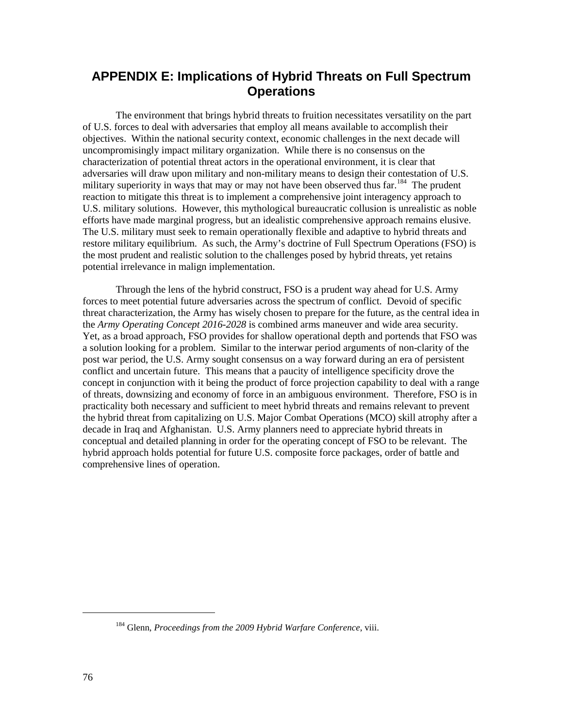# **APPENDIX E: Implications of Hybrid Threats on Full Spectrum Operations**

The environment that brings hybrid threats to fruition necessitates versatility on the part of U.S. forces to deal with adversaries that employ all means available to accomplish their objectives. Within the national security context, economic challenges in the next decade will uncompromisingly impact military organization. While there is no consensus on the characterization of potential threat actors in the operational environment, it is clear that adversaries will draw upon military and non-military means to design their contestation of U.S. military superiority in ways that may or may not have been observed thus far.<sup>[184](#page-83-0)</sup> The prudent reaction to mitigate this threat is to implement a comprehensive joint interagency approach to U.S. military solutions. However, this mythological bureaucratic collusion is unrealistic as noble efforts have made marginal progress, but an idealistic comprehensive approach remains elusive. The U.S. military must seek to remain operationally flexible and adaptive to hybrid threats and restore military equilibrium. As such, the Army's doctrine of Full Spectrum Operations (FSO) is the most prudent and realistic solution to the challenges posed by hybrid threats, yet retains potential irrelevance in malign implementation.

Through the lens of the hybrid construct, FSO is a prudent way ahead for U.S. Army forces to meet potential future adversaries across the spectrum of conflict. Devoid of specific threat characterization, the Army has wisely chosen to prepare for the future, as the central idea in the *Army Operating Concept 2016-2028* is combined arms maneuver and wide area security. Yet, as a broad approach, FSO provides for shallow operational depth and portends that FSO was a solution looking for a problem. Similar to the interwar period arguments of non-clarity of the post war period, the U.S. Army sought consensus on a way forward during an era of persistent conflict and uncertain future. This means that a paucity of intelligence specificity drove the concept in conjunction with it being the product of force projection capability to deal with a range of threats, downsizing and economy of force in an ambiguous environment. Therefore, FSO is in practicality both necessary and sufficient to meet hybrid threats and remains relevant to prevent the hybrid threat from capitalizing on U.S. Major Combat Operations (MCO) skill atrophy after a decade in Iraq and Afghanistan. U.S. Army planners need to appreciate hybrid threats in conceptual and detailed planning in order for the operating concept of FSO to be relevant. The hybrid approach holds potential for future U.S. composite force packages, order of battle and comprehensive lines of operation.

<span id="page-83-0"></span><sup>184</sup> Glenn, *Proceedings from the 2009 Hybrid Warfare Conference*, viii.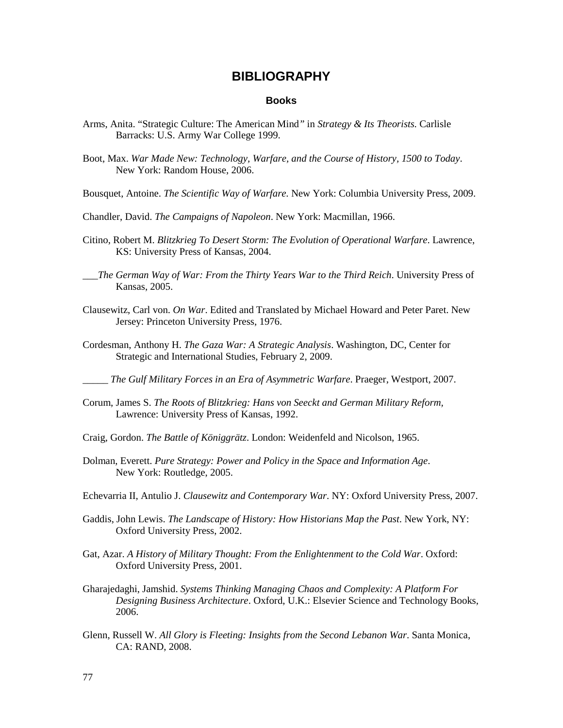# **BIBLIOGRAPHY**

#### **Books**

- Arms, Anita. "Strategic Culture: The American Mind*"* in *Strategy & Its Theorists.* Carlisle Barracks: U.S. Army War College 1999.
- Boot, Max. *War Made New: Technology, Warfare, and the Course of History, 1500 to Today*. New York: Random House, 2006.
- Bousquet, Antoine. *The Scientific Way of Warfare.* New York: Columbia University Press, 2009.
- Chandler, David. *The Campaigns of Napoleon*. New York: Macmillan, 1966.
- Citino, Robert M. *Blitzkrieg To Desert Storm: The Evolution of Operational Warfare*. Lawrence, KS: University Press of Kansas, 2004.
- \_\_\_*The German Way of War: From the Thirty Years War to the Third Reich*. University Press of Kansas, 2005.
- Clausewitz, Carl von. *On War*. Edited and Translated by Michael Howard and Peter Paret. New Jersey: Princeton University Press, 1976.
- Cordesman, Anthony H. *The Gaza War: A Strategic Analysis*. Washington, DC, Center for Strategic and International Studies, February 2, 2009.

\_\_\_\_\_ *The Gulf Military Forces in an Era of Asymmetric Warfare*. Praeger, Westport, 2007.

- Corum, James S. *The Roots of Blitzkrieg: Hans von Seeckt and German Military Reform,*  Lawrence: University Press of Kansas, 1992.
- Craig, Gordon. *The Battle of Königgrätz*. London: Weidenfeld and Nicolson, 1965.
- Dolman, Everett. *Pure Strategy: Power and Policy in the Space and Information Age*. New York: Routledge, 2005.
- Echevarria II, Antulio J. *Clausewitz and Contemporary War*. NY: Oxford University Press, 2007.
- Gaddis, John Lewis. *The Landscape of History: How Historians Map the Past*. New York, NY: Oxford University Press, 2002.
- Gat, Azar. *A History of Military Thought: From the Enlightenment to the Cold War*. Oxford: Oxford University Press, 2001.
- Gharajedaghi, Jamshid. *Systems Thinking Managing Chaos and Complexity: A Platform For Designing Business Architecture*. Oxford, U.K.: Elsevier Science and Technology Books, 2006.
- Glenn, Russell W. *All Glory is Fleeting: Insights from the Second Lebanon War*. Santa Monica, CA: RAND, 2008.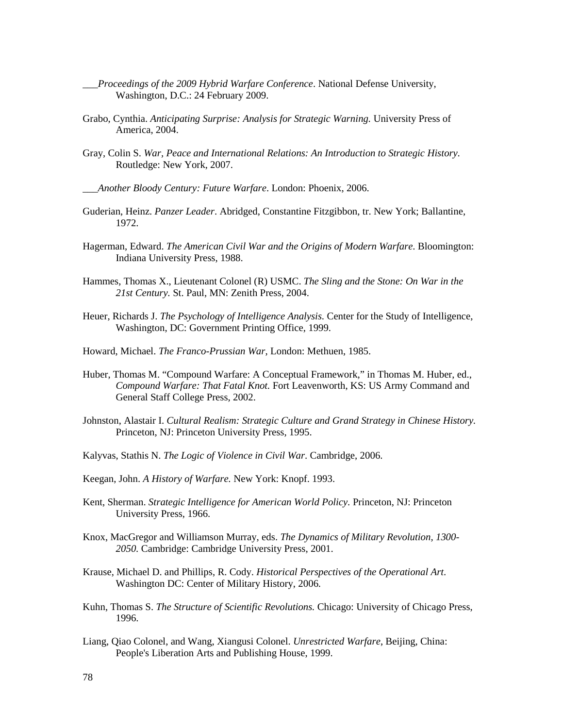- \_\_\_*Proceedings of the 2009 Hybrid Warfare Conference*. National Defense University, Washington, D.C.: 24 February 2009.
- Grabo, Cynthia. *Anticipating Surprise: Analysis for Strategic Warning.* University Press of America, 2004.
- Gray, Colin S. *War, Peace and International Relations: An Introduction to Strategic History.* Routledge: New York, 2007.
- \_\_\_*Another Bloody Century: Future Warfare*. London: Phoenix, 2006.
- Guderian, Heinz. *Panzer Leader*. Abridged, Constantine Fitzgibbon, tr. New York; Ballantine, 1972.
- Hagerman, Edward. *The American Civil War and the Origins of Modern Warfare*. Bloomington: Indiana University Press, 1988.
- Hammes, Thomas X., Lieutenant Colonel (R) USMC. *The Sling and the Stone: On War in the 21st Century.* St. Paul, MN: Zenith Press, 2004.
- Heuer, Richards J. *The Psychology of Intelligence Analysis.* Center for the Study of Intelligence, Washington, DC: Government Printing Office, 1999.
- Howard, Michael. *The Franco-Prussian War*, London: Methuen, 1985.
- Huber, Thomas M. "Compound Warfare: A Conceptual Framework," in Thomas M. Huber, ed., *Compound Warfare: That Fatal Knot.* Fort Leavenworth, KS: US Army Command and General Staff College Press, 2002.
- Johnston, Alastair I. *Cultural Realism: Strategic Culture and Grand Strategy in Chinese History.*  Princeton, NJ: Princeton University Press, 1995.
- Kalyvas, Stathis N. *The Logic of Violence in Civil War*. Cambridge, 2006.
- Keegan, John. *A History of Warfare.* New York: Knopf. 1993.
- Kent, Sherman. *Strategic Intelligence for American World Policy.* Princeton, NJ: Princeton University Press, 1966.
- Knox, MacGregor and Williamson Murray, eds. *The Dynamics of Military Revolution, 1300- 2050.* Cambridge: Cambridge University Press, 2001.
- Krause, Michael D. and Phillips, R. Cody. *Historical Perspectives of the Operational Art*. Washington DC: Center of Military History, 2006.
- Kuhn, Thomas S. *The Structure of Scientific Revolutions.* Chicago: University of Chicago Press, 1996.
- Liang, Qiao Colonel, and Wang, Xiangusi Colonel. *Unrestricted Warfare*, Beijing, China: People's Liberation Arts and Publishing House, 1999.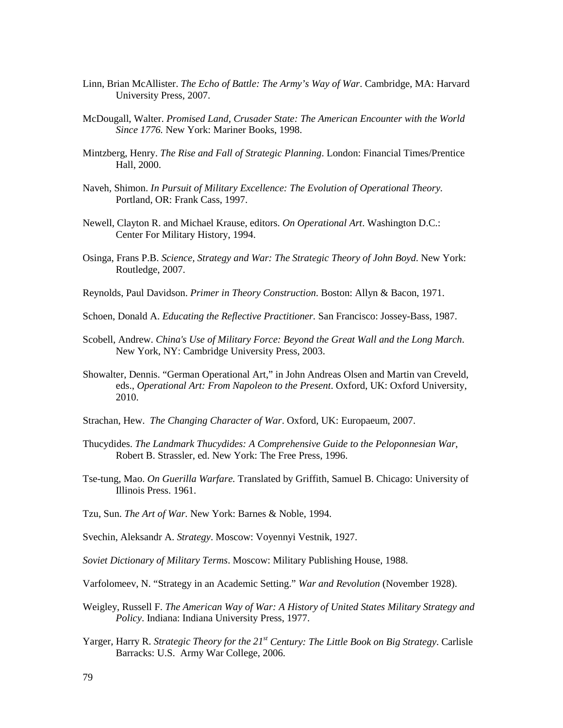- Linn, Brian McAllister. *The Echo of Battle: The Army's Way of War*. Cambridge, MA: Harvard University Press, 2007.
- McDougall, Walter. *Promised Land, Crusader State: The American Encounter with the World Since 1776.* New York: Mariner Books, 1998.
- Mintzberg, Henry. *The Rise and Fall of Strategic Planning*. London: Financial Times/Prentice Hall, 2000.
- Naveh*,* Shimon. *In Pursuit of Military Excellence: The Evolution of Operational Theory.*  Portland, OR: Frank Cass, 1997.
- Newell, Clayton R. and Michael Krause, editors. *On Operational Art*. Washington D.C.: Center For Military History, 1994.
- Osinga, Frans P.B. *Science, Strategy and War: The Strategic Theory of John Boyd*. New York: Routledge, 2007.
- Reynolds, Paul Davidson. *Primer in Theory Construction*. Boston: Allyn & Bacon, 1971.
- Schoen, Donald A. *Educating the Reflective Practitioner.* San Francisco: Jossey-Bass, 1987.
- Scobell, Andrew. *China's Use of Military Force: Beyond the Great Wall and the Long March*. New York, NY: Cambridge University Press, 2003.
- Showalter, Dennis. "German Operational Art," in John Andreas Olsen and Martin van Creveld, eds., *Operational Art: From Napoleon to the Present*. Oxford, UK: Oxford University, 2010.
- Strachan, Hew. *The Changing Character of War*. Oxford, UK: Europaeum, 2007.
- Thucydides. *The Landmark Thucydides: A Comprehensive Guide to the Peloponnesian War*, Robert B. Strassler, ed. New York: The Free Press, 1996.
- Tse-tung, Mao. *On Guerilla Warfare.* Translated by Griffith, Samuel B. Chicago: University of Illinois Press. 1961.
- Tzu, Sun. *The Art of War.* New York: Barnes & Noble, 1994.
- Svechin, Aleksandr A. *Strategy*. Moscow: Voyennyi Vestnik, 1927.
- *Soviet Dictionary of Military Terms*. Moscow: Military Publishing House, 1988.
- Varfolomeev, N. "Strategy in an Academic Setting." *War and Revolution* (November 1928).
- Weigley, Russell F. *The American Way of War: A History of United States Military Strategy and Policy*. Indiana: Indiana University Press, 1977.
- Yarger, Harry R. *Strategic Theory for the 21st Century: The Little Book on Big Strategy*. Carlisle Barracks: U.S. Army War College, 2006.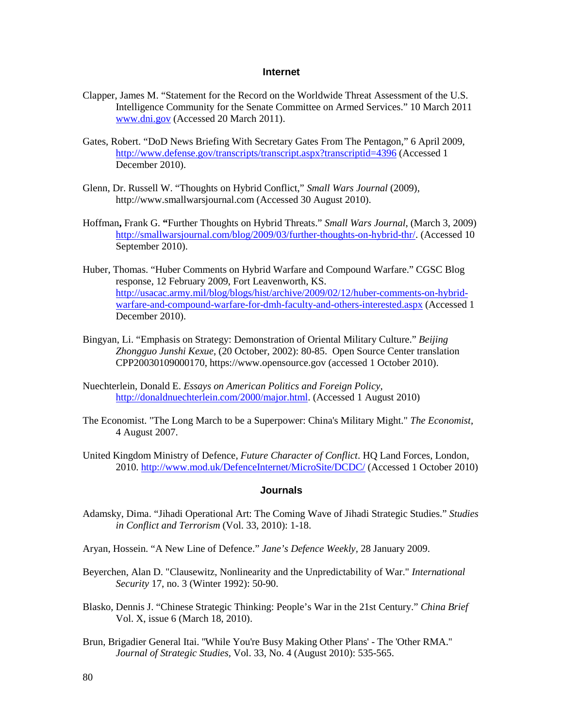### **Internet**

- Clapper, James M. "Statement for the Record on the Worldwide Threat Assessment of the U.S. Intelligence Community for the Senate Committee on Armed Services." 10 March 2011 [www.dni.gov](http://www.dni.gov/) (Accessed 20 March 2011).
- Gates, Robert. "DoD News Briefing With Secretary Gates From The Pentagon," 6 April 2009, <http://www.defense.gov/transcripts/transcript.aspx?transcriptid=4396> (Accessed 1 December 2010).
- Glenn, Dr. Russell W. "Thoughts on Hybrid Conflict," *Small Wars Journal* (2009), http://www.smallwarsjournal.com (Accessed 30 August 2010).
- Hoffman**,** Frank G. **"**Further Thoughts on Hybrid Threats." *Small Wars Journal*, (March 3, 2009) [http://smallwarsjournal.com/blog/2009/03/further-thoughts-on-hybrid-thr/.](http://smallwarsjournal.com/blog/2009/03/further-thoughts-on-hybrid-thr/) (Accessed 10 September 2010).
- Huber, Thomas. "Huber Comments on Hybrid Warfare and Compound Warfare." CGSC Blog response, 12 February 2009, Fort Leavenworth, KS. [http://usacac.army.mil/blog/blogs/hist/archive/2009/02/12/huber-comments-on-hybrid](http://usacac.army.mil/blog/blogs/hist/archive/2009/02/12/huber-comments-on-hybrid-warfare-and-compound-warfare-for-dmh-faculty-and-others-interested.aspx)[warfare-and-compound-warfare-for-dmh-faculty-and-others-interested.aspx](http://usacac.army.mil/blog/blogs/hist/archive/2009/02/12/huber-comments-on-hybrid-warfare-and-compound-warfare-for-dmh-faculty-and-others-interested.aspx) (Accessed 1 December 2010).
- Bingyan, Li. "Emphasis on Strategy: Demonstration of Oriental Military Culture." *Beijing Zhongguo Junshi Kexue*, (20 October, 2002): 80-85. Open Source Center translation CPP20030109000170, https://www.opensource.gov (accessed 1 October 2010).
- Nuechterlein, Donald E. *Essays on American Politics and Foreign Policy,*  [http://donaldnuechterlein.com/2000/major.html.](http://donaldnuechterlein.com/2000/major.html) (Accessed 1 August 2010)
- The Economist. "The Long March to be a Superpower: China's Military Might." *The Economist*, 4 August 2007.
- United Kingdom Ministry of Defence, *Future Character of Conflict*. HQ Land Forces, London, 2010. [http://www.mod.uk/DefenceInternet/MicroSite/DCDC/](blockedhttp://www.mod.uk/DefenceInternet/MicroSite/DCDC/) (Accessed 1 October 2010)

### **Journals**

- Adamsky, Dima. "Jihadi Operational Art: The Coming Wave of Jihadi Strategic Studies." *Studies in Conflict and Terrorism* (Vol. 33, 2010): 1-18.
- Aryan, Hossein. "A New Line of Defence." *Jane's Defence Weekly,* 28 January 2009.
- Beyerchen, Alan D. "Clausewitz, Nonlinearity and the Unpredictability of War." *International Security* 17, no. 3 (Winter 1992): 50-90.
- Blasko, Dennis J. "Chinese Strategic Thinking: People's War in the 21st Century." *China Brief* Vol. X, issue 6 (March 18, 2010).
- Brun, Brigadier General Itai. ''While You're Busy Making Other Plans' The 'Other RMA.'' *Journal of Strategic Studies,* Vol. 33, No. 4 (August 2010): 535-565.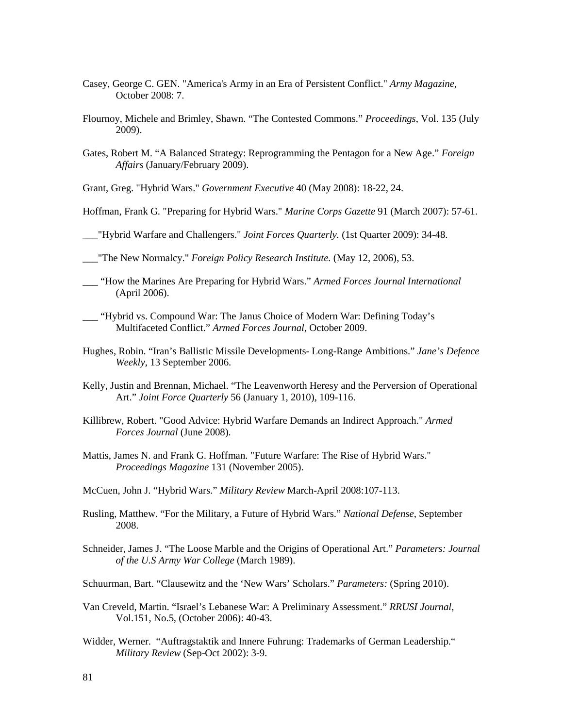- Casey, George C. GEN. "America's Army in an Era of Persistent Conflict." *Army Magazine*, October 2008: 7.
- Flournoy, Michele and Brimley, Shawn. "The Contested Commons." *Proceedings*, Vol. 135 (July 2009).
- Gates, Robert M. "A Balanced Strategy: Reprogramming the Pentagon for a New Age." *Foreign Affairs* (January/February 2009).
- Grant, Greg. "Hybrid Wars." *Government Executive* 40 (May 2008): 18-22, 24.
- Hoffman, Frank G. "Preparing for Hybrid Wars." *Marine Corps Gazette* 91 (March 2007): 57-61.
- \_\_\_"Hybrid Warfare and Challengers." *Joint Forces Quarterly.* (1st Quarter 2009): 34-48.
- \_\_\_"The New Normalcy." *Foreign Policy Research Institute.* (May 12, 2006), 53.
- \_\_\_ "How the Marines Are Preparing for Hybrid Wars." *Armed Forces Journal International* (April 2006).
- \_\_\_ "Hybrid vs. Compound War: The Janus Choice of Modern War: Defining Today's Multifaceted Conflict." *Armed Forces Journal*, October 2009.
- Hughes, Robin. "Iran's Ballistic Missile Developments- Long-Range Ambitions." *Jane's Defence Weekly*, 13 September 2006.
- Kelly, Justin and Brennan, Michael. "The Leavenworth Heresy and the Perversion of Operational Art." *Joint Force Quarterly* 56 (January 1, 2010), 109-116.
- Killibrew, Robert. "Good Advice: Hybrid Warfare Demands an Indirect Approach." *Armed Forces Journal* (June 2008).
- Mattis, James N. and Frank G. Hoffman. "Future Warfare: The Rise of Hybrid Wars." *Proceedings Magazine* 131 (November 2005).
- McCuen, John J. "Hybrid Wars." *Military Review* March-April 2008:107-113.
- Rusling, Matthew. "For the Military, a Future of Hybrid Wars." *National Defense*, September 2008.
- Schneider, James J. "The Loose Marble and the Origins of Operational Art." *Parameters: Journal of the U.S Army War College* (March 1989).
- Schuurman, Bart. "Clausewitz and the 'New Wars' Scholars." *Parameters:* (Spring 2010).
- Van Creveld, Martin. "Israel's Lebanese War: A Preliminary Assessment." *RRUSI Journal*, Vol.151, No.5, (October 2006): 40-43.
- Widder, Werner. "Auftragstaktik and Innere Fuhrung: Trademarks of German Leadership." *Military Review* (Sep-Oct 2002): 3-9.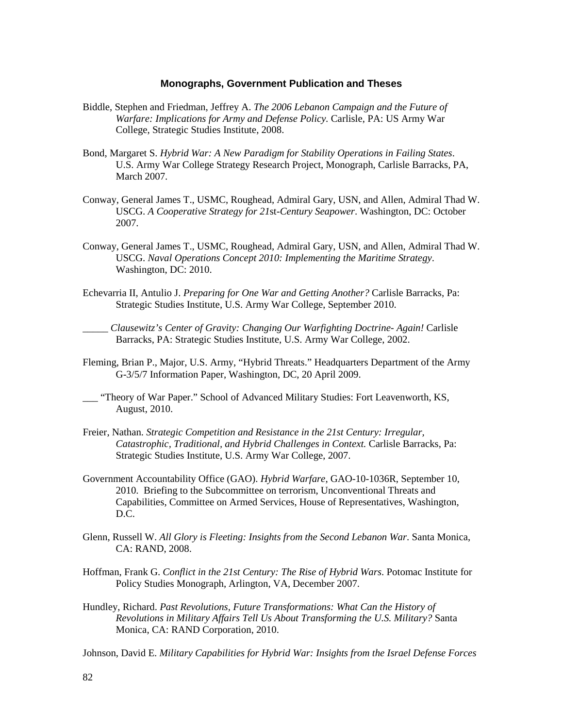### **Monographs, Government Publication and Theses**

- Biddle, Stephen and Friedman, Jeffrey A. *The 2006 Lebanon Campaign and the Future of Warfare: Implications for Army and Defense Policy.* Carlisle, PA: US Army War College, Strategic Studies Institute, 2008.
- Bond, Margaret S. *Hybrid War: A New Paradigm for Stability Operations in Failing States*. U.S. Army War College Strategy Research Project, Monograph, Carlisle Barracks, PA, March 2007.
- Conway, General James T., USMC, Roughead, Admiral Gary, USN, and Allen, Admiral Thad W. USCG. *A Cooperative Strategy for 21*st*-Century Seapower*. Washington, DC: October 2007.
- Conway, General James T., USMC, Roughead, Admiral Gary, USN, and Allen, Admiral Thad W. USCG. *Naval Operations Concept 2010: Implementing the Maritime Strategy*. Washington, DC: 2010.
- Echevarria II, Antulio J. *Preparing for One War and Getting Another?* Carlisle Barracks, Pa: Strategic Studies Institute, U.S. Army War College, September 2010.
- *\_\_\_\_\_ Clausewitz's Center of Gravity: Changing Our Warfighting Doctrine- Again!* Carlisle Barracks, PA: Strategic Studies Institute, U.S. Army War College, 2002.
- Fleming, Brian P., Major, U.S. Army, "Hybrid Threats." Headquarters Department of the Army G-3/5/7 Information Paper, Washington, DC, 20 April 2009.
- \_\_\_ "Theory of War Paper." School of Advanced Military Studies: Fort Leavenworth, KS, August, 2010.
- Freier, Nathan. *Strategic Competition and Resistance in the 21st Century: Irregular, Catastrophic, Traditional, and Hybrid Challenges in Context.* Carlisle Barracks, Pa: Strategic Studies Institute, U.S. Army War College, 2007.
- Government Accountability Office (GAO). *Hybrid Warfare*, GAO-10-1036R, September 10, 2010. Briefing to the Subcommittee on terrorism, Unconventional Threats and Capabilities, Committee on Armed Services, House of Representatives, Washington, D.C.
- Glenn, Russell W. *All Glory is Fleeting: Insights from the Second Lebanon War*. Santa Monica, CA: RAND, 2008.
- Hoffman, Frank G. *Conflict in the 21st Century: The Rise of Hybrid Wars*. Potomac Institute for Policy Studies Monograph, Arlington, VA, December 2007.
- Hundley, Richard. *Past Revolutions, Future Transformations: What Can the History of Revolutions in Military Affairs Tell Us About Transforming the U.S. Military?* Santa Monica, CA: RAND Corporation, 2010.

Johnson, David E. *Military Capabilities for Hybrid War: Insights from the Israel Defense Forces*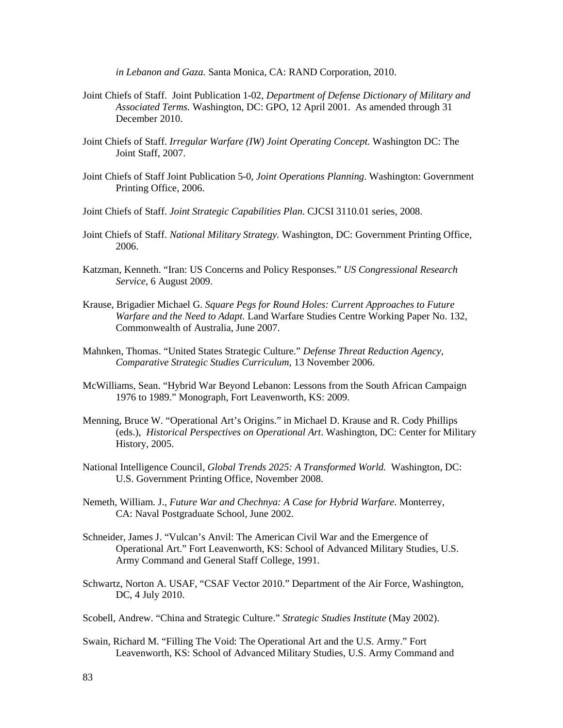*in Lebanon and Gaza.* Santa Monica, CA: RAND Corporation, 2010.

- Joint Chiefs of Staff. Joint Publication 1-02, *Department of Defense Dictionary of Military and Associated Terms.* Washington, DC: GPO, 12 April 2001. As amended through 31 December 2010.
- Joint Chiefs of Staff. *Irregular Warfare (IW) Joint Operating Concept.* Washington DC: The Joint Staff, 2007.
- Joint Chiefs of Staff Joint Publication 5-0, *Joint Operations Planning*. Washington: Government Printing Office, 2006.
- Joint Chiefs of Staff. *Joint Strategic Capabilities Plan*. CJCSI 3110.01 series, 2008.
- Joint Chiefs of Staff. *National Military Strategy.* Washington, DC: Government Printing Office, 2006.
- Katzman, Kenneth. "Iran: US Concerns and Policy Responses." *US Congressional Research Service,* 6 August 2009.
- Krause, Brigadier Michael G. *Square Pegs for Round Holes: Current Approaches to Future Warfare and the Need to Adapt.* Land Warfare Studies Centre Working Paper No. 132, Commonwealth of Australia, June 2007.
- Mahnken, Thomas. "United States Strategic Culture." *Defense Threat Reduction Agency, Comparative Strategic Studies Curriculum*, 13 November 2006.
- McWilliams, Sean. "Hybrid War Beyond Lebanon: Lessons from the South African Campaign 1976 to 1989." Monograph, Fort Leavenworth, KS: 2009.
- Menning, Bruce W. "Operational Art's Origins." in Michael D. Krause and R. Cody Phillips (eds.), *Historical Perspectives on Operational Art*. Washington, DC: Center for Military History, 2005.
- National Intelligence Council, *Global Trends 2025: A Transformed World.* Washington, DC: U.S. Government Printing Office, November 2008.
- Nemeth, William. J., *Future War and Chechnya: A Case for Hybrid Warfare*. Monterrey, CA: Naval Postgraduate School, June 2002.
- Schneider, James J. "Vulcan's Anvil: The American Civil War and the Emergence of Operational Art." Fort Leavenworth, KS: School of Advanced Military Studies, U.S. Army Command and General Staff College, 1991.
- Schwartz, Norton A. USAF, "CSAF Vector 2010." Department of the Air Force, Washington, DC, 4 July 2010.
- Scobell, Andrew. "China and Strategic Culture." *Strategic Studies Institute* (May 2002).
- Swain, Richard M. "Filling The Void: The Operational Art and the U.S. Army." Fort Leavenworth, KS: School of Advanced Military Studies, U.S. Army Command and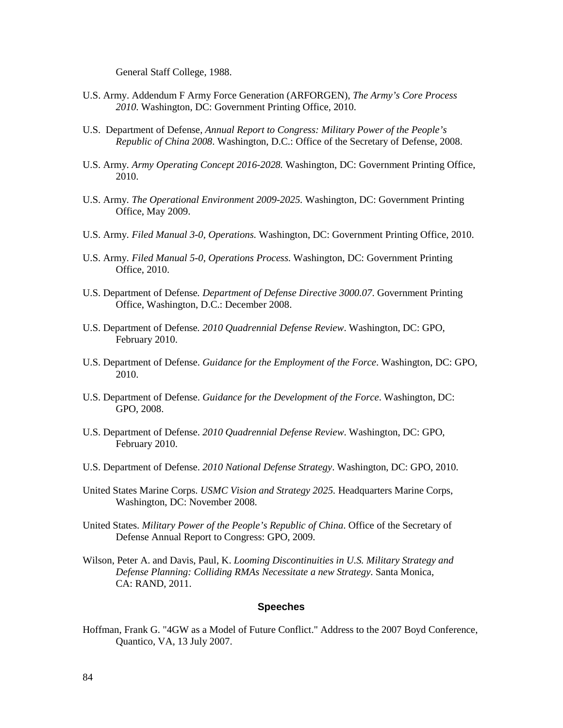General Staff College, 1988.

- U.S. Army. Addendum F Army Force Generation (ARFORGEN), *The Army's Core Process 2010*. Washington, DC: Government Printing Office, 2010.
- U.S. Department of Defense, *Annual Report to Congress: Military Power of the People's Republic of China 2008*. Washington, D.C.: Office of the Secretary of Defense, 2008.
- U.S. Army*. Army Operating Concept 2016-2028.* Washington, DC: Government Printing Office, 2010.
- U.S. Army*. The Operational Environment 2009-2025.* Washington, DC: Government Printing Office, May 2009.
- U.S. Army*. Filed Manual 3-0, Operations.* Washington, DC: Government Printing Office, 2010.
- U.S. Army*. Filed Manual 5-0, Operations Process.* Washington, DC: Government Printing Office, 2010.
- U.S. Department of Defense*. Department of Defense Directive 3000.07*. Government Printing Office, Washington, D.C.: December 2008.
- U.S. Department of Defense*. 2010 Quadrennial Defense Review*. Washington, DC: GPO, February 2010.
- U.S. Department of Defense. *Guidance for the Employment of the Force*. Washington, DC: GPO, 2010.
- U.S. Department of Defense. *Guidance for the Development of the Force*. Washington, DC: GPO, 2008.
- U.S. Department of Defense. *2010 Quadrennial Defense Review*. Washington, DC: GPO, February 2010.
- U.S. Department of Defense. *2010 National Defense Strategy*. Washington, DC: GPO, 2010.
- United States Marine Corps. *USMC Vision and Strategy 2025.* Headquarters Marine Corps, Washington, DC: November 2008.
- United States. *Military Power of the People's Republic of China*. Office of the Secretary of Defense Annual Report to Congress: GPO, 2009.
- Wilson, Peter A. and Davis, Paul, K. *Looming Discontinuities in U.S. Military Strategy and Defense Planning: Colliding RMAs Necessitate a new Strategy*. Santa Monica, CA: RAND, 2011.

### **Speeches**

Hoffman, Frank G. "4GW as a Model of Future Conflict." Address to the 2007 Boyd Conference, Quantico, VA, 13 July 2007.